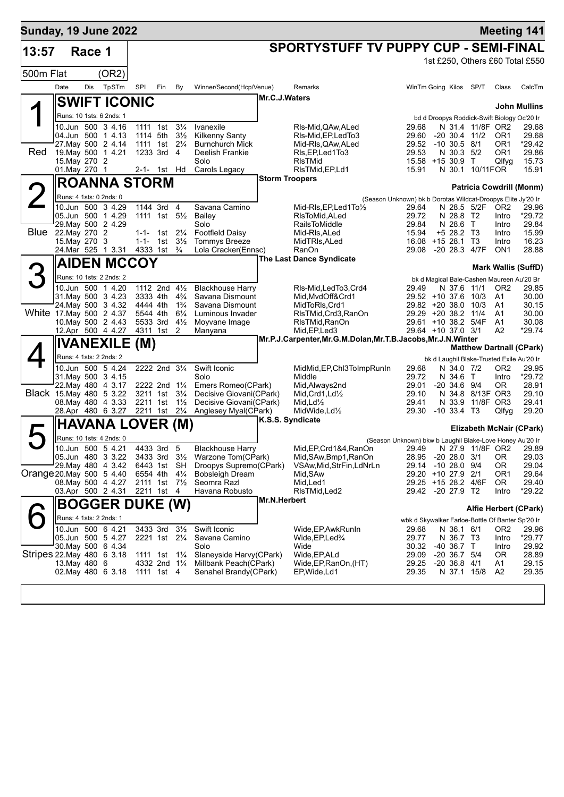| <b>Sunday, 19 June 2022</b> |                                |        |                                                                                                                                                                |                                              |                                                                                          |                                                                      |                                                                                                                                                                                              |                       |                                                                                                                                                      |                                                                                                                                                           |                                                                               |                                       |                                                                                                                                                        | <b>Meeting 141</b>                                    |
|-----------------------------|--------------------------------|--------|----------------------------------------------------------------------------------------------------------------------------------------------------------------|----------------------------------------------|------------------------------------------------------------------------------------------|----------------------------------------------------------------------|----------------------------------------------------------------------------------------------------------------------------------------------------------------------------------------------|-----------------------|------------------------------------------------------------------------------------------------------------------------------------------------------|-----------------------------------------------------------------------------------------------------------------------------------------------------------|-------------------------------------------------------------------------------|---------------------------------------|--------------------------------------------------------------------------------------------------------------------------------------------------------|-------------------------------------------------------|
| 13:57                       |                                | Race 1 |                                                                                                                                                                |                                              |                                                                                          |                                                                      |                                                                                                                                                                                              |                       | <b>SPORTYSTUFF TV PUPPY CUP - SEMI-FINAL</b>                                                                                                         |                                                                                                                                                           |                                                                               |                                       |                                                                                                                                                        |                                                       |
|                             |                                |        |                                                                                                                                                                |                                              |                                                                                          |                                                                      |                                                                                                                                                                                              |                       |                                                                                                                                                      |                                                                                                                                                           |                                                                               |                                       |                                                                                                                                                        | 1st £250, Others £60 Total £550                       |
| 500m Flat                   |                                |        | (OR2)                                                                                                                                                          |                                              |                                                                                          |                                                                      |                                                                                                                                                                                              |                       |                                                                                                                                                      |                                                                                                                                                           |                                                                               |                                       |                                                                                                                                                        |                                                       |
|                             | Date                           | Dis    | TpSTm                                                                                                                                                          | SPI                                          | <b>Fin</b>                                                                               | By                                                                   | Winner/Second(Hcp/Venue)                                                                                                                                                                     |                       | Remarks                                                                                                                                              | WinTm Going Kilos SP/T                                                                                                                                    |                                                                               |                                       | Class                                                                                                                                                  | CalcTm                                                |
|                             |                                |        | <b>SWIFT ICONIC</b>                                                                                                                                            |                                              |                                                                                          |                                                                      |                                                                                                                                                                                              | Mr.C.J.Waters         |                                                                                                                                                      |                                                                                                                                                           |                                                                               |                                       |                                                                                                                                                        | John Mullins                                          |
|                             |                                |        | Runs: 10 1sts: 6 2nds: 1                                                                                                                                       |                                              |                                                                                          |                                                                      |                                                                                                                                                                                              |                       |                                                                                                                                                      |                                                                                                                                                           |                                                                               |                                       | bd d Droopys Roddick-Swift Biology Oc'20 Ir                                                                                                            |                                                       |
| Red                         | 15. May 270 2                  |        | 10.Jun 500 3 4.16<br>04.Jun 500 1 4.13<br>27.May 500 2 4.14<br>19. May 500 1 4.21                                                                              | 1111 1st<br>1114 5th                         | 1111 1st 21/ <sub>4</sub><br>1233 3rd 4                                                  | $3\frac{1}{4}$<br>$3\frac{1}{2}$                                     | Ivanexile<br><b>Kilkenny Santy</b><br><b>Burnchurch Mick</b><br>Deelish Frankie<br>Solo                                                                                                      |                       | RIs-Mid, QAw, ALed<br>RIs-Mid, EP, Led To 3<br>Mid-RIs, QAw, ALed<br>RIs, EP, Led 1 To 3<br><b>RIsTMid</b>                                           | 29.68<br>29.60<br>29.52<br>29.53<br>15.58 +15 30.9 T                                                                                                      | $-10, 30.5, 8/1$<br>N 30.3 5/2                                                | N 31.4 11/8F OR2<br>$-20, 30.4, 11/2$ | OR <sub>1</sub><br>OR1<br>OR <sub>1</sub><br>Qlfyq                                                                                                     | 29.68<br>29.68<br>*29.42<br>29.86<br>15.73            |
|                             | 01. May 270 1                  |        |                                                                                                                                                                |                                              | 2-1- 1st Hd                                                                              |                                                                      | Carols Legacy                                                                                                                                                                                |                       | RIsTMid, EP, Ld1                                                                                                                                     | 15.91                                                                                                                                                     |                                                                               | N 30.1 10/11FOR                       |                                                                                                                                                        | 15.91                                                 |
|                             |                                |        | <b>ROANNA STORM</b>                                                                                                                                            |                                              |                                                                                          |                                                                      |                                                                                                                                                                                              | <b>Storm Troopers</b> |                                                                                                                                                      |                                                                                                                                                           |                                                                               |                                       |                                                                                                                                                        | Patricia Cowdrill (Monm)                              |
|                             |                                |        | Runs: 4 1sts: 0 2nds: 0                                                                                                                                        |                                              |                                                                                          |                                                                      |                                                                                                                                                                                              |                       |                                                                                                                                                      | (Season Unknown) bk b Dorotas Wildcat-Droopys Elite Jy'20 Ir                                                                                              |                                                                               |                                       |                                                                                                                                                        |                                                       |
| Blue                        | 22. May 270 2<br>15. May 270 3 |        | 10.Jun 500 3 4.29<br>05.Jun 500 1 4.29<br>29. May 500 2 4.29<br>24. Mar 525 1 3.31 4333 1st 3/4                                                                | $1 - 1 -$                                    | 1144 3rd 4<br>1111 1st 51/ <sub>2</sub><br>1-1- 1st $2\frac{1}{4}$<br>1st $3\frac{1}{2}$ |                                                                      | Savana Camino<br>Bailey<br>Solo<br><b>Footfield Daisy</b><br><b>Tommys Breeze</b><br>Lola Cracker(Ennsc)                                                                                     |                       | Mid-RIs, EP, Led 1 To 1/2<br>RIsToMid, ALed<br><b>RailsToMiddle</b><br>Mid-RIs, ALed<br>MidTRIs, ALed<br><b>RanOn</b>                                | 29.64<br>29.72<br>29.84<br>15.94<br>16.08<br>29.08                                                                                                        | N 28.8 T2<br>N 28.6 T<br>+5 28.2 T3<br>$+15$ 28.1 T3                          | N 28.5 5/2F<br>-20 28.3 4/7F          | OR <sub>2</sub><br>Intro<br>Intro<br>Intro<br>Intro<br>ON <sub>1</sub>                                                                                 | 29.96<br>*29.72<br>29.84<br>15.99<br>16.23<br>28.88   |
|                             |                                |        | <b>AIDEN MCCOY</b>                                                                                                                                             |                                              |                                                                                          |                                                                      |                                                                                                                                                                                              |                       | The Last Dance Syndicate                                                                                                                             |                                                                                                                                                           |                                                                               |                                       |                                                                                                                                                        |                                                       |
|                             |                                |        | Runs: 10 1sts: 2 2nds: 2                                                                                                                                       |                                              |                                                                                          |                                                                      |                                                                                                                                                                                              |                       |                                                                                                                                                      |                                                                                                                                                           |                                                                               |                                       |                                                                                                                                                        | <b>Mark Wallis (SuffD)</b>                            |
| White 17 May 500 2 4.37     |                                |        | 10.Jun 500 1 4.20<br>31. May 500 3 4.23<br>24. May 500 3 4.32<br>10. May 500 2 4.43                                                                            | 3333 4th<br>4444 4th<br>5544 4th<br>5533 3rd | 1112 2nd 41/2                                                                            | $4\frac{3}{4}$<br>$1\frac{3}{4}$<br>$6\frac{1}{4}$<br>$4\frac{1}{2}$ | <b>Blackhouse Harry</b><br>Savana Dismount<br>Savana Dismount<br>Luminous Invader<br>Moyvane Image                                                                                           |                       | RIs-Mid, Led To 3, Crd 4<br>Mid.MvdOff&Crd1<br>MidToRIs, Crd1<br>RIsTMid, Crd3, RanOn<br>RIsTMid, RanOn                                              | 29.49<br>29.52 +10 37.6<br>$29.82 + 20.38.0$<br>29.29 +20 38.2 11/4<br>29.61 +10 38.2 5/4F                                                                | N 37.6 11/1                                                                   | 10/3<br>10/3                          | bk d Magical Bale-Cashen Maureen Au'20 Br<br>OR <sub>2</sub><br>A <sub>1</sub><br>A <sub>1</sub><br>A <sub>1</sub><br>A <sub>1</sub><br>A <sub>2</sub> | 29.85<br>30.00<br>30.15<br>30.00<br>30.08<br>$*29.74$ |
|                             |                                |        | 12.Apr 500 4 4.27                                                                                                                                              |                                              | 4311 1st 2                                                                               |                                                                      | Manyana                                                                                                                                                                                      |                       | Mid, EP, Led 3<br>Mr.P.J.Carpenter, Mr.G.M.Dolan, Mr.T.B.Jacobs, Mr.J.N. Winter                                                                      | 29.64 +10 37.0 3/1                                                                                                                                        |                                                                               |                                       |                                                                                                                                                        |                                                       |
|                             |                                |        | IVANEXILE (M)                                                                                                                                                  |                                              |                                                                                          |                                                                      |                                                                                                                                                                                              |                       |                                                                                                                                                      |                                                                                                                                                           |                                                                               |                                       |                                                                                                                                                        | <b>Matthew Dartnall (CPark)</b>                       |
|                             |                                |        | Runs: 4 1sts: 2 2nds: 2<br>10.Jun 500 5 4.24<br>31 May 500 3 4.15<br>22. May 480 4 3.17<br>Black 15. May 480 5 3.22<br>08. May 480 4 3.33<br>28.Apr 480 6 3.27 | 2211 1st<br>2211 1st 21/4                    | 2222 2nd 31/4<br>2222 2nd 11/4<br>3211 1st 31/4                                          | $1\frac{1}{2}$                                                       | Swift Iconic<br>Solo<br>Emers Romeo(CPark)<br>Decisive Giovani(CPark)<br>Decisive Giovani(CPark)<br>Anglesey Myal(CPark)                                                                     |                       | MidMid, EP, Chl3TolmpRunIn<br>Middle<br>Mid,Always2nd<br>$Mid,Crd1,Ld\frac{1}{2}$<br>Mid.Ld $\frac{1}{2}$<br>MidWide, Ld1/2                          | 29.68<br>29.72<br>29.01<br>29.10<br>29.41<br>29.30                                                                                                        | N 34.0 7/2<br>N 34.6 T<br>$-20, 34.6, 9/4$<br>$-10, 33.4$ T3                  | N 34.8 8/13F OR3<br>N 33.9 11/8F OR3  | bk d Laughil Blake-Trusted Exile Au'20 Ir<br>OR <sub>2</sub><br>Intro<br>OR.<br>Qlfyg                                                                  | 29.95<br>*29.72<br>28.91<br>29.10<br>29.41<br>29.20   |
|                             |                                |        | <b>HAVANA LOVER (M)</b>                                                                                                                                        |                                              |                                                                                          |                                                                      |                                                                                                                                                                                              |                       | K.S.S. Syndicate                                                                                                                                     |                                                                                                                                                           |                                                                               |                                       |                                                                                                                                                        |                                                       |
|                             |                                |        | Runs: 10 1sts: 4 2nds: 0                                                                                                                                       |                                              |                                                                                          |                                                                      |                                                                                                                                                                                              |                       |                                                                                                                                                      |                                                                                                                                                           |                                                                               |                                       |                                                                                                                                                        | Elizabeth McNair (CPark)                              |
| Orange 20. May 500 5 4.40   |                                |        | 10.Jun 500 5 4.21<br>29. May 480 4 3.42<br>08. May 500 4 4.27<br>03.Apr 500 2 4.31                                                                             | 4433 3rd 5<br>6443 1st SH<br>6554 4th        | 2211 1st 4                                                                               | $4\frac{1}{4}$                                                       | <b>Blackhouse Harry</b><br>05.Jun 480 3 3.22 3433 3rd 31/2 Warzone Tom(CPark)<br>Droopys Supremo(CPark)<br><b>Bobsleigh Dream</b><br>2111 1st 71/ <sub>2</sub> Seomra Razl<br>Havana Robusto |                       | Mid, EP, Crd1&4, RanOn 29.49 N 27.9 11/8F OR2 29.89<br>Mid, SAw, Bmp1, RanOn<br>VSAw, Mid, StrFin, LdNrLn<br>Mid, SAw<br>Mid, Led1<br>RIsTMid, Led 2 | (Season Unknown) bkw b Laughil Blake-Love Honey Au'20 Ir<br>28.95 -20 28.0 3/1<br>29.14<br>29.20 +10 27.9 2/1<br>29.25 +15 28.2 4/6F<br>29.42 -20 27.9 T2 | -10 28.0 9/4                                                                  |                                       | 0R<br>0R<br>OR1<br>OR.<br>Intro                                                                                                                        | 29.03<br>29.04<br>29.64<br>29.40<br>*29.22            |
|                             |                                |        | <b>BOGGER DUKE (W)</b>                                                                                                                                         |                                              |                                                                                          |                                                                      |                                                                                                                                                                                              | Mr.N.Herbert          |                                                                                                                                                      |                                                                                                                                                           |                                                                               |                                       |                                                                                                                                                        |                                                       |
|                             |                                |        | Runs: 4 1sts: 2 2nds: 1                                                                                                                                        |                                              |                                                                                          |                                                                      |                                                                                                                                                                                              |                       |                                                                                                                                                      | wbk d Skywalker Farloe-Bottle Of Banter Sp'20 Ir                                                                                                          |                                                                               |                                       |                                                                                                                                                        | Alfie Herbert (CPark)                                 |
| Stripes 22. May 480 6 3.18  | 13. May 480 6                  |        | 10.Jun 500 6 4.21<br>05.Jun 500 5 4.27<br>30 May 500 6 4.34<br>02. May 480 6 3.18                                                                              | 1111 1st 4                                   | 3433 3rd 31/2<br>2221 1st 21/4<br>1111 1st 11/ <sub>4</sub><br>4332 2nd 11/4             |                                                                      | Swift Iconic<br>Savana Camino<br>Solo<br>Slaneyside Harvy(CPark)<br>Millbank Peach(CPark)<br>Senahel Brandy(CPark)                                                                           |                       | Wide, EP, Awk Run In<br>Wide,EP,Led%<br>Wide<br>Wide, EP, ALd<br>Wide, EP, RanOn, (HT)<br>EP, Wide, Ld1                                              | 29.68<br>29.77<br>30.32<br>29.09<br>29.25<br>29.35                                                                                                        | N 36.1 6/1<br>N 36.7 T3<br>-40 36.7 T<br>$-20$ 36.7 $5/4$<br>$-20$ 36.8 $4/1$ | N 37.1 15/8                           | OR <sub>2</sub><br>Intro<br>Intro<br>OR.<br>A1<br>A2                                                                                                   | 29.96<br>*29.77<br>29.92<br>28.89<br>29.15<br>29.35   |
|                             |                                |        |                                                                                                                                                                |                                              |                                                                                          |                                                                      |                                                                                                                                                                                              |                       |                                                                                                                                                      |                                                                                                                                                           |                                                                               |                                       |                                                                                                                                                        |                                                       |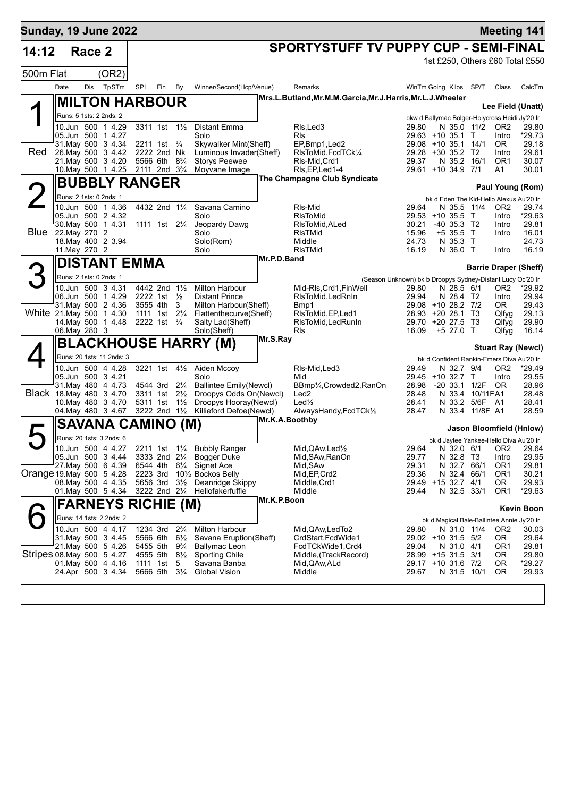| <b>Sunday, 19 June 2022</b> |                         |        |                                          |          |                                                                   |                |                                                            |             |                                                        |                                                            |                            |                                   |                                                            | <b>Meeting 141</b>                         |
|-----------------------------|-------------------------|--------|------------------------------------------|----------|-------------------------------------------------------------------|----------------|------------------------------------------------------------|-------------|--------------------------------------------------------|------------------------------------------------------------|----------------------------|-----------------------------------|------------------------------------------------------------|--------------------------------------------|
| 14:12                       |                         | Race 2 |                                          |          |                                                                   |                |                                                            |             | <b>SPORTYSTUFF TV PUPPY CUP - SEMI-FINAL</b>           |                                                            |                            |                                   |                                                            |                                            |
|                             |                         |        |                                          |          |                                                                   |                |                                                            |             |                                                        |                                                            |                            |                                   |                                                            | 1st £250, Others £60 Total £550            |
| 500m Flat                   |                         |        | (OR2)                                    |          |                                                                   |                |                                                            |             |                                                        |                                                            |                            |                                   |                                                            |                                            |
|                             | Date                    | Dis    | TpSTm                                    | SPI      | Fin                                                               | By             | Winner/Second(Hcp/Venue)                                   |             | Remarks                                                | WinTm Going Kilos SP/T                                     |                            |                                   | Class                                                      | CalcTm                                     |
|                             |                         |        | <b>MILTON HARBOUR</b>                    |          |                                                                   |                |                                                            |             | Mrs.L.Butland,Mr.M.M.Garcia,Mr.J.Harris,Mr.L.J.Wheeler |                                                            |                            |                                   |                                                            | Lee Field (Unatt)                          |
|                             |                         |        | Runs: 5 1sts: 2 2nds: 2                  |          |                                                                   |                |                                                            |             |                                                        |                                                            |                            |                                   | bkw d Ballymac Bolger-Holycross Heidi Jy'20 Ir             |                                            |
|                             |                         |        | 10.Jun 500 1 4.29                        |          | 3311 1st 11/2                                                     |                | Distant Emma                                               |             | RIs, Led 3                                             | 29.80                                                      |                            | N 35.0 11/2                       | OR <sub>2</sub>                                            | 29.80                                      |
|                             |                         |        | 05.Jun 500 1 4.27<br>31 May 500 3 4.34   |          | 2211 1st                                                          | $\frac{3}{4}$  | Solo<br>Skywalker Mint(Sheff)                              |             | <b>R</b> ls<br>EP,Bmp1,Led2                            | 29.63 +10 35.1 T<br>29.08 +10 35.1 14/1                    |                            |                                   | Intro<br>OR.                                               | *29.73<br>29.18                            |
| Red                         |                         |        | 26. May 500 3 4.42                       |          | 2222 2nd Nk                                                       |                | Luminous Invader(Sheff)                                    |             | RIsToMid, FcdTCk1/4                                    | 29.28 +30 35.2 T2                                          |                            |                                   | Intro                                                      | 29.61                                      |
|                             |                         |        | 21. May 500 3 4.20<br>10. May 500 1 4.25 | 5566 6th | 2111 2nd 3 <sup>3</sup> / <sub>4</sub>                            | $8\frac{3}{4}$ | <b>Storys Peewee</b><br>Moyvane Image                      |             | RIs-Mid, Crd1<br>RIs, EP, Led 1-4                      | 29.37<br>29.61 +10 34.9 7/1                                | N 35.2 16/1                |                                   | OR <sub>1</sub><br>A1                                      | 30.07<br>30.01                             |
|                             |                         |        | <b>BUBBLY RANGER</b>                     |          |                                                                   |                |                                                            |             | The Champagne Club Syndicate                           |                                                            |                            |                                   |                                                            |                                            |
|                             | Runs: 2 1sts: 0 2nds: 1 |        |                                          |          |                                                                   |                |                                                            |             |                                                        |                                                            |                            |                                   |                                                            | Paul Young (Rom)                           |
|                             |                         |        | 10.Jun 500 1 4.36                        |          | 4432 2nd 11/4                                                     |                | Savana Camino                                              |             | RIs-Mid                                                | 29.64                                                      | N 35.5 11/4                |                                   | bk d Eden The Kid-Hello Alexus Au'20 Ir<br>OR <sub>2</sub> | 29.74                                      |
|                             |                         |        | 05.Jun 500 2 4.32                        |          |                                                                   |                | Solo                                                       |             | RIsToMid                                               | 29.53 +10 35.5 T                                           |                            |                                   | Intro                                                      | *29.63                                     |
| Blue                        | 22. May 270             |        | 30. May 500 1 4.31<br>-2                 |          | 1111 1st 21/ <sub>4</sub>                                         |                | Jeopardy Dawg<br>Solo                                      |             | RIsToMid, ALed<br>RIsTMid                              | 30.21<br>15.96                                             | -40 35.3 T2<br>$+535.5$ T  |                                   | Intro<br>Intro                                             | 29.81<br>16.01                             |
|                             |                         |        | 18. May 400 2 3.94                       |          |                                                                   |                | Solo(Rom)                                                  |             | Middle                                                 | 24.73                                                      | N 35.3 T                   |                                   |                                                            | 24.73                                      |
|                             | 11. May 270 2           |        |                                          |          |                                                                   |                | Solo                                                       | Mr.P.D.Band | <b>RIsTMid</b>                                         | 16.19                                                      | N 36.0 T                   |                                   | Intro                                                      | 16.19                                      |
|                             |                         |        | <b>DISTANT EMMA</b>                      |          |                                                                   |                |                                                            |             |                                                        |                                                            |                            |                                   |                                                            | <b>Barrie Draper (Sheff)</b>               |
|                             | Runs: 2 1sts: 0 2nds: 1 |        |                                          |          |                                                                   |                |                                                            |             |                                                        | (Season Unknown) bk b Droopys Sydney-Distant Lucy Oc'20 Ir |                            |                                   |                                                            |                                            |
|                             |                         |        | 10.Jun 500 3 4.31<br>06.Jun 500 1 4.29   | 2222 1st | 4442 2nd 11/2                                                     | $\frac{1}{2}$  | <b>Milton Harbour</b><br><b>Distant Prince</b>             |             | Mid-RIs.Crd1.FinWell<br>RIsToMid, LedRnIn              | 29.80<br>29.94                                             | N 28.5 6/1<br>N 28.4 T2    |                                   | OR <sub>2</sub><br>Intro                                   | *29.92<br>29.94                            |
|                             |                         |        | 31. May 500 2 4.36                       | 3555 4th |                                                                   | 3              | Milton Harbour(Sheff)                                      |             | Bmp1                                                   | 29.08 +10 28.2 7/2                                         |                            |                                   | OR.                                                        | 29.43                                      |
| White 21 May 500 1 4.30     |                         |        | 14 May 500 1 4.48                        |          | 1111 1st 21/ <sub>4</sub><br>2222 1st <sup>3</sup> / <sub>4</sub> |                | Flattenthecurve(Sheff)<br>Salty Lad(Sheff)                 |             | RIsToMid, EP, Led1<br>RIsToMid, LedRunIn               | 28.93<br>29.70                                             | +20 28.1<br>$+20$ 27.5 T3  | Т3                                | Qlfyg<br>Qlfyg                                             | 29.13<br>29.90                             |
|                             | 06. May 280 3           |        |                                          |          |                                                                   |                | Solo(Sheff)                                                |             | RIs                                                    | 16.09                                                      | +5 27.0 T                  |                                   | Qlfyg                                                      | 16.14                                      |
|                             |                         |        |                                          |          |                                                                   |                | <b>BLACKHOUSE HARRY (M)</b>                                | Mr.S.Ray    |                                                        |                                                            |                            |                                   |                                                            | <b>Stuart Ray (Newcl)</b>                  |
|                             |                         |        | Runs: 20 1sts: 11 2nds: 3                |          |                                                                   |                |                                                            |             |                                                        |                                                            |                            |                                   | bk d Confident Rankin-Emers Diva Au'20 Ir                  |                                            |
|                             |                         |        | 10.Jun 500 4 4.28                        |          | 3221 1st $4\frac{1}{2}$                                           |                | Aiden Mccoy                                                |             | RIs-Mid, Led3                                          | 29.49                                                      | N 32.7 9/4                 |                                   | OR <sub>2</sub>                                            | *29.49                                     |
|                             |                         |        | 05.Jun 500 3 4.21<br>31 May 480 4 4.73   |          | 4544 3rd 21/4                                                     |                | Solo<br><b>Ballintee Emily(Newcl)</b>                      |             | Mid<br>BBmp1/ <sub>4</sub> ,Crowded2,RanOn             | 29.45 +10 32.7 T<br>28.98                                  |                            | -20 33.1 1/2F                     | Intro<br><b>OR</b>                                         | 29.55<br>28.96                             |
| Black 18. May 480 3 4.70    |                         |        |                                          | 3311 1st |                                                                   | $2\frac{1}{2}$ | Droopys Odds On(Newcl)                                     |             | Led <sub>2</sub>                                       | 28.48                                                      |                            | N 33.4 10/11FA1                   |                                                            | 28.48                                      |
|                             |                         |        | 10. May 480 3 4.70<br>04. May 480 3 4.67 | 5311 1st | 3222 2nd 11/2                                                     | $1\frac{1}{2}$ | Droopys Hooray(Newcl)<br>Killieford Defoe(Newcl)           |             | $Led\frac{1}{2}$<br>AlwaysHandy,FcdTCk1/2              | 28.41<br>28.47                                             |                            | N 33.2 5/6F A1<br>N 33.4 11/8F A1 |                                                            | 28.41<br>28.59                             |
|                             |                         |        | <b>SAVANA CAMINO (M)</b>                 |          |                                                                   |                |                                                            |             | Mr.K.A.Boothby                                         |                                                            |                            |                                   |                                                            |                                            |
|                             |                         |        | Runs: 20 1sts: 3 2nds: 6                 |          |                                                                   |                |                                                            |             |                                                        |                                                            |                            |                                   | bk d Jaytee Yankee-Hello Diva Au'20 Ir                     | Jason Bloomfield (Hnlow)                   |
|                             |                         |        | 10.Jun 500 4 4.27                        |          |                                                                   |                | 2211 1st 11/4 Bubbly Ranger                                |             | Mid, QAw, Led <sup>1</sup> / <sub>2</sub>              | 29.64                                                      |                            |                                   |                                                            | N 32.0 6/1 OR2 29.64                       |
|                             |                         |        | 05.Jun 500 3 4.44                        |          |                                                                   |                | 3333 2nd 21/4 Bogger Duke                                  |             | Mid, SAw, RanOn                                        | 29.77                                                      | N 32.8 T3                  |                                   | Intro                                                      | 29.95                                      |
| Orange 19 May 500 5 4.28    |                         |        | 27 May 500 6 4.39                        | 2223 3rd |                                                                   |                | 6544 4th 61⁄4 Signet Ace<br>101/ <sub>2</sub> Bockos Belly |             | Mid, SAw<br>Mid, EP, Crd2                              | 29.31<br>29.36                                             | N 32.7 66/1<br>N 32.4 66/1 |                                   | OR <sub>1</sub><br>OR <sub>1</sub>                         | 29.81<br>30.21                             |
|                             |                         |        | 08. May 500 4 4.35                       |          |                                                                   |                | 5656 3rd 31/2 Deanridge Skippy                             |             | Middle, Crd1                                           | 29.49 +15 32.7 4/1                                         |                            |                                   | 0R                                                         | 29.93                                      |
|                             |                         |        | 01 May 500 5 4.34                        |          |                                                                   |                | 3222 2nd 21/4 Hellofakerfuffle                             | Mr.K.P.Boon | Middle                                                 | 29.44                                                      | N 32.5 33/1                |                                   | OR <sub>1</sub>                                            | $*29.63$                                   |
|                             |                         |        | FARNEYS RICHIE (M)                       |          |                                                                   |                |                                                            |             |                                                        |                                                            |                            |                                   |                                                            | <b>Kevin Boon</b>                          |
|                             |                         |        | Runs: 14 1sts: 2 2nds: 2                 |          |                                                                   |                |                                                            |             |                                                        |                                                            |                            |                                   |                                                            | bk d Magical Bale-Ballintee Annie Jy'20 Ir |
|                             |                         |        | 10.Jun 500 4 4.17<br>31 May 500 3 4.45   |          | 1234 3rd 2 <sup>3</sup> / <sub>4</sub><br>5566 6th 61/2           |                | <b>Milton Harbour</b><br>Savana Eruption(Sheff)            |             | Mid, QAw, Led To 2<br>CrdStart, FcdWide1               | 29.80<br>29.02 +10 31.5 5/2                                | N 31.0 11/4                |                                   | OR <sub>2</sub><br>OR.                                     | 30.03<br>29.64                             |
|                             |                         |        | 21. May 500 5 4.26                       |          | 5455 5th 9 <sup>3</sup> / <sub>4</sub>                            |                | <b>Ballymac Leon</b>                                       |             | FcdTCkWide1,Crd4                                       | 29.04                                                      | N 31.0 4/1                 |                                   | OR1                                                        | 29.81                                      |
| Stripes 08 May 500 5 4.27   |                         |        | 01. May 500 4 4.16                       | 1111 1st |                                                                   | -5             | 4555 5th 81/2 Sporting Chile<br>Savana Banba               |             | Middle, (TrackRecord)<br>Mid, QAw, ALd                 | 28.99 +15 31.5 3/1<br>29.17 +10 31.6 7/2                   |                            |                                   | OR.<br>0R                                                  | 29.80<br>$*29.27$                          |
|                             |                         |        | 24.Apr 500 3 4.34                        |          | 5666 5th 31/4                                                     |                | Global Vision                                              |             | Middle                                                 | 29.67                                                      | N 31.5 10/1                |                                   | OR.                                                        | 29.93                                      |
|                             |                         |        |                                          |          |                                                                   |                |                                                            |             |                                                        |                                                            |                            |                                   |                                                            |                                            |
|                             |                         |        |                                          |          |                                                                   |                |                                                            |             |                                                        |                                                            |                            |                                   |                                                            |                                            |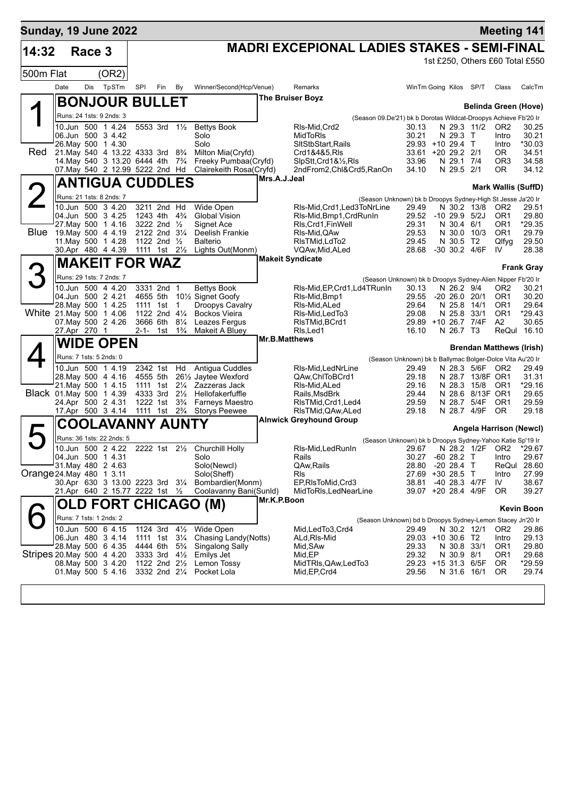| <b>Sunday, 19 June 2022</b> |      |              |                                                                                            |          |                                                        |                |                                                                                              |               |                                                                                            |                                                                    |                                 |                                 | <b>Meeting 141</b>                    |                   |
|-----------------------------|------|--------------|--------------------------------------------------------------------------------------------|----------|--------------------------------------------------------|----------------|----------------------------------------------------------------------------------------------|---------------|--------------------------------------------------------------------------------------------|--------------------------------------------------------------------|---------------------------------|---------------------------------|---------------------------------------|-------------------|
| 14:32                       |      | Race 3       |                                                                                            |          |                                                        |                |                                                                                              |               | <b>MADRI EXCEPIONAL LADIES STAKES - SEMI-FINAL</b>                                         |                                                                    |                                 |                                 |                                       |                   |
|                             |      |              |                                                                                            |          |                                                        |                |                                                                                              |               |                                                                                            |                                                                    |                                 |                                 | 1st £250, Others £60 Total £550       |                   |
| 500m Flat                   |      |              | (OR2)                                                                                      |          |                                                        |                |                                                                                              |               |                                                                                            |                                                                    |                                 |                                 |                                       |                   |
|                             | Date | Dis          | TpSTm                                                                                      | SPI      | Fin By                                                 |                | Winner/Second(Hcp/Venue)                                                                     |               | Remarks                                                                                    | WinTm Going Kilos SP/T                                             |                                 |                                 | Class                                 | CalcTm            |
|                             |      |              | <b>BONJOUR BULLET</b>                                                                      |          |                                                        |                |                                                                                              |               | The Bruiser Boyz                                                                           |                                                                    |                                 |                                 | Belinda Green (Hove)                  |                   |
|                             |      |              | Runs: 24 1sts: 9 2nds: 3                                                                   |          |                                                        |                |                                                                                              |               | (Season 09.De'21) bk b Dorotas Wildcat-Droopys Achieve Fb'20 Ir                            |                                                                    |                                 |                                 |                                       |                   |
|                             |      |              | 10.Jun 500 1 4.24<br>06.Jun 500 3 4.42                                                     |          | 5553 3rd 11/2                                          |                | <b>Bettys Book</b><br>Solo                                                                   |               | RIs-Mid, Crd2<br>MidToRIs                                                                  | 30.13<br>30.21                                                     | N 29.3 T                        | N 29.3 11/2                     | OR <sub>2</sub><br>Intro              | 30.25<br>30.21    |
|                             |      |              | 26. May 500 1 4.30                                                                         |          |                                                        |                | Solo                                                                                         |               | SItStbStart, Rails                                                                         | 29.93 +10 29.4 T                                                   |                                 |                                 | Intro                                 | *30.03            |
| <b>Red</b>                  |      |              | 21. May 540 4 13.22 4333 3rd 8 <sup>3</sup> / <sub>4</sub><br>14. May 540 3 13.20 6444 4th |          |                                                        | $7\frac{3}{4}$ | Milton Mia(Cryfd)<br>Freeky Pumbaa(Cryfd)                                                    |               | Crd1&4&5, RIs<br>SlpStt, Crd1&1/2, RIs                                                     | 33.61 +20 29.2 2/1<br>33.96                                        | N 29.1 7/4                      |                                 | OR.<br>OR3                            | 34.51<br>34.58    |
|                             |      |              | 07. May 540 2 12.99 5222 2nd Hd                                                            |          |                                                        |                | Clairekeith Rosa(Cryfd)                                                                      |               | 2ndFrom2, Chl&Crd5, RanOn                                                                  | 34.10                                                              | N 29.5 2/1                      |                                 | <b>OR</b>                             | 34.12             |
|                             |      |              | <b>ANTIGUA CUDDLES</b>                                                                     |          |                                                        |                |                                                                                              | Mrs.A.J.Jeal  |                                                                                            |                                                                    |                                 |                                 | <b>Mark Wallis (SuffD)</b>            |                   |
|                             |      |              | Runs: 21 1sts: 8 2nds: 7                                                                   |          |                                                        |                |                                                                                              |               | (Season Unknown) bk b Droopys Sydney-High St Jesse Ja'20 Ir                                |                                                                    |                                 |                                 |                                       |                   |
|                             |      |              | 10.Jun 500 3 4.20                                                                          |          | 3211 2nd Hd                                            |                | Wide Open                                                                                    |               | RIs-Mid, Crd1, Led3ToNrLine                                                                | 29.49                                                              |                                 | N 30.2 13/8                     | OR <sub>2</sub>                       | 29.51             |
|                             |      |              | 04.Jun 500 3 4.25<br>27. May 500 1 4.16                                                    |          | 1243 4th 4 <sup>3</sup> / <sub>4</sub><br>3222 2nd 1/2 |                | Global Vision<br>Signet Ace                                                                  |               | RIs-Mid, Bmp1, CrdRunIn<br>RIs, Crd1, Fin Well                                             | 29.52<br>29.31                                                     | $-10$ 29.9 $5/2J$<br>N 30.4 6/1 |                                 | OR <sub>1</sub><br>OR1                | 29.80<br>*29.35   |
| Blue                        |      |              | 19. May 500 4 4.19                                                                         |          | 2122 2nd 31/4                                          |                | Deelish Frankie                                                                              |               | RIs-Mid, QAw                                                                               | 29.53                                                              | N 30.0                          | 10/3                            | OR <sub>1</sub>                       | 29.79             |
|                             |      |              | 11. May 500 1 4.28<br>30.Apr 480 4 4.39                                                    |          | 1122 2nd $\frac{1}{2}$<br>1111 1st 21/ <sub>2</sub>    |                | <b>Balterio</b><br>Lights Out(Monm)                                                          |               | RIsTMid, LdTo2<br>VQAw, Mid, ALed                                                          | 29.45<br>28.68                                                     | N 30.5                          | T2<br>-30 30.2 4/6F             | Qlfyg<br>IV                           | 29.50<br>28.38    |
|                             |      |              | <b>MAKEIT FOR WAZ</b>                                                                      |          |                                                        |                |                                                                                              |               | <b>Makeit Syndicate</b>                                                                    |                                                                    |                                 |                                 |                                       |                   |
| 3                           |      |              | Runs: 29 1sts: 7 2nds: 7                                                                   |          |                                                        |                |                                                                                              |               |                                                                                            |                                                                    |                                 |                                 |                                       | <b>Frank Gray</b> |
|                             |      |              | 10.Jun 500 4 4.20                                                                          |          | 3331 2nd 1                                             |                | <b>Bettys Book</b>                                                                           |               | (Season Unknown) bk b Droopys Sydney-Alien Nipper Fb'20 Ir<br>RIs-Mid, EP, Crd1, Ld4TRunIn | 30.13                                                              | N 26.2 9/4                      |                                 | OR2                                   | 30.21             |
|                             |      |              | 04.Jun 500 2 4.21                                                                          | 4655 5th |                                                        |                | 10 <sup>1</sup> / <sub>2</sub> Signet Goofy                                                  |               | RIs-Mid, Bmp1                                                                              | 29.55                                                              | $-20$ 26.0 20/1                 |                                 | OR <sub>1</sub>                       | 30.20             |
| White 21. May 500 1 4.06    |      |              | 28. May 500 1 4.25                                                                         |          | 1111 1st 1<br>1122 2nd 41/4                            |                | Droopys Cavalry<br><b>Bockos Vieira</b>                                                      |               | RIs-Mid, ALed<br>RIs-Mid, Led To 3                                                         | 29.64<br>29.08                                                     | N 25.8 14/1<br>N 25.8           | 33/1                            | OR <sub>1</sub><br>OR <sub>1</sub>    | 29.64<br>$*29.43$ |
|                             |      |              | 07. May 500 2 4.26                                                                         | 3666 6th |                                                        | $8\frac{1}{4}$ | Leazes Fergus                                                                                |               | RIsTMid, BCrd1                                                                             | 29.89 +10 26.7 7/4F                                                |                                 |                                 | A2                                    | 30.65             |
|                             |      | 27.Apr 270 1 | <b>WIDE OPEN</b>                                                                           | 2-1-     | 1st                                                    | $1\frac{3}{4}$ | Makeit A Bluey                                                                               | Mr.B.Matthews | RIs, Led1                                                                                  | 16.10                                                              | N 26.7 T3                       |                                 | ReQul 16.10                           |                   |
|                             |      |              |                                                                                            |          |                                                        |                |                                                                                              |               |                                                                                            |                                                                    |                                 |                                 | <b>Brendan Matthews (Irish)</b>       |                   |
|                             |      |              | Runs: 7 1sts: 5 2nds: 0<br>10.Jun 500 1 4.19                                               |          | 2342 1st Hd                                            |                | Antigua Cuddles                                                                              |               | RIs-Mid, LedNrLine                                                                         | (Season Unknown) bk b Ballymac Bolger-Dolce Vita Au'20 Ir<br>29.49 |                                 | N 28.3 5/6F                     | OR2                                   | 29.49             |
|                             |      |              | 28. May 500 4 4.16                                                                         | 4555 5th |                                                        |                | 261/2 Jaytee Wexford                                                                         |               | QAw,ChlToBCrd1                                                                             | 29.18                                                              |                                 | N 28.7 13/8F OR1                |                                       | 31.31             |
|                             |      |              | 21.May 500 1 4.15<br>Black 01 May 500 1 4.39                                               | 4333 3rd | 1111 1st 21/ <sub>4</sub>                              | $2\frac{1}{2}$ | Zazzeras Jack<br>Hellofakerfuffle                                                            |               | RIs-Mid, ALed<br>Rails, MsdBrk                                                             | 29.16<br>29.44                                                     |                                 | N 28.3 15/8<br>N 28.6 8/13F OR1 | OR <sub>1</sub>                       | *29.16<br>29.65   |
|                             |      |              | 24.Apr 500 2 4.31                                                                          |          | 1222 1st                                               | $3\frac{3}{4}$ | <b>Farneys Maestro</b>                                                                       |               | RIsTMid, Crd1, Led4                                                                        | 29.59                                                              |                                 | N 28.7 5/4F                     | OR <sub>1</sub>                       | 29.59             |
|                             |      |              | 17.Apr 500 3 4.14                                                                          |          | 1111 1st 2 <sup>3</sup> / <sub>4</sub>                 |                | <b>Storys Peewee</b>                                                                         |               | RIsTMid, QAw, ALed<br><b>Alnwick Greyhound Group</b>                                       | 29.18                                                              |                                 | N 28.7 4/9F                     | <b>OR</b>                             | 29.18             |
|                             |      |              | <b>COOLAVANNY AUNTY</b>                                                                    |          |                                                        |                |                                                                                              |               |                                                                                            |                                                                    |                                 |                                 | Angela Harrison (Newcl)               |                   |
|                             |      |              | Runs: 36 1sts: 22 2nds: 5                                                                  |          |                                                        |                |                                                                                              |               | (Season Unknown) bk b Droopys Sydney-Yahoo Katie Sp'19 Ir                                  |                                                                    |                                 |                                 |                                       |                   |
|                             |      |              | 10.Jun 500 2 4.22<br>04.Jun 500 1 4.31                                                     |          |                                                        |                | 2222 1st 21/2 Churchill Holly<br>Solo                                                        |               | RIs-Mid, Led RunIn<br>Rails                                                                | 30.27 -60 28.2 T                                                   |                                 |                                 | 29.67 N 28.2 1/2F OR2 *29.67<br>Intro | 29.67             |
|                             |      |              | 31 May 480 2 4.63                                                                          |          |                                                        |                | Solo(Newcl)                                                                                  |               | QAw, Rails                                                                                 | 28.80                                                              | $-20$ 28.4 T                    |                                 | ReQul                                 | 28.60             |
| Orange 24. May 480 1 3.11   |      |              |                                                                                            |          |                                                        |                | Solo(Sheff)<br>30.Apr 630 3 13.00 2223 3rd 31/4 Bombardier(Monm)                             |               | <b>RIs</b><br>EP, RIsToMid, Crd3                                                           | 27.69 +30 28.5 T<br>38.81                                          |                                 | -40 28.3 4/7F                   | Intro<br>IV                           | 27.99<br>38.67    |
|                             |      |              | 21.Apr 640 2 15.77 2222 1st 1/2                                                            |          |                                                        |                | Coolavanny Bani(Sunld)                                                                       |               | MidToRIs, LedNearLine                                                                      | 39.07 +20 28.4 4/9F                                                |                                 |                                 | 0R                                    | 39.27             |
|                             |      |              |                                                                                            |          |                                                        |                | OLD FORT CHICAGO (M)                                                                         | Mr.K.P.Boon   |                                                                                            |                                                                    |                                 |                                 |                                       | <b>Kevin Boon</b> |
|                             |      |              | Runs: 7 1sts: 1 2nds: 2                                                                    |          |                                                        |                |                                                                                              |               | (Season Unknown) bd b Droopys Sydney-Lemon Stacey Jn'20 Ir                                 |                                                                    |                                 |                                 |                                       |                   |
|                             |      |              | 10.Jun 500 6 4.15                                                                          |          |                                                        |                | 1124 3rd 41/ <sub>2</sub> Wide Open                                                          |               | Mid,LedTo3,Crd4                                                                            | 29.49                                                              |                                 | N 30.2 12/1                     | OR <sub>2</sub>                       | 29.86             |
|                             |      |              | 06.Jun 480 34.14<br>28. May 500 6 4.35                                                     |          |                                                        |                | 1111 1st 31/4 Chasing Landy(Notts)<br>4444 6th 5 <sup>3</sup> / <sub>4</sub> Singalong Sally |               | ALd, RIs-Mid<br>Mid, SAw                                                                   | 29.03 +10 30.6 T2<br>29.33                                         | N 30.8 33/1                     |                                 | Intro<br>OR <sub>1</sub>              | 29.13<br>29.80    |
| Stripes 20 May 500 4 4.20   |      |              |                                                                                            |          |                                                        |                | 3333 3rd 41/2 Emilys Jet                                                                     |               | Mid, EP                                                                                    | 29.32                                                              | N 30.9 8/1                      |                                 | OR1                                   | 29.68             |
|                             |      |              | 08. May 500 3 4.20                                                                         |          |                                                        |                | 1122 2nd 21/ <sub>2</sub> Lemon Tossy<br>01. May 500 5 4.16 3332 2nd 21/4 Pocket Lola        |               | MidTRIs, QAw, Led To 3<br>Mid, EP, Crd4                                                    | 29.23 +15 31.3 6/5F<br>29.56                                       | N 31.6 16/1                     |                                 | OR.<br>OR.                            | $*29.59$<br>29.74 |
|                             |      |              |                                                                                            |          |                                                        |                |                                                                                              |               |                                                                                            |                                                                    |                                 |                                 |                                       |                   |
|                             |      |              |                                                                                            |          |                                                        |                |                                                                                              |               |                                                                                            |                                                                    |                                 |                                 |                                       |                   |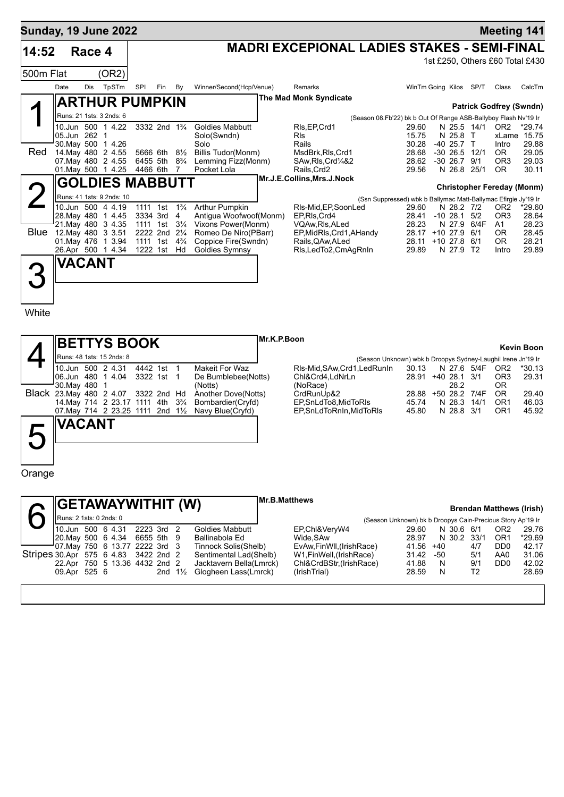|             |      |               | <b>Sunday, 19 June 2022</b> |          |                                        |                |                                       |                                                    |                                                                         |                         |                | <b>Meeting 141</b>                |                   |
|-------------|------|---------------|-----------------------------|----------|----------------------------------------|----------------|---------------------------------------|----------------------------------------------------|-------------------------------------------------------------------------|-------------------------|----------------|-----------------------------------|-------------------|
| 14:52       |      | Race 4        |                             |          |                                        |                |                                       | <b>MADRI EXCEPIONAL LADIES STAKES - SEMI-FINAL</b> |                                                                         |                         |                |                                   |                   |
| 500m Flat   |      |               | (OR2)                       |          |                                        |                |                                       |                                                    |                                                                         |                         |                | 1st £250, Others £60 Total £430   |                   |
|             | Date | <b>Dis</b>    | TpSTm                       | SPI      | Fin                                    | By             | Winner/Second(Hcp/Venue)              | Remarks                                            | WinTm Going Kilos                                                       |                         | SP/T           | Class                             | CalcTm            |
|             |      |               | <b>ARTHUR PUMPKIN</b>       |          |                                        |                |                                       | <b>The Mad Monk Syndicate</b>                      |                                                                         |                         |                | <b>Patrick Godfrey (Swndn)</b>    |                   |
|             |      |               | Runs: 21 1sts: 3 2nds: 6    |          |                                        |                |                                       |                                                    | (Season 08.Fb'22) bk b Out Of Range ASB-Ballyboy Flash Nv'19 Ir         |                         |                |                                   |                   |
|             |      | 05.Jun 262    | 10.Jun 500 1 4.22           |          | 3332 2nd 1 <sup>3</sup> / <sub>4</sub> |                | <b>Goldies Mabbutt</b><br>Solo(Swndn) | RIs, EP, Crd1<br><b>RIs</b>                        | 29.60<br>15.75                                                          | N 25.8                  | N 25.5 14/1    | OR <sub>2</sub><br>xLame          | $*29.74$<br>15.75 |
| Red         |      | 30. May 500   | 1 4.26<br>14 May 480 2 4.55 | 5666 6th |                                        | $8\frac{1}{2}$ | Solo<br>Billis Tudor(Monm)            | Rails<br>MsdBrk, RIs, Crd1                         | 30.28<br>28.68                                                          | -40 25.7<br>$-30, 26.5$ | $\top$<br>12/1 | Intro<br>OR.                      | 29.88<br>29.05    |
|             |      |               | 07 May 480 2 4.55           | 6455 5th |                                        | $8\frac{3}{4}$ | Lemming Fizz(Monm)                    | SAw, RIs, Crd1/4&2                                 | 28.62                                                                   | $-30, 26.7$             | 9/1            | OR <sub>3</sub>                   | 29.03             |
|             |      |               | 01. May 500 1 4.25          | 4466 6th |                                        | 7              | Pocket Lola                           | Rails, Crd2                                        | 29.56                                                                   | N 26.8                  | 25/1           | OR.                               | 30.11             |
|             |      |               | <b>GOLDIES MABBUTT</b>      |          |                                        |                |                                       | Mr.J.E.Collins, Mrs.J.Nock                         |                                                                         |                         |                |                                   |                   |
|             |      |               | Runs: 41 1sts: 9 2nds: 10   |          |                                        |                |                                       |                                                    |                                                                         |                         |                | <b>Christopher Fereday (Monm)</b> |                   |
|             |      |               | 10.Jun 500 4 4.19           | 1111     | 1st                                    | $1\frac{3}{4}$ | <b>Arthur Pumpkin</b>                 | RIs-Mid, EP, SoonLed                               | (Ssn Suppressed) wbk b Ballymac Matt-Ballymac Efirgie Jy'19 Ir<br>29.60 | N 28.2 7/2              |                | OR <sub>2</sub>                   | *29.60            |
|             |      | 28. May 480   | 1 4.45                      | 3334 3rd |                                        | 4              | Antigua Woofwoof(Monm)                | EP.RIs.Crd4                                        | 28.41                                                                   | $-10, 28.1$             | 5/2            | OR <sub>3</sub>                   | 28.64             |
|             |      |               | 21. May 480 3 4.35          |          | 1111 1st                               | $3\frac{1}{4}$ | Vixons Power(Monm)                    | VQAw.RIs.ALed                                      | 28.23                                                                   | N 27.9                  | 6/4F           | A1                                | 28.23             |
| <b>Blue</b> |      |               | 12. May 480 3 3.51          |          | 2222 2nd 21/4                          |                | Romeo De Niro(PBarr)                  | EP, MidRIs, Crd1, AHandy                           | 28.17                                                                   | $+10, 27.9$             | 6/1            | 0 <sub>R</sub>                    | 28.45             |
|             |      | 01. May 476   | 1 3.94                      | 1111     | 1st $4\frac{3}{4}$                     |                | Coppice Fire(Swndn)                   | Rails, QAw, ALed                                   | 28.11                                                                   | $+10, 27.8$             | 6/1            | 0 <sub>R</sub>                    | 28.21             |
|             |      |               | 26.Apr 500 1 4.34           |          | 1222 1st Hd                            |                | Goldies Symnsy                        | RIs, Led To 2, Cm Ag Rn In                         | 29.89                                                                   | N 27.9                  | T <sub>2</sub> | Intro                             | 29.89             |
|             |      | <b>VACANT</b> |                             |          |                                        |                |                                       |                                                    |                                                                         |                         |                |                                   |                   |
|             |      |               |                             |          |                                        |                |                                       |                                                    |                                                                         |                         |                |                                   |                   |

**White** 

| <b>BETTYS BOOK</b>                                         |             |                     | Mr.K.P.Boon                                                  |       |              |      |             |                 | <b>Kevin Boon</b> |
|------------------------------------------------------------|-------------|---------------------|--------------------------------------------------------------|-------|--------------|------|-------------|-----------------|-------------------|
| Runs: 48 1sts: 15 2nds: 8                                  |             |                     | (Season Unknown) wbk b Droopys Sydney-Laughil Irene Jn'19 Ir |       |              |      |             |                 |                   |
| 10.Jun 500 2 4.31                                          | 4442 1st    | Makeit For Waz      | RIs-Mid, SAw, Crd1, Led Run In                               | 30.13 |              |      | N 27.6 5/4F | OR <sub>2</sub> | *30.13            |
| 106.Jun 480 1 4.04                                         | 3322 1st 1  | De Bumblebee(Notts) | Chl&Crd4,LdNrLn                                              | 28.91 | +40 28.1 3/1 |      |             | OR <sub>3</sub> | 29.31             |
| 30. May 480 1                                              |             | (Notts)             | (NoRace)                                                     |       |              | 28.2 |             | OR              |                   |
| Black 23. May 480 2 4.07                                   | 3322 2nd Hd | Another Dove(Notts) | CrdRunUp&2                                                   | 28.88 | +50 28.2     |      | 7/4F        | <b>OR</b>       | 29.40             |
| 14. May 714 2 23.17 1111 4th 3 <sup>3</sup> / <sub>4</sub> |             | Bombardier(Cryfd)   | EP.SnLdTo8.MidToRIs                                          | 45.74 | N 28.3       |      | 14/1        | OR1             | 46.03             |
| 07. May 714 2 23.25 1111 2nd $1\frac{1}{2}$                |             | Navy Blue(Cryfd)    | EP.SnLdToRnIn.MidToRIs                                       | 45.80 | N 28.8 3/1   |      |             | OR1             | 45.92             |
| <b>VACANT</b>                                              |             |                     |                                                              |       |              |      |             |                 |                   |

**Orange** 

|                                      |                          | <b>SETAWAYWITHIT (W)</b>      |            |                    |                         | Mr.B.Matthews |                            |                                                            |     |             |     |                             | <b>Brendan Matthews (Irish)</b> |
|--------------------------------------|--------------------------|-------------------------------|------------|--------------------|-------------------------|---------------|----------------------------|------------------------------------------------------------|-----|-------------|-----|-----------------------------|---------------------------------|
|                                      | IRuns: 2 1sts: 0 2nds: 0 |                               |            |                    |                         |               |                            | (Season Unknown) bk b Droopys Cain-Precious Story Ap'19 Ir |     |             |     |                             |                                 |
|                                      |                          | 10.Jun 500 6 4.31             | 2223 3rd 2 |                    | <b>Goldies Mabbutt</b>  |               | EP, Chl&VeryW4             | 29.60                                                      |     | N 30.6 6/1  |     | OR <sub>2</sub>             | 29.76                           |
|                                      |                          | 20. May 500 6 4.34            | 6655 5th 9 |                    | Ballinabola Ed          |               | Wide.SAw                   | 28.97                                                      |     | N 30.2 33/1 |     | OR <sub>1</sub>             | *29.69                          |
|                                      |                          | 07 May 750 6 13.77 2222 3rd 3 |            |                    | Tinnock Solis(Shelb)    |               | EvAw, FinWll, (Irish Race) | 41.56                                                      | +40 |             | 4/7 | D <sub>D</sub> <sub>0</sub> | 42.17                           |
| Stripes 30.Apr 575 6 4.83 3422 2nd 2 |                          |                               |            |                    | Sentimental Lad(Shelb)  |               | W1, Fin Well, (Irish Race) | 31.42                                                      | -50 |             | 5/1 | AA0                         | 31.06                           |
|                                      |                          | 22.Apr 750 5 13.36 4432 2nd 2 |            |                    | Jacktavern Bella(Lmrck) |               | Chl&CrdBStr,(IrishRace)    | 41.88                                                      | N.  |             | 9/1 | DD <sub>0</sub>             | 42.02                           |
|                                      | 09.Apr 525 6             |                               |            | 2nd $1\frac{1}{2}$ | Glogheen Lass(Lmrck)    |               | (IrishTrial)               | 28.59                                                      | N   |             | T2  |                             | 28.69                           |
|                                      |                          |                               |            |                    |                         |               |                            |                                                            |     |             |     |                             |                                 |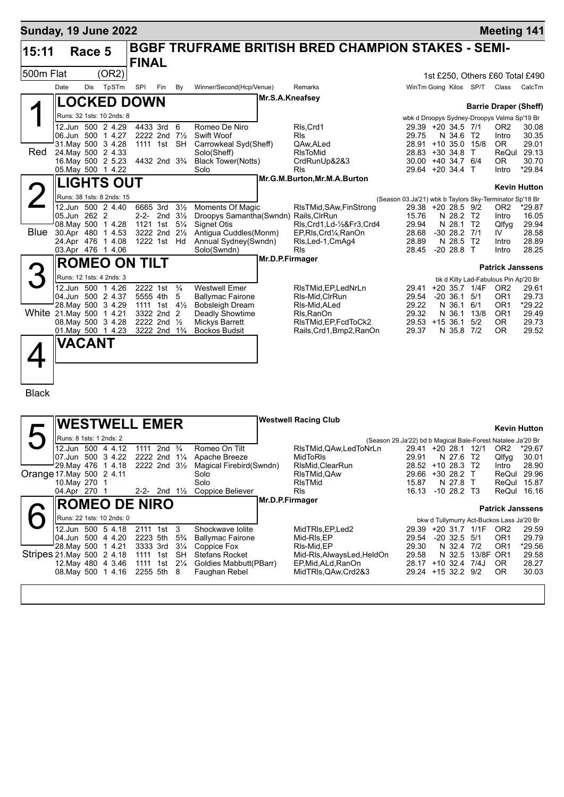| <b>Sunday, 19 June 2022</b> |      |               |                                               |                                                                                |                                  |                                                 |                 |                                                           |                                                                               |                              |                              | <b>Meeting 141</b>                                                          |                            |
|-----------------------------|------|---------------|-----------------------------------------------|--------------------------------------------------------------------------------|----------------------------------|-------------------------------------------------|-----------------|-----------------------------------------------------------|-------------------------------------------------------------------------------|------------------------------|------------------------------|-----------------------------------------------------------------------------|----------------------------|
| 15:11                       |      | Race 5        |                                               |                                                                                |                                  |                                                 |                 | <b>BGBF TRUFRAME BRITISH BRED CHAMPION STAKES - SEMI-</b> |                                                                               |                              |                              |                                                                             |                            |
| 500m Flat                   |      |               | (OR2)                                         | <b>FINAL</b>                                                                   |                                  |                                                 |                 |                                                           |                                                                               |                              |                              | 1st £250, Others £60 Total £490                                             |                            |
|                             | Date | Dis           | TpSTm                                         | SPI<br>Fin                                                                     | By                               | Winner/Second(Hcp/Venue)                        |                 | Remarks                                                   |                                                                               |                              | WinTm Going Kilos SP/T Class |                                                                             | CalcTm                     |
|                             |      |               |                                               | <b>LOCKED DOWN</b>                                                             |                                  |                                                 | Mr.S.A.Kneafsey |                                                           |                                                                               |                              |                              |                                                                             |                            |
|                             |      |               | Runs: 32 1sts: 10 2nds: 8                     |                                                                                |                                  |                                                 |                 |                                                           |                                                                               |                              |                              | <b>Barrie Draper (Sheff)</b><br>wbk d Droopys Sydney-Droopys Velma Sp'19 Br |                            |
|                             |      |               | 12.Jun 500 2 4.29                             | 4433 3rd                                                                       | 6                                | Romeo De Niro                                   |                 | RIs, Crd1                                                 | 29.39 +20 34.5 7/1                                                            |                              |                              | OR2                                                                         | 30.08                      |
|                             |      |               | 06.Jun 500 1 4.27<br>31. May 500 3 4.28       | 2222 2nd $7\frac{1}{2}$<br>1111 1st SH                                         |                                  | Swift Woof<br>Carrowkeal Syd(Sheff)             |                 | <b>RIs</b><br>QAw, ALed                                   | 29.75<br>28.91 +10 35.0 15/8                                                  | N 34.6                       | T2                           | Intro<br>OR.                                                                | 30.35<br>29.01             |
| Red                         |      |               | 24. May 500 2 4.33                            |                                                                                |                                  | Solo(Sheff)                                     |                 | RIsToMid                                                  | $28.83 + 30.34.8$                                                             |                              | $\top$                       |                                                                             | ReQul 29.13                |
|                             |      |               | 16. May 500 2 5.23<br>05. May 500 1 4.22      | 4432 2nd 3 <sup>3</sup> / <sub>4</sub>                                         |                                  | <b>Black Tower(Notts)</b><br>Solo               |                 | CrdRunUp&2&3<br>Rls                                       | 30.00 +40 34.7 6/4<br>29.64 +20 34.4 T                                        |                              |                              | OR.<br>Intro                                                                | 30.70<br>*29.84            |
|                             |      |               | <b>LIGHTS OUT</b>                             |                                                                                |                                  |                                                 |                 | Mr.G.M.Burton, Mr.M.A.Burton                              |                                                                               |                              |                              |                                                                             |                            |
|                             |      |               | Runs: 38 1sts: 8 2nds: 15                     |                                                                                |                                  |                                                 |                 |                                                           |                                                                               |                              |                              |                                                                             | <b>Kevin Hutton</b>        |
|                             |      |               | 12.Jun 500 2 4.40                             | 6665 3rd                                                                       | $3\frac{1}{2}$                   | Moments Of Magic                                |                 | RIsTMid, SAw, FinStrong                                   | (Season 03.Ja'21) wbk b Taylors Sky-Terminator Sp'18 Br<br>29.38 +20 28.5 9/2 |                              |                              | OR <sub>2</sub>                                                             | *29.87                     |
|                             |      | 05.Jun 262 2  |                                               | 2-2- 2nd                                                                       | $3\frac{1}{2}$                   | Droopys Samantha(Swndn) Rails, ClrRun           |                 |                                                           | 15.76                                                                         | N 28.2 T2                    |                              | Intro                                                                       | 16.05                      |
| <b>Blue</b>                 |      |               | 08. May 500 1 4.28<br>30.Apr 480 1 4.53       | 1121 1st<br>3222 2nd                                                           | $5\frac{1}{4}$<br>$2\frac{1}{2}$ | <b>Signet Otis</b><br>Antigua Cuddles(Monm)     |                 | RIs, Crd1, Ld-1/2&Fr3, Crd4<br>EP, RIs, Crd1/4, RanOn     | 29.94<br>28.68                                                                | N 28.1 T2<br>$-3028.2$       | 7/1                          | Qlfyq<br>IV                                                                 | 29.94<br>28.58             |
|                             |      |               | 24.Apr 476 1 4.08                             | 1222 1st Hd                                                                    |                                  | Annual Sydney(Swndn)                            |                 | Rls, Led-1, CmAg4                                         | 28.89                                                                         | N 28.5                       | T <sub>2</sub>               | Intro                                                                       | 28.89                      |
|                             |      |               | 03.Apr 476 1 4.06                             |                                                                                |                                  | Solo(Swndn)                                     | Mr.D.P.Firmager | Rls                                                       | 28.45                                                                         | $-20$ 28.8 T                 |                              | Intro                                                                       | 28.25                      |
|                             |      |               |                                               | <b>ROMEO ON TILT</b>                                                           |                                  |                                                 |                 |                                                           |                                                                               |                              |                              | <b>Patrick Janssens</b>                                                     |                            |
|                             |      |               | Runs: 12 1sts: 4 2nds: 3                      |                                                                                |                                  |                                                 |                 |                                                           |                                                                               |                              |                              | bk d Kilty Lad-Fabulous Pin Ap'20 Br                                        |                            |
|                             |      |               | 12.Jun 500 1 4.26<br>04.Jun 500 2 4.37        | 2222 1st<br>5555 4th                                                           | $\frac{3}{4}$<br>5               | <b>Westwell Emer</b><br><b>Ballymac Fairone</b> |                 | RIsTMid, EP, LedNrLn<br>RIs-Mid, CIrRun                   | 29.54                                                                         | $-20, 36.1$                  | 29.41 +20 35.7 1/4F<br>5/1   | OR <sub>2</sub><br>OR1                                                      | 29.61<br>29.73             |
|                             |      |               | 28. May 500 3 4.29                            | 1111 1st                                                                       | $4\frac{1}{2}$                   | <b>Bobsleigh Dream</b>                          |                 | RIs-Mid, ALed                                             | 29.22                                                                         | N 36.1 6/1                   |                              | OR1                                                                         | *29.22                     |
|                             |      |               | White 21.May 500 1 4.21<br>08. May 500 3 4.28 | 3322 2nd 2<br>2222 2nd 1/2                                                     |                                  | Deadly Showtime<br>Mickys Barrett               |                 | Rls, RanOn<br>RIsTMid, EP, FcdToCk2                       | 29.32<br>29.53 +15 36.1                                                       |                              | N 36.1 13/8<br>5/2           | OR <sub>1</sub><br>OR.                                                      | 29.49<br>29.73             |
|                             |      |               | 01. May 500 1 4.23                            | 3222 2nd 1 <sup>3</sup> / <sub>4</sub>                                         |                                  | <b>Bockos Budsit</b>                            |                 | Rails, Crd1, Bmp2, RanOn                                  | 29.37                                                                         | N 35.8 7/2                   |                              | OR.                                                                         | 29.52                      |
|                             |      | VACANT        |                                               |                                                                                |                                  |                                                 |                 |                                                           |                                                                               |                              |                              |                                                                             |                            |
|                             |      |               |                                               |                                                                                |                                  |                                                 |                 |                                                           |                                                                               |                              |                              |                                                                             |                            |
|                             |      |               |                                               |                                                                                |                                  |                                                 |                 |                                                           |                                                                               |                              |                              |                                                                             |                            |
|                             |      |               |                                               |                                                                                |                                  |                                                 |                 |                                                           |                                                                               |                              |                              |                                                                             |                            |
| <b>Black</b>                |      |               |                                               |                                                                                |                                  |                                                 |                 |                                                           |                                                                               |                              |                              |                                                                             |                            |
|                             |      |               |                                               |                                                                                |                                  |                                                 |                 |                                                           |                                                                               |                              |                              |                                                                             |                            |
|                             |      |               |                                               | <b>WESTWELL EMER</b>                                                           |                                  |                                                 |                 | <b>Westwell Racing Club</b>                               |                                                                               |                              |                              |                                                                             | <b>Kevin Hutton</b>        |
|                             |      |               | Runs: 8 1sts: 1 2nds: 2                       |                                                                                |                                  |                                                 |                 |                                                           | (Season 29.Ja'22) bd b Magical Bale-Forest Natalee Ja'20 Br                   |                              |                              |                                                                             |                            |
|                             |      |               | 12.Jun 500 4 4.12<br>07.Jun 500 3 4.22        | 1111 2nd <sup>3</sup> / <sub>4</sub><br>2222 2nd 1 <sup>1</sup> / <sub>4</sub> |                                  | Romeo On Tilt<br>Apache Breeze                  |                 | RIsTMid, QAw, Led ToNrLn<br>MidToRIs                      | 29.41 +20 28.1 12/1<br>29.91                                                  | N 27.6 T2                    |                              | OR <sub>2</sub><br>Qlfyg                                                    | *29.67<br>30.01            |
|                             |      |               | 29. May 476 1 4.18                            | 2222 2nd 3½                                                                    |                                  | Magical Firebird(Swndn)                         |                 | RIsMid, ClearRun                                          | 28.52 +10 28.3 T2                                                             |                              |                              | Intro                                                                       | 28.90                      |
| Orange 17 May 500 2 4.11    |      | 10. May 270 1 |                                               |                                                                                |                                  | Solo<br>Solo                                    |                 | RIsTMid,QAw<br>RIsTMid                                    | 29.66 +30 28.2 T<br>15.87                                                     | N 27.8 T                     |                              |                                                                             | ReQul 29.96<br>ReQul 15.87 |
|                             |      | 04.Apr 270 1  |                                               | 2-2- 2nd $1\frac{1}{2}$                                                        |                                  | Coppice Believer                                |                 | Rls                                                       | 16.13 -10 28.2 T3                                                             |                              |                              |                                                                             | ReQul 16.16                |
|                             |      |               |                                               | <b>ROMEO DE NIRO</b>                                                           |                                  |                                                 | Mr.D.P.Firmager |                                                           |                                                                               |                              |                              | <b>Patrick Janssens</b>                                                     |                            |
|                             |      |               | Runs: 22 1sts: 10 2nds: 0                     |                                                                                |                                  |                                                 |                 |                                                           |                                                                               |                              |                              | bkw d Tullymurry Act-Buckos Lass Ja'20 Br                                   |                            |
|                             |      |               | 12.Jun 500 5 4.18                             | 2111 1st 3                                                                     |                                  | Shockwave Iolite                                |                 | MidTRIs, EP, Led2                                         |                                                                               |                              | 29.39 +20 31.7 1/1F          | OR <sub>2</sub>                                                             | 29.59                      |
|                             |      |               | 04.Jun 500 4 4.20<br>28. May 500 1 4.21       | 2223 5th<br>3333 3rd                                                           | $5\frac{3}{4}$<br>$3\frac{1}{4}$ | <b>Ballymac Fairone</b><br>Coppice Fox          |                 | Mid-RIs,EP<br>RIs-Mid,EP                                  | 29.54<br>29.30                                                                | $-20$ 32.5 5/1<br>N 32.4 7/2 |                              | OR1<br>OR <sub>1</sub>                                                      | 29.79<br>*29.56            |
| Stripes 21 May 500 2 4.18   |      |               |                                               | 1111 1st                                                                       | SH                               | Stefans Rocket                                  |                 | Mid-Rls, AlwaysLed, HeldOn                                | 29.58                                                                         | N 32.5                       | 13/8F OR1                    |                                                                             | 29.58                      |
|                             |      |               | 12. May 480 4 3.46<br>08. May 500 1 4.16      | 1111 1st 21/ <sub>4</sub><br>2255 5th 8                                        |                                  | Goldies Mabbutt(PBarr)<br>Faughan Rebel         |                 | EP,Mid,ALd,RanOn<br>MidTRIs, QAw, Crd2&3                  | 28.17 +10 32.4 7/4J<br>29.24 +15 32.2 9/2                                     |                              |                              | OR.<br>0R                                                                   | 28.27<br>30.03             |
|                             |      |               |                                               |                                                                                |                                  |                                                 |                 |                                                           |                                                                               |                              |                              |                                                                             |                            |
|                             |      |               |                                               |                                                                                |                                  |                                                 |                 |                                                           |                                                                               |                              |                              |                                                                             |                            |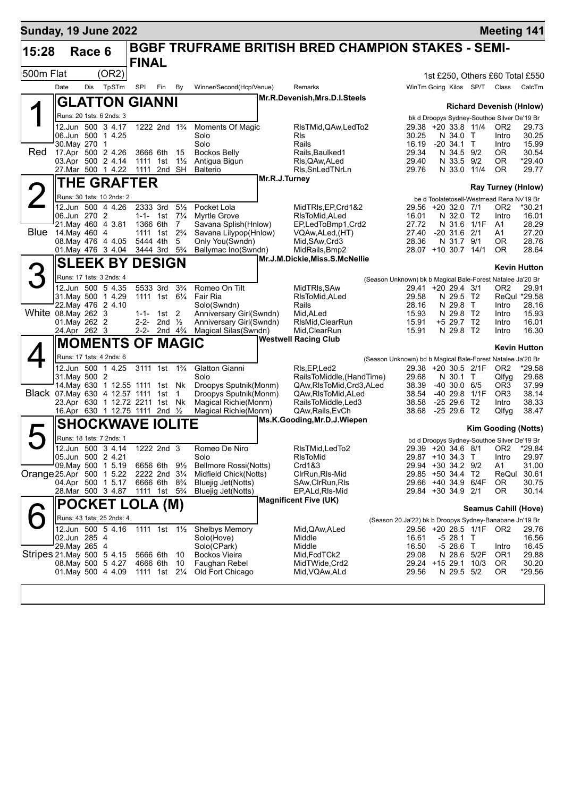| <b>Sunday, 19 June 2022</b>        |               |        |                                               |                                        |                                                                                  |                |                                                |               |                                                           |                                                                                   |                           |                         | <b>Meeting 141</b>                                                             |                                 |
|------------------------------------|---------------|--------|-----------------------------------------------|----------------------------------------|----------------------------------------------------------------------------------|----------------|------------------------------------------------|---------------|-----------------------------------------------------------|-----------------------------------------------------------------------------------|---------------------------|-------------------------|--------------------------------------------------------------------------------|---------------------------------|
| 15:28                              |               | Race 6 |                                               | <b>FINAL</b>                           |                                                                                  |                |                                                |               | <b>BGBF TRUFRAME BRITISH BRED CHAMPION STAKES - SEMI-</b> |                                                                                   |                           |                         |                                                                                |                                 |
| 500m Flat                          |               |        | (OR2)                                         |                                        |                                                                                  |                |                                                |               |                                                           |                                                                                   |                           |                         |                                                                                | 1st £250, Others £60 Total £550 |
|                                    | Date          | Dis    | TpSTm                                         | SPI                                    | Fin                                                                              | By             | Winner/Second(Hcp/Venue)                       |               | Remarks                                                   |                                                                                   |                           | WinTm Going Kilos SP/T  | Class                                                                          | CalcTm                          |
|                                    |               |        | <b>GLATTON GIANNI</b>                         |                                        |                                                                                  |                |                                                |               | Mr.R.Devenish, Mrs.D.I.Steels                             |                                                                                   |                           |                         |                                                                                |                                 |
|                                    |               |        | Runs: 20 1sts: 6 2nds: 3                      |                                        |                                                                                  |                |                                                |               |                                                           |                                                                                   |                           |                         | <b>Richard Devenish (Hnlow)</b><br>bk d Droopys Sydney-Southoe Silver De'19 Br |                                 |
|                                    |               |        | 12.Jun 500 3 4.17                             |                                        | 1222 2nd 1 <sup>3</sup> / <sub>4</sub>                                           |                | Moments Of Magic                               |               | RIsTMid, QAw, LedTo2                                      | 29.38 +20 33.8 11/4                                                               |                           |                         | OR <sub>2</sub>                                                                | 29.73                           |
|                                    | 30. May 270 1 |        | 06.Jun 500 1 4.25                             |                                        |                                                                                  |                | Solo<br>Solo                                   |               | <b>R</b> ls<br>Rails                                      | 30.25<br>16.19                                                                    | N 34.0 T<br>$-20, 34.1$ T |                         | Intro<br>Intro                                                                 | 30.25<br>15.99                  |
| Red                                |               |        | 17.Apr 500 2 4.26                             | 3666 6th                               |                                                                                  | 15             | <b>Bockos Belly</b>                            |               | Rails, Baulked1                                           | 29.34                                                                             | N 34.5 9/2                |                         | 0R.                                                                            | 30.54                           |
|                                    |               |        | 03.Apr 500 2 4.14<br>27.Mar 500 1 4.22        | 1111 1st<br>1111 2nd SH                |                                                                                  | $1\frac{1}{2}$ | Antigua Bigun<br><b>Balterio</b>               |               | RIs, QAw, ALed<br>Rls, SnLedTNrLn                         | 29.40<br>29.76                                                                    | N 33.5 9/2<br>N 33.0 11/4 |                         | <b>OR</b><br>0R                                                                | $*29.40$<br>29.77               |
|                                    |               |        | THE GRAFTER                                   |                                        |                                                                                  |                |                                                | Mr.R.J.Turney |                                                           |                                                                                   |                           |                         |                                                                                |                                 |
|                                    |               |        | Runs: 30 1sts: 10 2nds: 2                     |                                        |                                                                                  |                |                                                |               |                                                           |                                                                                   |                           |                         | <b>Ray Turney (Hnlow)</b>                                                      |                                 |
|                                    |               |        | 12.Jun 500 4 4.26                             | 2333 3rd                               |                                                                                  | $5\frac{1}{2}$ | Pocket Lola                                    |               | MidTRIs, EP, Crd1&2                                       | 29.56 +20 32.0 7/1                                                                |                           |                         | be d Toolatetosell-Westmead Rena Nv'19 Br<br>OR <sub>2</sub>                   | $*30.21$                        |
|                                    | 06.Jun 270 2  |        | 21. May 460 4 3.81                            |                                        | 1-1- 1st $7\frac{1}{4}$                                                          |                | <b>Myrtle Grove</b>                            |               | RIsToMid, ALed                                            | 16.01<br>27.72                                                                    | N 32.0 T2                 | N 31.6 1/1F             | Intro<br>A1                                                                    | 16.01                           |
| <b>Blue</b>                        | 14. May 460 4 |        |                                               | 1366 6th                               | 1111 1st 2 <sup>3</sup> / <sub>4</sub>                                           | 7              | Savana Splish (Hnlow)<br>Savana Lilypop(Hnlow) |               | EP,LedToBmp1,Crd2<br>VQAw,ALed,(HT)                       | 27.40                                                                             | $-20$ 31.6 $2/1$          |                         | A1                                                                             | 28.29<br>27.20                  |
|                                    |               |        | 08. May 476 4 4.05<br>01 May 476 3 4.04       | 5444 4th                               | 3444 3rd 5 <sup>3</sup> / <sub>4</sub>                                           | 5              | Only You(Swndn)<br>Ballymac Ino(Swndn)         |               | Mid, SAw, Crd3<br>MidRails, Bmp2                          | 28.36<br>28.07 +10 30.7 14/1                                                      | N 31.7 9/1                |                         | 0R<br><b>OR</b>                                                                | 28.76<br>28.64                  |
|                                    |               |        | <b>SLEEK BY DESIGN</b>                        |                                        |                                                                                  |                |                                                |               | Mr.J.M.Dickie, Miss.S.McNellie                            |                                                                                   |                           |                         |                                                                                |                                 |
|                                    |               |        |                                               |                                        |                                                                                  |                |                                                |               |                                                           |                                                                                   |                           |                         |                                                                                | <b>Kevin Hutton</b>             |
|                                    |               |        | Runs: 17 1sts: 3 2nds: 4<br>12.Jun 500 5 4.35 |                                        | 5533 3rd                                                                         | $3\frac{3}{4}$ | Romeo On Tilt                                  |               | MidTRIs, SAw                                              | (Season Unknown) bk b Magical Bale-Forest Natalee Ja'20 Br<br>29.41 +20 29.4 3/1  |                           |                         | OR <sub>2</sub>                                                                | 29.91                           |
|                                    |               |        | 31. May 500 1 4.29                            |                                        | 1111 1st 61/4                                                                    |                | Fair Ria                                       |               | RIsToMid.ALed                                             | 29.58                                                                             | N 29.5 T2                 |                         |                                                                                | ReQul *29.58                    |
| White 08. May 262 3                |               |        | 22. May 476 2 4.10                            |                                        | $1 - 1 - 1$ st 2                                                                 |                | Solo(Swndn)<br>Anniversary Girl(Swndn)         |               | Rails<br>Mid, ALed                                        | 28.16<br>15.93                                                                    | N 29.8 T<br>N 29.8        | T2                      | Intro<br>Intro                                                                 | 28.16<br>15.93                  |
|                                    | 01. May 262 2 |        |                                               |                                        | 2-2- 2nd $\frac{1}{2}$                                                           |                | Anniversary Girl(Swndn)                        |               | RIsMid, ClearRun                                          | 15.91                                                                             | +5 29.7 T2                |                         | Intro                                                                          | 16.01                           |
|                                    | 24.Apr 262 3  |        |                                               |                                        | 2-2- 2nd $4\frac{3}{4}$                                                          |                | Magical Silas(Swndn)                           |               | Mid, ClearRun<br><b>Westwell Racing Club</b>              | 15.91                                                                             | N 29.8 T2                 |                         | Intro                                                                          | 16.30                           |
|                                    |               |        | <b>MOMENTS OF MAGIC</b>                       |                                        |                                                                                  |                |                                                |               |                                                           |                                                                                   |                           |                         |                                                                                | <b>Kevin Hutton</b>             |
|                                    |               |        | Runs: 17 1sts: 4 2nds: 6<br>12.Jun 500 1 4.25 | 3111 1st 1 <sup>3</sup> / <sub>4</sub> |                                                                                  |                | Glatton Gianni                                 |               | RIs, EP, Led <sub>2</sub>                                 | (Season Unknown) bd b Magical Bale-Forest Natalee Ja'20 Br<br>29.38 +20 30.5 2/1F |                           |                         | OR <sub>2</sub>                                                                | *29.58                          |
|                                    | 31. May 500 2 |        |                                               |                                        |                                                                                  |                | Solo                                           |               | RailsToMiddle, (HandTime)                                 | 29.68                                                                             | N 30.1 T                  |                         | Qlfyg                                                                          | 29.68                           |
| Black 07. May 630 4 12.57 1111 1st |               |        | 14. May 630 1 12.55 1111 1st Nk               |                                        |                                                                                  | 1              | Droopys Sputnik(Monm)<br>Droopys Sputnik(Monm) |               | QAw,RIsToMid,Crd3,ALed<br>QAw, RIs To Mid, ALed           | 38.39<br>38.54                                                                    | $-40,30.0,6/5$            | -40 29.8 1/1F           | OR3<br>OR <sub>3</sub>                                                         | 37.99<br>38.14                  |
|                                    |               |        | 23.Apr 630 1 12.72 2211 1st                   |                                        |                                                                                  | Nk             | Magical Richie(Monm)                           |               | RailsToMiddle, Led3                                       | 38.58                                                                             | $-2529.6$                 | T <sub>2</sub>          | Intro                                                                          | 38.33                           |
|                                    |               |        | 16.Apr 630 1 12.75 1111 2nd 1/2               |                                        |                                                                                  |                | Magical Richie(Monm)                           |               | QAw, Rails, EvCh<br>Ms.K.Gooding, Mr.D.J.Wiepen           | 38.68                                                                             | $-25$ 29.6 T2             |                         | Qlfyg                                                                          | 38.47                           |
|                                    |               |        | <b>SHOCKWAVE IOLITE</b>                       |                                        |                                                                                  |                |                                                |               |                                                           |                                                                                   |                           |                         | <b>Kim Gooding (Notts)</b>                                                     |                                 |
|                                    |               |        | Runs: 18 1sts: 7 2nds: 1                      |                                        |                                                                                  |                |                                                |               |                                                           |                                                                                   |                           |                         | bd d Droopys Sydney-Southoe Silver De'19 Br                                    |                                 |
|                                    |               |        | 12.Jun 500 3 4.14<br>05.Jun 500 2 4.21        |                                        | 1222 2nd 3                                                                       |                | Romeo De Niro<br>Solo                          |               | RIsTMid, LedTo2<br>RIsToMid                               | 29.87 +10 34.3 T                                                                  |                           |                         | 29.39 +20 34.6 8/1 OR2 *29.84<br>Intro                                         | 29.97                           |
|                                    |               |        | 09. May 500 1 5.19                            | 6656 6th 9½                            |                                                                                  |                | Bellmore Rossi(Notts)                          |               | Crd1&3                                                    | 29.94 +30 34.2 9/2                                                                |                           |                         | A1                                                                             | 31.00                           |
| Orange 25.Apr 500 1 5.22           |               |        | 04.Apr 500 1 5.17                             |                                        | 2222 2nd 3 <sup>1</sup> / <sub>4</sub><br>6666 6th 8 <sup>3</sup> / <sub>4</sub> |                | Midfield Chick(Notts)<br>Bluejig Jet(Notts)    |               | CIrRun, RIs-Mid<br>SAw, ClrRun, RIs                       | 29.85 +50 34.4 T2<br>29.66 +40 34.9 6/4F                                          |                           |                         | 0R                                                                             | ReQui 30.61<br>30.75            |
|                                    |               |        | 28.Mar 500 3 4.87                             |                                        | 1111 1st 5 <sup>3</sup> / <sub>4</sub>                                           |                | Bluejig Jet(Notts)                             |               | EP, ALd, RIs-Mid                                          | 29.84 +30 34.9 2/1                                                                |                           |                         | 0R                                                                             | 30.14                           |
|                                    |               |        | <b>POCKET LOLA (M)</b>                        |                                        |                                                                                  |                |                                                |               | <b>Magnificent Five (UK)</b>                              |                                                                                   |                           |                         | <b>Seamus Cahill (Hove)</b>                                                    |                                 |
|                                    |               |        | Runs: 43 1sts: 25 2nds: 4                     |                                        |                                                                                  |                |                                                |               |                                                           | (Season 20.Ja'22) bk b Droopys Sydney-Banabane Jn'19 Br                           |                           |                         |                                                                                |                                 |
|                                    | 02.Jun 285 4  |        | 12.Jun 500 5 4.16                             |                                        |                                                                                  |                | 1111 1st 11/2 Shelbys Memory<br>Solo(Hove)     |               | Mid,QAw,ALed<br>Middle                                    | 16.61                                                                             | -5 28.1 T                 | 29.56 +20 28.5 1/1F OR2 |                                                                                | 29.76<br>16.56                  |
|                                    | 29. May 265 4 |        |                                               |                                        |                                                                                  |                | Solo(CPark)                                    |               | Middle                                                    | 16.50                                                                             | $-528.6$ T                |                         | Intro                                                                          | 16.45                           |
| Stripes 21 May 500 5 4.15          |               |        | 08. May 500 5 4.27                            | 5666 6th<br>4666 6th                   |                                                                                  | - 10<br>10     | Bockos Vieira<br>Faughan Rebel                 |               | Mid, FcdTCk2<br>MidTWide, Crd2                            | 29.08<br>29.24 +15 29.1 10/3                                                      |                           | N 28.6 5/2F             | OR <sub>1</sub><br>OR.                                                         | 29.88<br>30.20                  |
|                                    |               |        | 01. May 500 4 4.09                            | 1111 1st 2¼                            |                                                                                  |                | Old Fort Chicago                               |               | Mid, VQAw, ALd                                            | 29.56                                                                             | N 29.5 5/2                |                         | 0R                                                                             | *29.56                          |
|                                    |               |        |                                               |                                        |                                                                                  |                |                                                |               |                                                           |                                                                                   |                           |                         |                                                                                |                                 |
|                                    |               |        |                                               |                                        |                                                                                  |                |                                                |               |                                                           |                                                                                   |                           |                         |                                                                                |                                 |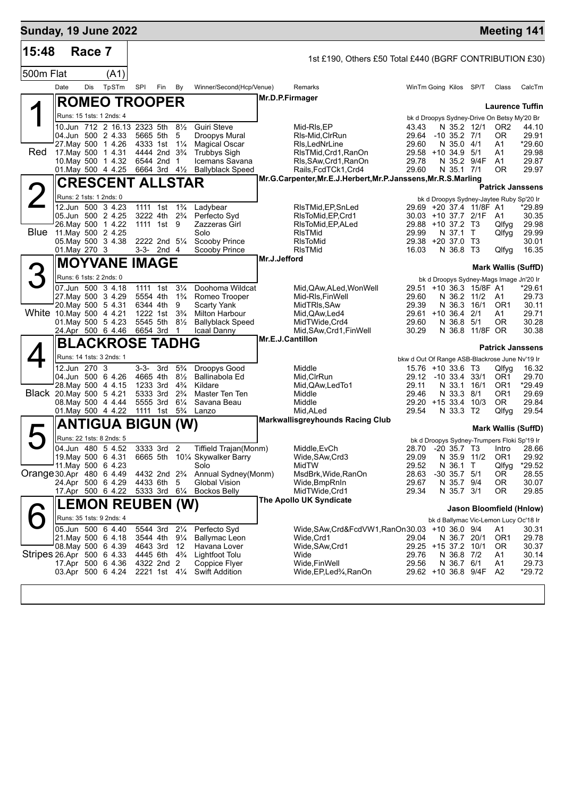| <b>Sunday, 19 June 2022</b> |      |               |                                                  |                      |                                                      |                                  |                                           |                         |                                                               |                                                |                                |                            |                                             | <b>Meeting 141</b>            |
|-----------------------------|------|---------------|--------------------------------------------------|----------------------|------------------------------------------------------|----------------------------------|-------------------------------------------|-------------------------|---------------------------------------------------------------|------------------------------------------------|--------------------------------|----------------------------|---------------------------------------------|-------------------------------|
| 15:48                       |      | Race 7        |                                                  |                      |                                                      |                                  |                                           |                         | 1st £190, Others £50 Total £440 (BGRF CONTRIBUTION £30)       |                                                |                                |                            |                                             |                               |
| 500m Flat                   |      |               | (A1)                                             |                      |                                                      |                                  |                                           |                         |                                                               |                                                |                                |                            |                                             |                               |
|                             | Date | Dis           | TpSTm                                            | SPI                  | Fin                                                  | By                               | Winner/Second(Hcp/Venue)                  |                         | Remarks                                                       | WinTm Going Kilos SP/T                         |                                |                            | Class                                       | CalcTm                        |
|                             |      |               | <b>ROMEO TROOPER</b>                             |                      |                                                      |                                  |                                           | Mr.D.P.Firmager         |                                                               |                                                |                                |                            |                                             |                               |
|                             |      |               | Runs: 15 1sts: 1 2nds: 4                         |                      |                                                      |                                  |                                           |                         |                                                               |                                                |                                |                            | bk d Droopys Sydney-Drive On Betsy My'20 Br | <b>Laurence Tuffin</b>        |
|                             |      |               | 10.Jun 712 2 16.13 2323 5th 81/2                 |                      |                                                      |                                  | <b>Guiri Steve</b>                        |                         | Mid-RIs,EP                                                    | 43.43                                          |                                | N 35.2 12/1                | OR <sub>2</sub>                             | 44.10                         |
|                             |      |               | 04.Jun 500 2 4.33<br>27. May 500 1 4.26          |                      | 5665 5th<br>4333 1st                                 | -5<br>$1\frac{1}{4}$             | Droopys Mural<br><b>Magical Oscar</b>     |                         | RIs-Mid, CIrRun<br>RIs, LedNrLine                             | 29.64<br>29.60                                 | $-10$ 35.2 $7/1$<br>N 35.0 4/1 |                            | 0R<br>A1                                    | 29.91<br>*29.60               |
| Red                         |      |               | 17. May 500 1 4.31                               |                      | 4444 2nd 3 <sup>3</sup> / <sub>4</sub>               |                                  | <b>Trubbys Sigh</b>                       |                         | RIsTMid, Crd1, RanOn                                          | 29.58 +10 34.9 5/1                             |                                |                            | A1                                          | 29.98                         |
|                             |      |               | 10. May 500 1 4.32<br>01.May 500 4 4.25          |                      | 6544 2nd<br>6664 3rd 41/ <sub>2</sub>                | $\overline{1}$                   | Icemans Savana<br><b>Ballyblack Speed</b> |                         | RIs, SAw, Crd1, RanOn<br>Rails, FcdTCk1, Crd4                 | 29.78<br>29.60                                 | N 35.1 7/1                     | N 35.2 9/4F                | A1<br>0R                                    | 29.87<br>29.97                |
|                             |      |               | <b>CRESCENT ALLSTAR</b>                          |                      |                                                      |                                  |                                           |                         | Mr.G.Carpenter, Mr.E.J.Herbert, Mr.P.Janssens, Mr.R.S.Marling |                                                |                                |                            |                                             |                               |
| $\angle$                    |      |               | Runs: 2 1sts: 1 2nds: 0                          |                      |                                                      |                                  |                                           |                         |                                                               |                                                |                                |                            | bk d Droopys Sydney-Jaytee Ruby Sp'20 Ir    | <b>Patrick Janssens</b>       |
|                             |      |               | 12.Jun 500 3 4.23                                | 1111 1st             |                                                      | $1\frac{3}{4}$                   | Ladybear                                  |                         | RIsTMid, EP, SnLed                                            |                                                |                                | 29.69 +20 37.4 11/8F A1    |                                             | *29.89                        |
|                             |      |               | 05.Jun 500 2 4.25<br>26. May 500 1 4.22          |                      | 3222 4th 2 <sup>3</sup> / <sub>4</sub><br>1111 1st 9 |                                  | Perfecto Syd<br>Zazzeras Girl             |                         | RIsToMid, EP, Crd1<br>RIsToMid, EP, ALed                      | 30.03 +10 37.7 2/1F<br>29.88 +10 37.2 T3       |                                |                            | A1<br>Qlfyg                                 | 30.35<br>29.98                |
| <b>Blue</b>                 |      |               | 11.May 500 2 4.25                                |                      |                                                      |                                  | Solo                                      |                         | <b>RIsTMid</b>                                                | 29.99                                          | N 37.1 T                       |                            | Qlfyg                                       | 29.99                         |
|                             |      | 01. May 270 3 | 05. May 500 3 4.38                               |                      | 2222 2nd 51/4<br>$3-3-2nd4$                          |                                  | Scooby Prince<br>Scooby Prince            |                         | <b>RIsToMid</b><br>RIsTMid                                    | 29.38 +20 37.0 T3<br>16.03                     | N 36.8 T3                      |                            | Qlfyg                                       | 30.01<br>16.35                |
|                             |      |               | <b>MOYVANE IMAGE</b>                             |                      |                                                      |                                  |                                           | Mr.J.Jefford            |                                                               |                                                |                                |                            |                                             |                               |
|                             |      |               | Runs: 6 1sts: 2 2nds: 0                          |                      |                                                      |                                  |                                           |                         |                                                               |                                                |                                |                            | bk d Droopys Sydney-Mags Image Jn'20 Ir     | <b>Mark Wallis (SuffD)</b>    |
|                             |      |               | 07.Jun 500 3 4.18                                | 1111 1st             |                                                      | $3\frac{1}{4}$                   | Doohoma Wildcat                           |                         | Mid, QAw, ALed, Won Well                                      |                                                |                                | 29.51 +10 36.3 15/8F A1    |                                             | *29.61                        |
|                             |      |               | 27. May 500 3 4.29<br>20. May 500 5 4.31         | 6344 4th             | 5554 4th                                             | $1\frac{3}{4}$<br>9              | Romeo Trooper<br><b>Scarty Yank</b>       |                         | Mid-RIs, Fin Well<br>MidTRIs, SAw                             | 29.60<br>29.39                                 |                                | N 36.2 11/2<br>N 36.3 16/1 | A1<br>OR <sub>1</sub>                       | 29.73<br>30.11                |
| White 10 May 500 4 4.21     |      |               |                                                  |                      | 1222 1st                                             | $3\frac{3}{4}$                   | <b>Milton Harbour</b>                     |                         | Mid, QAw, Led4                                                | 29.61 +10 36.4                                 |                                | 2/1                        | A1                                          | 29.71                         |
|                             |      |               | 01. May 500 5 4.23<br>24.Apr 500 6 4.46 6654 3rd |                      | 5545 5th                                             | $8\frac{1}{2}$<br>$\mathbf{1}$   | <b>Ballyblack Speed</b><br>Icaal Danny    |                         | MidTWide, Crd4<br>Mid, SAw, Crd1, FinWell                     | 29.60<br>30.29                                 | N 36.8 5/1                     | N 36.8 11/8F OR            | 0R                                          | 30.28<br>30.38                |
|                             |      |               | <b>BLACKROSE TADHG</b>                           |                      |                                                      |                                  |                                           | <b>Mr.E.J.Cantillon</b> |                                                               |                                                |                                |                            |                                             |                               |
|                             |      |               | Runs: 14 1sts: 3 2nds: 1                         |                      |                                                      |                                  |                                           |                         |                                                               | bkw d Out Of Range ASB-Blackrose June Nv'19 Ir |                                |                            |                                             | <b>Patrick Janssens</b>       |
|                             |      | 12.Jun 270 3  |                                                  |                      | $3-3-3rd$                                            | $5\frac{3}{4}$                   | Droopys Good                              |                         | Middle                                                        | 15.76 +10 33.6 T3                              |                                |                            | Qlfyg                                       | 16.32                         |
|                             |      |               | 04.Jun 500 6 4.26<br>28. May 500 4 4.15          | 4665 4th<br>1233 3rd |                                                      | $8\frac{1}{2}$<br>$4\frac{3}{4}$ | Ballinabola Ed<br>Kildare                 |                         | Mid, CIrRun<br>Mid, QAw, Led To 1                             | 29.12 -10 33.4 33/1<br>29.11                   | N 33.1 16/1                    |                            | OR <sub>1</sub><br>OR <sub>1</sub>          | 29.70<br>*29.49               |
| Black 20. May 500 5 4.21    |      |               |                                                  | 5333 3rd             |                                                      | $2\frac{3}{4}$                   | Master Ten Ten                            |                         | Middle                                                        | 29.46                                          | N 33.3 8/1                     |                            | OR <sub>1</sub>                             | 29.69                         |
|                             |      |               | 08 May 500 4 4.44<br>01. May 500 4 4.22          |                      | 5555 3rd<br>1111 1st 5 <sup>3</sup> / <sub>4</sub>   | $6\frac{1}{4}$                   | Savana Beau<br>Lanzo                      |                         | Middle<br>Mid, ALed                                           | 29.20 +15 33.4 10/3<br>29.54                   | N 33.3 T2                      |                            | OR.<br>Qlfyg                                | 29.84<br>29.54                |
|                             |      |               | ANTIGUA BIGUN (W)                                |                      |                                                      |                                  |                                           |                         | <b>Markwallisgreyhounds Racing Club</b>                       |                                                |                                |                            |                                             |                               |
|                             |      |               | Runs: 22 1sts: 8 2nds: 5                         |                      |                                                      |                                  |                                           |                         |                                                               |                                                |                                |                            |                                             | <b>Mark Wallis (SuffD)</b>    |
|                             |      |               | 04.Jun 480 5 4.52                                |                      | 3333 3rd 2                                           |                                  | Tiffield Trajan(Monm)                     |                         | Middle, EvCh                                                  |                                                |                                |                            | bk d Droopys Sydney-Trumpers Floki Sp'19 Ir | 28.70 -20 35.7 T3 Intro 28.66 |
|                             |      |               | 19 May 500 6 4.31<br>11. May 500 6 4.23          |                      |                                                      |                                  | 6665 5th 101/4 Skywalker Barry<br>Solo    |                         | Wide, SAw, Crd3<br>MidTW                                      | 29.09<br>29.52                                 | N 35.9 11/2<br>N 36.1          | $\top$                     | OR <sub>1</sub><br>Qlfyg                    | 29.92<br>*29.52               |
| Orange 30 Apr 480 6 4.49    |      |               |                                                  |                      | 4432 2nd 2 <sup>3</sup> / <sub>4</sub>               |                                  | Annual Sydney(Monm)                       |                         | MsdBrk, Wide, RanOn                                           | 28.63                                          | $-30$ 35.7 $5/1$               |                            | OR.                                         | 28.55                         |
|                             |      |               | 24.Apr 500 6 4.29<br>17.Apr 500 6 4.22           |                      | 4433 6th 5<br>5333 3rd 61/4                          |                                  | Global Vision<br><b>Bockos Belly</b>      |                         | Wide,BmpRnIn<br>MidTWide,Crd1                                 | 29.67<br>29.34                                 | N 35.7 9/4<br>N 35.7 3/1       |                            | 0R<br>0R                                    | 30.07<br>29.85                |
|                             |      |               | <b>LEMON REUBEN (W)</b>                          |                      |                                                      |                                  |                                           |                         | The Apollo UK Syndicate                                       |                                                |                                |                            |                                             |                               |
|                             |      |               | Runs: 35 1sts: 9 2nds: 4                         |                      |                                                      |                                  |                                           |                         |                                                               |                                                |                                |                            |                                             | Jason Bloomfield (Hnlow)      |
|                             |      |               | 05.Jun 500 6 4.40                                |                      | 5544 3rd                                             | $2\frac{1}{4}$                   | Perfecto Syd                              |                         | Wide, SAw, Crd& Fcd VW1, RanOn 30.03 + 10 36.0 9/4            |                                                |                                |                            | bk d Ballymac Vic-Lemon Lucy Oc'18 Ir<br>A1 | 30.31                         |
|                             |      |               | 21. May 500 6 4.18                               |                      | 3544 4th                                             | $9\frac{1}{4}$                   | Ballymac Leon                             |                         | Wide,Crd1                                                     | 29.04                                          | N 36.7 20/1                    |                            | OR <sub>1</sub>                             | 29.78                         |
| Stripes 26 Apr 500 6 4.33   |      |               | 08.May 500 6 4.39                                |                      | 4643 3rd<br>4445 6th 4 <sup>3</sup> / <sub>4</sub>   | 12                               | Havana Lover<br>Lightfoot Tolu            |                         | Wide, SAw, Crd1<br>Wide                                       | 29.25 +15 37.2 10/1<br>29.76                   | N 36.8 7/2                     |                            | 0R<br>A1                                    | 30.37<br>30.14                |
|                             |      |               | 17.Apr 500 6 4.36                                |                      | 4322 2nd 2                                           |                                  | Coppice Flyer                             |                         | Wide,FinWell                                                  | 29.56                                          | N 36.7 6/1                     |                            | A1                                          | 29.73<br>*29.72               |
|                             |      |               | 03.Apr 500 6 4.24                                |                      | 2221 1st 41/ <sub>4</sub>                            |                                  | Swift Addition                            |                         | Wide, EP, Led <sup>3</sup> / <sub>4</sub> , RanOn             | 29.62 +10 36.8 9/4F                            |                                |                            | A2                                          |                               |
|                             |      |               |                                                  |                      |                                                      |                                  |                                           |                         |                                                               |                                                |                                |                            |                                             |                               |
|                             |      |               |                                                  |                      |                                                      |                                  |                                           |                         |                                                               |                                                |                                |                            |                                             |                               |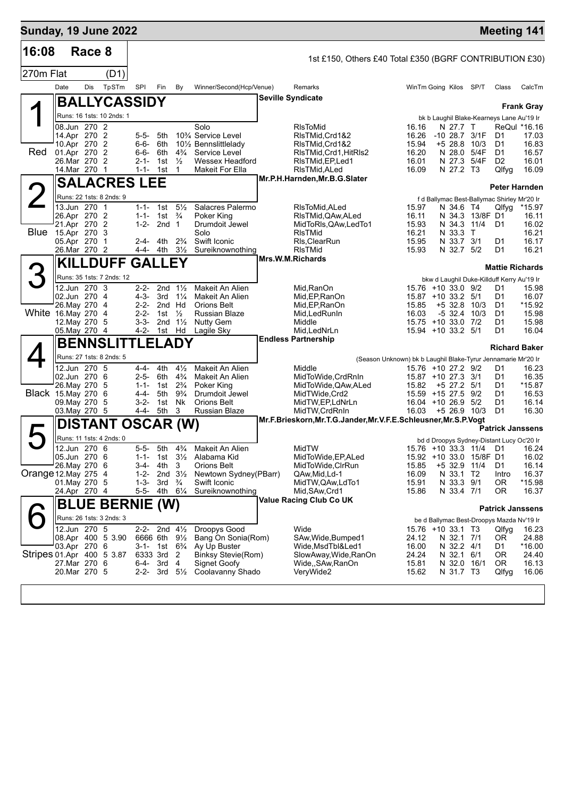| <b>Sunday, 19 June 2022</b> |                                                                                               |        |                                                     |                                                                    |                                                                                                        |                                                                                 |                                                                                                                                                                      |                                                                                                                           |                                                               |                                                                                                                                                                   |                                            | <b>Meeting 141</b>                                       |                                                           |
|-----------------------------|-----------------------------------------------------------------------------------------------|--------|-----------------------------------------------------|--------------------------------------------------------------------|--------------------------------------------------------------------------------------------------------|---------------------------------------------------------------------------------|----------------------------------------------------------------------------------------------------------------------------------------------------------------------|---------------------------------------------------------------------------------------------------------------------------|---------------------------------------------------------------|-------------------------------------------------------------------------------------------------------------------------------------------------------------------|--------------------------------------------|----------------------------------------------------------|-----------------------------------------------------------|
| 16:08                       |                                                                                               | Race 8 |                                                     |                                                                    |                                                                                                        |                                                                                 |                                                                                                                                                                      | 1st £150, Others £40 Total £350 (BGRF CONTRIBUTION £30)                                                                   |                                                               |                                                                                                                                                                   |                                            |                                                          |                                                           |
| 270m Flat                   |                                                                                               |        | (D1)                                                |                                                                    |                                                                                                        |                                                                                 |                                                                                                                                                                      |                                                                                                                           |                                                               |                                                                                                                                                                   |                                            |                                                          |                                                           |
|                             | Date                                                                                          | Dis    | TpSTm                                               | <b>SPI</b>                                                         | Fin                                                                                                    | By                                                                              | Winner/Second(Hcp/Venue)                                                                                                                                             | Remarks                                                                                                                   |                                                               | WinTm Going Kilos SP/T                                                                                                                                            |                                            | Class                                                    | CalcTm                                                    |
|                             |                                                                                               |        | <b>BALLYCASSIDY</b>                                 |                                                                    |                                                                                                        |                                                                                 |                                                                                                                                                                      | <b>Seville Syndicate</b>                                                                                                  |                                                               |                                                                                                                                                                   |                                            |                                                          |                                                           |
|                             |                                                                                               |        | Runs: 16 1sts: 10 2nds: 1                           |                                                                    |                                                                                                        |                                                                                 |                                                                                                                                                                      |                                                                                                                           |                                                               | bk b Laughil Blake-Kearneys Lane Au'19 Ir                                                                                                                         |                                            |                                                          | <b>Frank Gray</b>                                         |
| Red                         | 08.Jun 270 2<br>14.Apr 270 2<br>10.Apr 270 2<br>01.Apr 270 2<br>26.Mar 270 2<br>14. Mar 270 1 |        |                                                     | 5-5-<br>6-6-<br>6-6-<br>$2 - 1 -$<br>$1 - 1 -$                     | 5th<br>6th<br>6th<br>1st<br>1st                                                                        | $4\frac{3}{4}$<br>$\frac{1}{2}$<br>1                                            | Solo<br>10 <sup>3</sup> / <sub>4</sub> Service Level<br>10 <sup>1</sup> / <sub>2</sub> Bennslittlelady<br>Service Level<br><b>Wessex Headford</b><br>Makeit For Ella | RIsToMid<br>RIsTMid,Crd1&2<br>RIsTMid, Crd1&2<br>RIsTMid, Crd1, HitRIs2<br>RIsTMid, EP, Led 1<br>RIsTMid, ALed            | 16.16<br>16.26<br>15.94<br>16.20<br>16.01<br>16.09            | N 27.7 T<br>-10 28.7<br>$+5$ 28.8<br>N 27.3<br>N 27.2 T3                                                                                                          | 3/1F<br>10/3<br>N 28.0 5/4F<br>5/4F        | D1<br>D1<br>D1<br>D <sub>2</sub><br>Qlfyg                | ReQul *16.16<br>17.03<br>16.83<br>16.57<br>16.01<br>16.09 |
|                             |                                                                                               |        | <b>SALACRES LEE</b>                                 |                                                                    |                                                                                                        |                                                                                 |                                                                                                                                                                      | Mr.P.H.Harnden, Mr.B.G.Slater                                                                                             |                                                               |                                                                                                                                                                   |                                            |                                                          | Peter Harnden                                             |
| $\leftarrow$                |                                                                                               |        | Runs: 22 1sts: 8 2nds: 9                            |                                                                    |                                                                                                        |                                                                                 |                                                                                                                                                                      |                                                                                                                           |                                                               | f d Ballymac Best-Ballymac Shirley Mr'20 Ir                                                                                                                       |                                            |                                                          |                                                           |
| <b>Blue</b>                 | 13.Jun 270 1<br>26.Apr 270 2<br>21.Apr 270 2<br>15.Apr 270 3<br>05.Apr 270 1<br>26.Mar 270 2  |        |                                                     | $1 - 1 -$<br>$1 - 1 -$<br>$1 - 2 -$<br>2-4-                        | 1st<br>1st $\frac{3}{4}$<br>2nd <sub>1</sub><br>4th<br>4-4- 4th 31/ <sub>2</sub>                       | $5\frac{1}{2}$<br>$2\frac{3}{4}$                                                | Salacres Palermo<br>Poker King<br>Drumdoit Jewel<br>Solo<br>Swift Iconic<br>Sureiknownothing                                                                         | RIsToMid,ALed<br>RIsTMid,QAw,ALed<br>MidToRIs, QAw, LedTo1<br><b>RIsTMid</b><br>RIs, Clear Run<br><b>RIsTMid</b>          | 15.97<br>16.11<br>15.93<br>16.21<br>15.95<br>15.93            | N 34.6 T4<br>N 33.3<br>N 33.7<br>N 32.7 5/2                                                                                                                       | N 34.3 13/8F D1<br>N 34.3 11/4<br>T<br>3/1 | Qlfyg<br>D1<br>D1<br>D1                                  | *15.97<br>16.11<br>16.02<br>16.21<br>16.17<br>16.21       |
|                             |                                                                                               |        | <b>KILLDUFF GALLEY</b>                              |                                                                    |                                                                                                        |                                                                                 |                                                                                                                                                                      | Mrs.W.M.Richards                                                                                                          |                                                               |                                                                                                                                                                   |                                            | <b>Mattie Richards</b>                                   |                                                           |
| З<br>White 16. May 270 4    | 12.Jun 270 3<br>02.Jun 270 4<br>26. May 270 4<br>12. May 270 5<br>05. May 270 4               |        | Runs: 35 1sts: 7 2nds: 12<br><b>BENNSLITTLELADY</b> | 2-2-<br>$4 - 3 -$<br>2-2-<br>$2 - 2 -$<br>3-3-                     | 2nd Hd<br>1st $\frac{1}{2}$<br>2nd $1\frac{1}{2}$<br>4-2- 1st Hd                                       | 2nd $1\frac{1}{2}$<br>$3rd \frac{1}{4}$                                         | Makeit An Alien<br>Makeit An Alien<br><b>Orions Belt</b><br><b>Russian Blaze</b><br><b>Nutty Gem</b><br>Lagile Sky                                                   | Mid, RanOn<br>Mid, EP, RanOn<br>Mid, EP, RanOn<br>Mid, Led Run In<br>Middle<br>Mid, LedNrLn<br><b>Endless Partnership</b> | 15.85<br>16.03                                                | bkw d Laughil Duke-Killduff Kerry Au'19 Ir<br>15.76 +10 33.0 9/2<br>15.87 +10 33.2 5/1<br>$+5$ 32.8 10/3<br>$-5$ 32.4<br>15.75 +10 33.0 7/2<br>15.94 +10 33.2 5/1 | 10/3                                       | D1<br>D1<br>D1<br>D <sub>1</sub><br>D <sub>1</sub><br>D1 | 15.98<br>16.07<br>*15.92<br>15.98<br>15.98<br>16.04       |
|                             |                                                                                               |        | Runs: 27 1sts: 8 2nds: 5                            |                                                                    |                                                                                                        |                                                                                 |                                                                                                                                                                      |                                                                                                                           | (Season Unknown) bk b Laughil Blake-Tyrur Jennamarie Mr'20 Ir |                                                                                                                                                                   |                                            |                                                          | <b>Richard Baker</b>                                      |
| <b>Black</b> 15. May 270    | 12.Jun 270 5<br>02.Jun 270 6<br>26. May 270<br>09. May 270<br>03. May 270 5                   |        | -5<br>- 6<br>-5                                     | $4 - 4 -$<br>$2 - 5 -$<br>$1 - 1 -$<br>4-4-<br>$3 - 2 -$<br>4-4-   | 4th<br>6th<br>1st<br>5th<br>1st<br>5th                                                                 | $4\frac{1}{2}$<br>$4\frac{3}{4}$<br>$2\frac{3}{4}$<br>$9\frac{3}{4}$<br>Nk<br>3 | Makeit An Alien<br>Makeit An Alien<br>Poker King<br>Drumdoit Jewel<br><b>Orions Belt</b><br>Russian Blaze                                                            | Middle<br>MidToWide, CrdRnIn<br>MidToWide, QAw, ALed<br>MidTWide, Crd2<br>MidTW,EP,LdNrLn<br>MidTW, CrdRnIn               | 15.82<br>16.03                                                | 15.76 +10 27.2 9/2<br>15.87 +10 27.3 3/1<br>+5 27.2 5/1<br>15.59 +15 27.5<br>16.04 +10 26.9 5/2<br>$+5$ 26.9 10/3                                                 | 9/2                                        | D1<br>D1<br>D1<br>D1<br>D1<br>D1                         | 16.23<br>16.35<br>*15.87<br>16.53<br>16.14<br>16.30       |
|                             |                                                                                               |        | <b>DISTANT OSCAR (W)</b>                            |                                                                    |                                                                                                        |                                                                                 |                                                                                                                                                                      | Mr.F.Brieskorn, Mr.T.G.Jander, Mr.V.F.E.Schleusner, Mr.S.P.Vogt                                                           |                                                               |                                                                                                                                                                   |                                            | <b>Patrick Janssens</b>                                  |                                                           |
|                             |                                                                                               |        | Runs: 11 1sts: 4 2nds: 0                            |                                                                    |                                                                                                        |                                                                                 |                                                                                                                                                                      |                                                                                                                           |                                                               | bd d Droopys Sydney-Distant Lucy Oc'20 Ir                                                                                                                         |                                            |                                                          |                                                           |
| Orange 12. May 275 4        | 12.Jun 270 6<br>05.Jun 270 6<br>26. May 270 6<br>01. May 270 5<br>24.Apr 270 4                |        |                                                     | $5 - 5 -$<br>$1 - 1 -$<br>$3-4-$<br>$1 - 2 -$<br>$1 - 3 -$<br>5-5- | 5th<br>4th<br>2nd<br>3rd<br>4th                                                                        | $4\frac{3}{4}$<br>3<br>$3\frac{1}{2}$<br>$\frac{3}{4}$<br>$6\frac{1}{4}$        | Makeit An Alien<br>1st 3 <sup>1</sup> / <sub>2</sub> Alabama Kid<br>Orions Belt<br>Newtown Sydney(PBarr)<br>Swift Iconic<br>Sureiknownothing                         | MidTW<br>MidToWide, EP, ALed<br>MidToWide, CIrRun<br>QAw,Mid,Ld-1<br>MidTW, QAw, LdTo1<br>Mid, SAw, Crd1                  | 15.85<br>16.09<br>15.91<br>15.86                              | 15.76 +10 33.3 11/4 D1 16.24<br>15.92 +10 33.0 15/8F D1<br>+5 32.9 11/4<br>N 33.1<br>N 33.3 9/1<br>N 33.4 7/1                                                     | T2                                         | D1<br>Intro<br>0R<br>0R                                  | 16.02<br>16.14<br>16.37<br>*15.98<br>16.37                |
|                             |                                                                                               |        | <b>BLUE BERNIE (W)</b>                              |                                                                    |                                                                                                        |                                                                                 |                                                                                                                                                                      | Value Racing Club Co UK                                                                                                   |                                                               |                                                                                                                                                                   |                                            | <b>Patrick Janssens</b>                                  |                                                           |
| Stripes 01.Apr 400 5 3.87   | 12.Jun 270 5<br>03.Apr 270 6<br>27. Mar 270 6<br>20.Mar 270 5                                 |        | Runs: 26 1sts: 3 2nds: 3<br>08.Apr 400 5 3.90       | 6-4-                                                               | 2-2- 2nd $4\frac{1}{2}$<br>6666 6th 91/ <sub>2</sub><br>6333 3rd 2<br>3rd 4<br>2-2- 3rd $5\frac{1}{2}$ |                                                                                 | Droopys Good<br>Bang On Sonia(Rom)<br>3-1- 1st 6 <sup>3</sup> / <sub>4</sub> Ay Up Buster<br><b>Binksy Stevie(Rom)</b><br><b>Signet Goofy</b><br>Coolavanny Shado    | Wide<br>SAw, Wide, Bumped 1<br>Wide,MsdTbl&Led1<br>SlowAway, Wide, RanOn<br>Wide,,SAw,RanOn<br>VeryWide2                  | 24.12<br>16.00<br>24.24<br>15.81<br>15.62                     | be d Ballymac Best-Droopys Mazda Nv'19 Ir<br>15.76 +10 33.1 T3<br>N 32.1 7/1<br>N 32.2 4/1<br>N 32.1 6/1<br>N 31.7 T3                                             | N 32.0 16/1                                | Qlfyg<br>0R<br>D1<br>0R<br>OR.<br>Qlfyg                  | 16.23<br>24.88<br>*16.00<br>24.40<br>16.13<br>16.06       |
|                             |                                                                                               |        |                                                     |                                                                    |                                                                                                        |                                                                                 |                                                                                                                                                                      |                                                                                                                           |                                                               |                                                                                                                                                                   |                                            |                                                          |                                                           |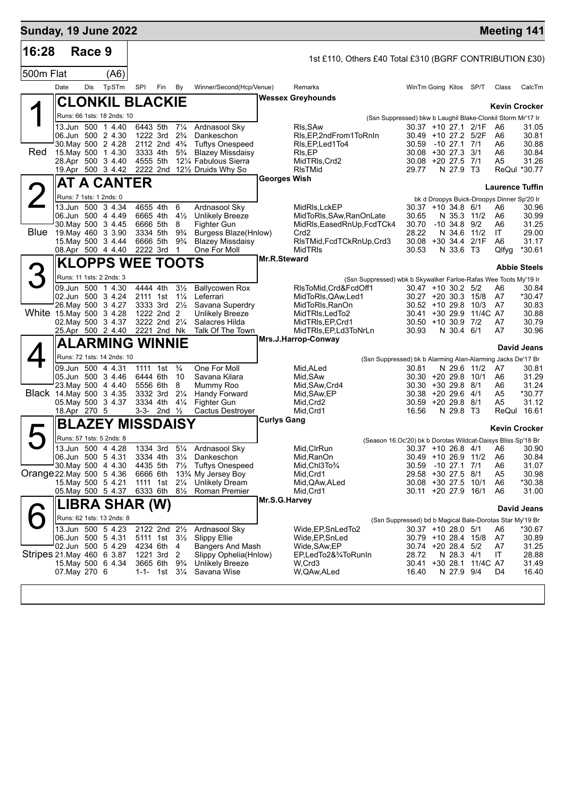| <b>Sunday, 19 June 2022</b> |                                    |        |                                                |                         |                                     |                                  |                                                                    |                     |                                                                             |                                                                                |                                 |                         |                                            | <b>Meeting 141</b>     |
|-----------------------------|------------------------------------|--------|------------------------------------------------|-------------------------|-------------------------------------|----------------------------------|--------------------------------------------------------------------|---------------------|-----------------------------------------------------------------------------|--------------------------------------------------------------------------------|---------------------------------|-------------------------|--------------------------------------------|------------------------|
| 16:28                       |                                    | Race 9 |                                                |                         |                                     |                                  |                                                                    |                     | 1st £110, Others £40 Total £310 (BGRF CONTRIBUTION £30)                     |                                                                                |                                 |                         |                                            |                        |
| 500m Flat                   |                                    |        | (A6)                                           |                         |                                     |                                  |                                                                    |                     |                                                                             |                                                                                |                                 |                         |                                            |                        |
|                             | Date                               | Dis    | TpSTm                                          | SPI                     | Fin                                 | <b>By</b>                        | Winner/Second(Hcp/Venue)                                           |                     | Remarks                                                                     | WinTm Going Kilos SP/T                                                         |                                 |                         | Class                                      | CalcTm                 |
|                             |                                    |        |                                                | <b>CLONKIL BLACKIE</b>  |                                     |                                  |                                                                    |                     | <b>Wessex Greyhounds</b>                                                    |                                                                                |                                 |                         |                                            | <b>Kevin Crocker</b>   |
|                             |                                    |        | Runs: 66 1sts: 18 2nds: 10                     |                         |                                     |                                  |                                                                    |                     | (Ssn Suppressed) bkw b Laughil Blake-Clonkil Storm Mr'17 Ir                 |                                                                                |                                 |                         |                                            |                        |
|                             |                                    |        | 13.Jun 500 1 4.40                              | 6443 5th                |                                     | $7\frac{1}{4}$                   | Ardnasool Sky                                                      |                     | RIs, SAw                                                                    | $30.37 + 1027.12$ /1F                                                          |                                 |                         | A6                                         | 31.05                  |
|                             | 06.Jun 500 2 4.30                  |        | 30. May 500 2 4.28                             |                         | 1222 3rd<br>2112 2nd $4\frac{3}{4}$ | $2\frac{3}{4}$                   | Dankeschon<br><b>Tuftys Onespeed</b>                               |                     | RIs, EP, 2nd From 1 To Rn In<br>RIs, EP, Led 1 To 4                         | 30.49 +10 27.2 5/2F<br>30.59                                                   | -10 27.1 7/1                    |                         | A6<br>A6                                   | 30.81<br>30.88         |
| Red                         | 15 May 500 1 4.30                  |        |                                                |                         | 3333 4th                            | $5\frac{3}{4}$                   | <b>Blazey Missdaisy</b>                                            |                     | RIs, EP                                                                     | 30.08 +30 27.3 3/1                                                             |                                 |                         | A6                                         | 30.84                  |
|                             |                                    |        | 28.Apr 500 3 4.40<br>19.Apr 500 3 4.42         | 4555 5th                |                                     |                                  | 121/4 Fabulous Sierra<br>2222 2nd $12\frac{1}{2}$ Druids Why So    |                     | MidTRIs, Crd2<br><b>RIsTMid</b>                                             | 30.08 +20 27.5 7/1<br>29.77                                                    | N 27.9 T3                       |                         | A <sub>5</sub>                             | 31.26<br>ReQul *30.77  |
|                             |                                    |        |                                                | <b>AT A CANTER</b>      |                                     |                                  |                                                                    | <b>Georges Wish</b> |                                                                             |                                                                                |                                 |                         |                                            | <b>Laurence Tuffin</b> |
|                             | Runs: 7 1sts: 1 2nds: 0            |        |                                                |                         |                                     |                                  |                                                                    |                     |                                                                             |                                                                                |                                 |                         | bk d Droopys Buick-Droopys Dinner Sp'20 Ir |                        |
|                             |                                    |        | 13.Jun 500 3 4.34                              |                         | 4655 4th<br>6665 4th                | 6                                | Ardnasool Sky                                                      |                     | MidRIs, LckEP                                                               | $30.37 + 10.34.8$ 6/1                                                          |                                 |                         | A6                                         | 30.96                  |
|                             | 06.Jun 500 4 4.49                  |        | 30. May 500 3 4.45                             |                         | 6666 5th                            | $4\frac{1}{2}$<br>8              | <b>Unlikely Breeze</b><br>Fighter Gun                              |                     | MidToRIs, SAw, RanOnLate<br>MidRIs, Eased RnUp, FcdTCk4                     | 30.65<br>30.70                                                                 | N 35.3 11/2<br>$-10, 34.8, 9/2$ |                         | A6<br>A6                                   | 30.99<br>31.25         |
| <b>Blue</b>                 | 19 May 460 3 3.90                  |        |                                                |                         | 3334 5th                            | $9\frac{3}{4}$<br>$9\frac{3}{4}$ | Burgess Blaze(Hnlow)<br><b>Blazey Missdaisy</b>                    |                     | Crd <sub>2</sub>                                                            | 28.22<br>30.08 +30 34.4 2/1F                                                   | N 34.6 11/2                     |                         | IT<br>A6                                   | 29.00                  |
|                             |                                    |        | 15. May 500 3 4.44<br>08.Apr 500 4 4.40        | 6666 5th                | 2222 3rd                            | 1                                | One For Moll                                                       |                     | RIsTMid, FcdTCkRnUp, Crd3<br><b>MidTRIS</b>                                 | 30.53                                                                          | N 33.6 T3                       |                         | Qlfyg                                      | 31.17<br>*30.61        |
|                             |                                    |        |                                                | <b>KLOPPS WEE TOOTS</b> |                                     |                                  |                                                                    | <b>Mr.R.Steward</b> |                                                                             |                                                                                |                                 |                         |                                            | <b>Abbie Steels</b>    |
|                             |                                    |        | Runs: 11 1sts: 2 2nds: 3                       |                         |                                     |                                  |                                                                    |                     | (Ssn Suppressed) wbk b Skywalker Farloe-Rafas Wee Toots My'19 Ir            |                                                                                |                                 |                         |                                            |                        |
|                             |                                    |        | 09.Jun 500 1 4.30                              |                         | 4444 4th                            | $3\frac{1}{2}$                   | <b>Ballycowen Rox</b>                                              |                     | RIsToMid, Crd&FcdOff1                                                       | $30.47 + 10.30.2$ 5/2                                                          |                                 |                         | A6                                         | 30.84                  |
|                             | 02.Jun 500 3 4.24                  |        | 26. May 500 3 4.27                             | 2111 1st                | 3333 3rd                            | $1\frac{1}{4}$<br>$2\frac{1}{2}$ | Leferrari<br>Savana Superdry                                       |                     | MidToRIs, QAw, Led1<br>MidToRIs, RanOn                                      | $30.27 + 20.30.3$ 15/8<br>$30.52 + 10 29.8 10/3$                               |                                 |                         | A7<br>A7                                   | *30.47<br>30.83        |
| White 15. May 500 3 4.28    |                                    |        |                                                |                         | 1222 2nd 2                          |                                  | <b>Unlikely Breeze</b>                                             |                     | MidTRIs, LedTo2                                                             | 30.41 +30 29.9                                                                 |                                 | 11/4C A7                |                                            | 30.88                  |
|                             | 02. May 500 3 4.37                 |        | 25.Apr 500 2 4.40                              |                         | 3222 2nd 21/4<br>2221 2nd Nk        |                                  | Salacres Hilda<br>Talk Of The Town                                 |                     | MidTRIs, EP, Crd1<br>MidTRIs, EP, Ld3ToNrLn                                 | $30.50 + 10.30.9$ 7/2<br>30.93                                                 | N 30.4 6/1                      |                         | A7<br>A7                                   | 30.79<br>30.96         |
|                             |                                    |        |                                                | <b>ALARMING WINNIE</b>  |                                     |                                  |                                                                    |                     | Mrs.J.Harrop-Conway                                                         |                                                                                |                                 |                         |                                            | David Jeans            |
|                             |                                    |        | Runs: 72 1sts: 14 2nds: 10                     |                         |                                     |                                  |                                                                    |                     | (Ssn Suppressed) bk b Alarming Alan-Alarming Jacks De'17 Br                 |                                                                                |                                 |                         |                                            |                        |
|                             |                                    |        | 09.Jun 500 4 4.31                              |                         | 1111 1st                            | $\frac{3}{4}$                    | One For Moll                                                       |                     | Mid, ALed                                                                   | 30.81                                                                          | N 29.6 11/2                     |                         | A7                                         | 30.81                  |
|                             | 05.Jun 500 3 4.46                  |        | 23. May 500 4 4.40                             |                         | 6444 6th<br>5556 6th                | 10<br>8                          | Savana Kilara<br>Mummy Roo                                         |                     | Mid, SAw<br>Mid, SAw, Crd4                                                  | 30.30 +20 29.8 10/1<br>$30.30 + 30.29.8$ 8/1                                   |                                 |                         | A6<br>A6                                   | 31.29<br>31.24         |
| Black 14. May 500 3 4.35    |                                    |        |                                                |                         | 3332 3rd                            | $2\frac{1}{4}$                   | Handy Forward                                                      |                     | Mid, SAw, EP                                                                | 30.38 +20 29.6 4/1                                                             |                                 |                         | A5                                         | *30.77                 |
|                             | 05. May 500 3 4.37<br>18.Apr 270 5 |        |                                                |                         | 3334 4th<br>3-3- 2nd $\frac{1}{2}$  | $4\frac{1}{4}$                   | Fighter Gun<br>Cactus Destroyer                                    |                     | Mid, Crd2<br>Mid, Crd1                                                      | 30.59 +20 29.8 8/1<br>16.56                                                    | N 29.8 T3                       |                         | A5                                         | 31.12<br>ReQul 16.61   |
|                             |                                    |        |                                                | <b>BLAZEY MISSDAISY</b> |                                     |                                  |                                                                    | <b>Curlys Gang</b>  |                                                                             |                                                                                |                                 |                         |                                            |                        |
|                             |                                    |        | Runs: 57 1sts: 5 2nds: 8                       |                         |                                     |                                  |                                                                    |                     |                                                                             |                                                                                |                                 |                         |                                            | <b>Kevin Crocker</b>   |
|                             | 13.Jun 500 4 4.28                  |        |                                                |                         |                                     |                                  | 1334 3rd 51/4 Ardnasool Sky                                        |                     | (Season 16.Oc'20) bk b Dorotas Wildcat-Daisys Bliss Sp'18 Br<br>Mid, CIrRun |                                                                                |                                 |                         | 30.37 +10 26.8 4/1 A6                      | 30.90                  |
|                             | 06.Jun 500 5 4.31                  |        |                                                |                         | 3334 4th 31/4                       |                                  | Dankeschon                                                         |                     | Mid, RanOn                                                                  | 30.49 +10 26.9 11/2                                                            |                                 |                         | A6                                         | 30.84                  |
| Orange 22 May 500 5 4.36    | 30 May 500 4 4.30                  |        |                                                | 6666 6th                | 4435 5th                            |                                  | 7 <sup>1</sup> / <sub>2</sub> Tuftys Onespeed<br>13% My Jersey Boy |                     | Mid, Chl3To3/4<br>Mid, Crd1                                                 | 30.59<br>29.58 +30 27.5 8/1                                                    | -10 27.1 7/1                    |                         | A6<br>A <sub>5</sub>                       | 31.07<br>30.98         |
|                             |                                    |        | 15. May 500 5 4.21                             |                         | 1111 1st 21/ <sub>4</sub>           |                                  | Unlikely Dream                                                     |                     | Mid, QAw, ALed                                                              | 30.08 +30 27.5 10/1                                                            |                                 |                         | A6                                         | *30.38                 |
|                             |                                    |        | 05 May 500 5 4.37                              |                         | 6333 6th 81/2                       |                                  | Roman Premier                                                      | Mr.S.G.Harvey       | Mid, Crd1                                                                   | 30.11 +20 27.9 16/1                                                            |                                 |                         | A6                                         | 31.00                  |
|                             |                                    |        |                                                | LIBRA SHAR (W)          |                                     |                                  |                                                                    |                     |                                                                             |                                                                                |                                 |                         |                                            | David Jeans            |
|                             |                                    |        | Runs: 62 1sts: 13 2nds: 8<br>13.Jun 500 5 4.23 |                         | 2122 2nd 21/2                       |                                  | Ardnasool Sky                                                      |                     | Wide, EP, SnLedTo2                                                          | (Ssn Suppressed) bd b Magical Bale-Dorotas Star My'19 Br<br>30.37 +10 28.0 5/1 |                                 |                         | A6                                         | *30.67                 |
|                             | 06.Jun 500 5 4.31                  |        |                                                |                         | 5111 1st 31/ <sub>2</sub>           |                                  | <b>Slippy Ellie</b>                                                |                     | Wide, EP, SnLed                                                             | 30.79 +10 28.4 15/8                                                            |                                 |                         | A7                                         | 30.89                  |
| Stripes 21. May 460 6 3.87  |                                    |        | 02.Jun 500 5 4.29                              |                         | 4234 6th<br>1221 3rd                | 4<br>2                           | Bangers And Mash<br>Slippy Ophelia(Hnlow)                          |                     | Wide, SAw, EP<br>EP,LedTo2&¾ToRunIn                                         | 30.74 +20 28.4 5/2<br>28.72                                                    | N 28.3 4/1                      |                         | A7<br>IT                                   | 31.25<br>28.88         |
|                             |                                    |        | 15. May 500 6 4.34                             |                         | 3665 6th                            | $9\frac{3}{4}$                   | Unlikely Breeze                                                    |                     | W,Crd3                                                                      |                                                                                |                                 | 30.41 +30 28.1 11/4C A7 |                                            | 31.49                  |
|                             | 07. May 270 6                      |        |                                                | 1-1-                    | 1st $3\frac{1}{4}$                  |                                  | Savana Wise                                                        |                     | W, QAw, ALed                                                                | 16.40                                                                          | N 27.9 9/4                      |                         | D4                                         | 16.40                  |
|                             |                                    |        |                                                |                         |                                     |                                  |                                                                    |                     |                                                                             |                                                                                |                                 |                         |                                            |                        |
|                             |                                    |        |                                                |                         |                                     |                                  |                                                                    |                     |                                                                             |                                                                                |                                 |                         |                                            |                        |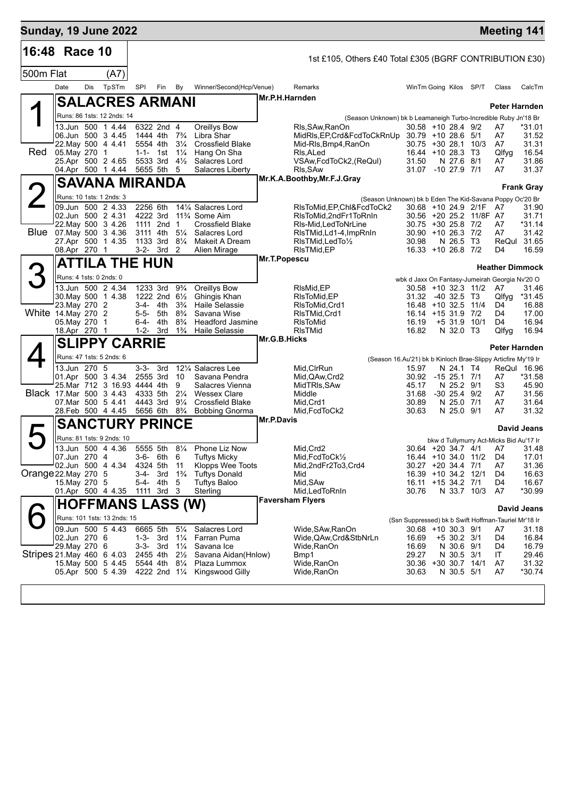| <b>Sunday, 19 June 2022</b> |                           |     |                                                   |                   |                                  |                                                    |                                                                |                |                                                                   |                                                               |                           |                         |                                               | <b>Meeting 141</b>      |
|-----------------------------|---------------------------|-----|---------------------------------------------------|-------------------|----------------------------------|----------------------------------------------------|----------------------------------------------------------------|----------------|-------------------------------------------------------------------|---------------------------------------------------------------|---------------------------|-------------------------|-----------------------------------------------|-------------------------|
| 16:48 Race 10               |                           |     |                                                   |                   |                                  |                                                    |                                                                |                | 1st £105, Others £40 Total £305 (BGRF CONTRIBUTION £30)           |                                                               |                           |                         |                                               |                         |
| 500m Flat                   |                           |     | (A7)                                              |                   |                                  |                                                    |                                                                |                |                                                                   |                                                               |                           |                         |                                               |                         |
|                             | Date                      | Dis | TpSTm                                             | SPI               | Fin                              | By                                                 | Winner/Second(Hcp/Venue)                                       |                | Remarks                                                           | WinTm Going Kilos SP/T                                        |                           |                         | Class                                         | CalcTm                  |
|                             |                           |     | <b>SALACRES ARMANI</b>                            |                   |                                  |                                                    |                                                                | Mr.P.H.Harnden |                                                                   |                                                               |                           |                         |                                               |                         |
|                             |                           |     | Runs: 86 1sts: 12 2nds: 14                        |                   |                                  |                                                    |                                                                |                | (Season Unknown) bk b Leamaneigh Turbo-Incredible Ruby Jn'18 Br   |                                                               |                           |                         |                                               | <b>Peter Harnden</b>    |
|                             |                           |     | 13.Jun 500 1 4.44<br>06.Jun 500 3 4.45            |                   | 6322 2nd 4<br>1444 4th           | $7\frac{3}{4}$                                     | Oreillys Bow<br>Libra Shar                                     |                | Rls, SAw, RanOn<br>MidRIs, EP, Crd&FcdToCkRnUp 30.79 +10 28.6 5/1 | 30.58 +10 28.4 9/2                                            |                           |                         | A7<br>A7                                      | *31.01<br>31.52         |
| Red                         | 05. May 270 1             |     | 22. May 500 4 4.41<br>25.Apr 500 2 4.65           |                   | 5554 4th<br>1-1- 1st<br>5533 3rd | $3\frac{1}{4}$<br>$1\frac{1}{4}$<br>$4\frac{1}{2}$ | <b>Crossfield Blake</b><br>Hang On Sha<br>Salacres Lord        |                | Mid-Rls,Bmp4,RanOn<br>RIs, ALed<br>VSAw, FcdToCk2, (ReQul)        | $30.75 + 30.28.1$<br>16.44 +10 28.3 T3<br>31.50               | N 27.6 8/1                | 10/3                    | A7<br>Qlfyg<br>A7                             | 31.31<br>16.54<br>31.86 |
|                             |                           |     | 04.Apr 500 1 4.44                                 |                   | 5655 5th                         | 5                                                  | Salacres Liberty                                               |                | RIs, SAw<br>Mr.K.A.Boothby, Mr.F.J.Gray                           | 31.07 -10 27.9 7/1                                            |                           |                         | A7                                            | 31.37                   |
|                             |                           |     | <b>SAVANA MIRANDA</b>                             |                   |                                  |                                                    |                                                                |                |                                                                   |                                                               |                           |                         |                                               | <b>Frank Gray</b>       |
|                             |                           |     | Runs: 10 1sts: 1 2nds: 3                          |                   |                                  |                                                    |                                                                |                | (Season Unknown) bk b Eden The Kid-Savana Poppy Oc'20 Br          |                                                               |                           |                         |                                               |                         |
|                             |                           |     | 09.Jun 500 2 4.33<br>02.Jun 500 2 4.31            |                   | 2256 6th<br>4222 3rd             |                                                    | 141/4 Salacres Lord<br>11 <sup>3</sup> / <sub>4</sub> Some Aim |                | RIsToMid, EP, ChI&FcdToCk2<br>RIsToMid.2ndFr1ToRnIn               | 30.68 +10 24.9 2/1F                                           |                           | 30.56 +20 25.2 11/8F A7 | A7                                            | 31.90<br>31.71          |
|                             |                           |     | 22. May 500 3 4.26                                |                   | 1111 2nd 1                       |                                                    | <b>Crossfield Blake</b>                                        |                | RIs-Mid, LedToNrLine                                              | 30.75 +30 25.8 7/2                                            |                           |                         | A7                                            | *31.14                  |
|                             |                           |     | Blue 07 May 500 3 4.36<br>27.Apr 500 1 4.35       |                   | 3111 4th<br>1133 3rd             | $5\frac{1}{4}$<br>$8\frac{1}{4}$                   | Salacres Lord<br>Makeit A Dream                                |                | RIsTMid, Ld1-4, ImpRnIn<br>RIsTMid, Led To 1/2                    | 30.90 +10 26.3 7/2<br>30.98                                   | N 26.5                    | - ТЗ                    | A7<br>ReQul                                   | 31.42<br>31.65          |
|                             | 08.Apr 270 1              |     |                                                   |                   | 3-2- 3rd                         | 2                                                  | Alien Mirage                                                   |                | RIsTMid, EP                                                       | 16.33 +10 26.8 7/2                                            |                           |                         | D <sub>4</sub>                                | 16.59                   |
|                             |                           |     | <b>ATTILA THE HUN</b>                             |                   |                                  |                                                    |                                                                | Mr.T.Popescu   |                                                                   |                                                               |                           |                         |                                               | <b>Heather Dimmock</b>  |
| 3                           | Runs: 4 1sts: 0 2nds: 0   |     |                                                   |                   |                                  |                                                    |                                                                |                |                                                                   | wbk d Jaxx On Fantasy-Jumeirah Georgia Nv'20 O                |                           |                         |                                               |                         |
|                             |                           |     | 13.Jun 500 2 4.34                                 |                   | 1233 3rd<br>1222 2nd 61/2        | $9\frac{3}{4}$                                     | Oreillys Bow                                                   |                | RIsMid.EP                                                         | 30.58 +10 32.3 11/2                                           |                           |                         | A7                                            | 31.46                   |
|                             | 23. May 270 2             |     | 30. May 500 1 4.38                                |                   | 3-4- 4th                         | $3\frac{3}{4}$                                     | Ghingis Khan<br><b>Haile Selassie</b>                          |                | RIsToMid, EP<br>RIsToMid, Crd1                                    | 31.32 -40 32.5 T3<br>16.48 +10 32.5 11/4                      |                           |                         | Qlfyg<br>D4                                   | *31.45<br>16.88         |
| White 14. May 270 2         |                           |     |                                                   | $5 - 5 -$         | 5th                              | $8\frac{3}{4}$                                     | Savana Wise                                                    |                | RIsTMid, Crd1                                                     | 16.14 +15 31.9 7/2                                            |                           |                         | D4                                            | 17.00                   |
|                             | 05. May 270<br>18.Apr 270 |     | $\mathbf{1}$<br>-1                                | 6-4-<br>$1 - 2 -$ | 4th<br>3rd                       | $8\frac{3}{4}$<br>$1\frac{3}{4}$                   | <b>Headford Jasmine</b><br>Haile Selassie                      |                | <b>RIsToMid</b><br><b>RIsTMid</b>                                 | 16.19<br>16.82                                                | +5 31.9 10/1<br>N 32.0 T3 |                         | D4<br>Qlfyg                                   | 16.94<br>16.94          |
|                             |                           |     | <b>SLIPPY CARRIE</b>                              |                   |                                  |                                                    |                                                                | Mr.G.B.Hicks   |                                                                   |                                                               |                           |                         |                                               | Peter Harnden           |
|                             |                           |     | Runs: 47 1sts: 5 2nds: 6                          |                   |                                  |                                                    |                                                                |                |                                                                   | (Season 16.Au'21) bk b Kinloch Brae-Slippy Articfire My'19 Ir |                           |                         |                                               |                         |
|                             | 13.Jun 270 5              |     |                                                   | 3-3-              | 3rd                              |                                                    | 121/4 Salacres Lee                                             |                | Mid, CIrRun                                                       | 15.97                                                         | N 24.1 T4                 |                         |                                               | ReQul 16.96             |
|                             |                           |     | 01.Apr 500 3 4.34<br>25. Mar 712 3 16.93 4444 4th |                   | 2555 3rd                         | 10<br>9                                            | Savana Pendra<br>Salacres Vienna                               |                | Mid, QAw, Crd2<br>MidTRIs, SAw                                    | 30.92<br>45.17                                                | $-1525.171$<br>N 25.2 9/1 |                         | A7<br>S3                                      | *31.58<br>45.90         |
| Black 17. Mar 500 3 4.43    |                           |     |                                                   |                   | 4333 5th                         | $2\frac{1}{4}$                                     | <b>Wessex Clare</b>                                            |                | Middle                                                            | 31.68                                                         | -30 25.4                  | 9/2                     | A7                                            | 31.56                   |
|                             |                           |     | 07.Mar 500 5 4.41<br>28.Feb 500 4 4.45            |                   | 4443 3rd<br>5656 6th             | $9\frac{1}{4}$<br>$8\frac{3}{4}$                   | <b>Crossfield Blake</b><br><b>Bobbing Gnorma</b>               |                | Mid, Crd1<br>Mid, FcdToCk2                                        | 30.89<br>30.63                                                | N 25.0 7/1<br>N 25.0 9/1  |                         | A7<br>A7                                      | 31.64<br>31.32          |
|                             |                           |     | <b>SANCTURY PRINCE</b>                            |                   |                                  |                                                    |                                                                | Mr.P.Davis     |                                                                   |                                                               |                           |                         |                                               |                         |
|                             |                           |     | Runs: 81 1sts: 9 2nds: 10                         |                   |                                  |                                                    |                                                                |                |                                                                   |                                                               |                           |                         |                                               | David Jeans             |
|                             |                           |     | 13.Jun 500 4 4.36                                 |                   | 5555 5th 81/4                    |                                                    | Phone Liz Now                                                  |                | Mid, Crd2                                                         |                                                               |                           | 30.64 +20 34.7 4/1      | bkw d Tullymurry Act-Micks Bid Au'17 Ir<br>A7 | 31.48                   |
|                             | 07.Jun 270 4              |     |                                                   | 3-6-              | 6th                              | 6                                                  | <b>Tuftys Micky</b>                                            |                | Mid, FcdToCk1/2                                                   | 16.44 +10 34.0 11/2                                           |                           |                         | D4                                            | 17.01                   |
| Orange 22.May 270 5         |                           |     | 02.Jun 500 4 4.34                                 | 3-4-              | 4324 5th<br>3rd                  | 11<br>$1\frac{3}{4}$                               | Klopps Wee Toots<br><b>Tuftys Donald</b>                       |                | Mid,2ndFr2To3,Crd4<br>Mid                                         | 30.27 +20 34.4 7/1<br>16.39 +10 34.2 12/1                     |                           |                         | A7<br>D4                                      | 31.36<br>16.63          |
|                             | 15. May 270 5             |     |                                                   | $5 - 4 -$         | 4th                              | 5                                                  | <b>Tuftys Baloo</b>                                            |                | Mid, SAw                                                          | 16.11 +15 34.2 7/1                                            |                           |                         | D4                                            | 16.67                   |
|                             |                           |     | 01.Apr 500 4 4.35                                 |                   | 1111 3rd 3                       |                                                    | Sterling                                                       |                | Mid, Led To RnIn<br><b>Faversham Flyers</b>                       | 30.76                                                         |                           | N 33.7 10/3             | A7                                            | *30.99                  |
|                             |                           |     | <b>HOFFMANS LASS (W)</b>                          |                   |                                  |                                                    |                                                                |                |                                                                   |                                                               |                           |                         |                                               | David Jeans             |
|                             |                           |     | Runs: 101 1sts: 13 2nds: 15                       |                   |                                  |                                                    |                                                                |                |                                                                   | (Ssn Suppressed) bk b Swift Hoffman-Tauriel Mr'18 Ir          |                           |                         |                                               |                         |
|                             | 02.Jun 270 6              |     | 09.Jun 500 5 4.43                                 | $1 - 3 -$         | 6665 5th<br>3rd                  | $5\frac{1}{4}$<br>$1\frac{1}{4}$                   | Salacres Lord<br>Farran Puma                                   |                | Wide,SAw,RanOn<br>Wide, QAw, Crd&StbNrLn                          | 30.68 +10 30.3 9/1<br>16.69                                   | $+5$ 30.2 3/1             |                         | A7<br>D4                                      | 31.18<br>16.84          |
|                             | 29. May 270 6             |     |                                                   | 3-3-              | 3rd                              | $1\frac{1}{4}$                                     | Savana Ice                                                     |                | Wide,RanOn                                                        | 16.69                                                         | N 30.6 9/1                |                         | D4                                            | 16.79                   |
| Stripes 21 May 460 6 4.03   |                           |     | 15. May 500 5 4.45                                |                   | 2455 4th<br>5544 4th             | $2\frac{1}{2}$<br>$8\frac{1}{4}$                   | Savana Aidan(Hnlow)<br>Plaza Lummox                            |                | Bmp1<br>Wide, RanOn                                               | 29.27<br>30.36 +30 30.7 14/1                                  | N 30.5                    | 3/1                     | IT<br>A7                                      | 29.46<br>31.32          |
|                             |                           |     | 05.Apr 500 5 4.39                                 |                   | 4222 2nd 11/4                    |                                                    | Kingswood Gilly                                                |                | Wide, RanOn                                                       | 30.63                                                         | N 30.5 5/1                |                         | A7                                            | $*30.74$                |
|                             |                           |     |                                                   |                   |                                  |                                                    |                                                                |                |                                                                   |                                                               |                           |                         |                                               |                         |
|                             |                           |     |                                                   |                   |                                  |                                                    |                                                                |                |                                                                   |                                                               |                           |                         |                                               |                         |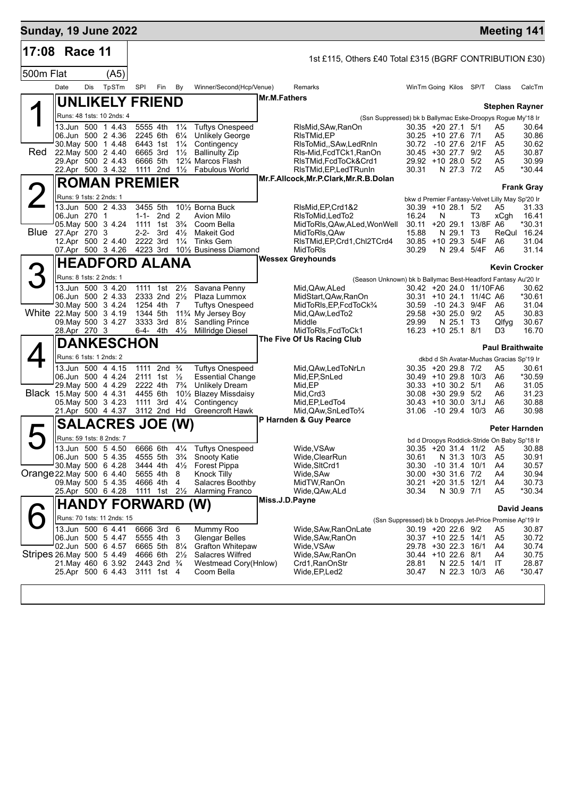| <b>Sunday, 19 June 2022</b> |                                         |     |                            |                          |                                                    |                                  |                                                                             |                |                                                               |                                                |   |                                  |                         | <b>Meeting 141</b>                                                   |                   |
|-----------------------------|-----------------------------------------|-----|----------------------------|--------------------------|----------------------------------------------------|----------------------------------|-----------------------------------------------------------------------------|----------------|---------------------------------------------------------------|------------------------------------------------|---|----------------------------------|-------------------------|----------------------------------------------------------------------|-------------------|
| 17:08 Race 11               |                                         |     |                            |                          |                                                    |                                  |                                                                             |                | 1st £115, Others £40 Total £315 (BGRF CONTRIBUTION £30)       |                                                |   |                                  |                         |                                                                      |                   |
| 500m Flat                   |                                         |     | (A5)                       |                          |                                                    |                                  |                                                                             |                |                                                               |                                                |   |                                  |                         |                                                                      |                   |
|                             | Date                                    | Dis | TpSTm                      | <b>SPI</b>               | Fin                                                | By                               | Winner/Second(Hcp/Venue)                                                    |                | Remarks                                                       |                                                |   |                                  | WinTm Going Kilos SP/T  | Class                                                                | CalcTm            |
|                             |                                         |     |                            | <b>UNLIKELY FRIEND</b>   |                                                    |                                  |                                                                             | Mr.M.Fathers   |                                                               |                                                |   |                                  |                         |                                                                      |                   |
|                             |                                         |     | Runs: 48 1sts: 10 2nds: 4  |                          |                                                    |                                  |                                                                             |                | (Ssn Suppressed) bk b Ballymac Eske-Droopys Rogue My'18 Ir    |                                                |   |                                  |                         | Stephen Rayner                                                       |                   |
|                             | 13.Jun 500 1 4.43                       |     |                            |                          | 5555 4th                                           | $1\frac{1}{4}$                   | <b>Tuftys Onespeed</b>                                                      |                | RIsMid, SAw, RanOn                                            | $30.35 + 20.27.1$ 5/1                          |   |                                  |                         | A <sub>5</sub>                                                       | 30.64             |
|                             | 06.Jun 500 2 4.36<br>30 May 500 1 4.48  |     |                            |                          | 2245 6th<br>6443 1st                               | $6\frac{1}{4}$<br>$1\frac{1}{4}$ | <b>Unlikely George</b><br>Contingency                                       |                | RIsTMid, EP<br>RIsToMid,, SAw, Led RnIn                       | 30.25 +10 27.6 7/1<br>30.72 -10 27.6 2/1F      |   |                                  |                         | A5<br>A <sub>5</sub>                                                 | 30.86<br>30.62    |
| <b>Red</b>                  | 22. May 500 2 4.40                      |     |                            |                          | 6665 3rd                                           | $1\frac{1}{2}$                   | <b>Ballinulty Zip</b>                                                       |                | RIs-Mid, FcdTCk1, RanOn                                       | 30.45 +30 27.7 9/2                             |   |                                  |                         | A <sub>5</sub>                                                       | 30.87             |
|                             | 29.Apr 500 2 4.43<br>22.Apr 500 3 4.32  |     |                            |                          | 6666 5th                                           |                                  | 121/4 Marcos Flash<br>1111 2nd 1 <sup>1</sup> / <sub>2</sub> Fabulous World |                | RIsTMid, FcdToCk&Crd1<br>RIsTMid, EP, Led TRunIn              | 29.92 +10 28.0 5/2<br>30.31                    |   | N 27.3 7/2                       |                         | A <sub>5</sub><br>A5                                                 | 30.99<br>*30.44   |
|                             |                                         |     |                            | <b>ROMAN PREMIER</b>     |                                                    |                                  |                                                                             |                | Mr.F.Allcock, Mr.P.Clark, Mr.R.B.Dolan                        |                                                |   |                                  |                         |                                                                      |                   |
|                             | Runs: 9 1sts: 2 2nds: 1                 |     |                            |                          |                                                    |                                  |                                                                             |                |                                                               |                                                |   |                                  |                         | bkw d Premier Fantasy-Velvet Lilly May Sp'20 Ir                      | <b>Frank Gray</b> |
|                             | 13.Jun 500 2 4.33                       |     |                            |                          | 3455 5th                                           |                                  | 101/ <sub>2</sub> Borna Buck                                                |                | RIsMid, EP, Crd1&2                                            | $30.39 + 10.28.1$ 5/2                          |   |                                  |                         | A5                                                                   | 31.33             |
|                             | 06.Jun 270 1<br>05. May 500 3 4.24      |     |                            |                          | $1-1-2nd2$<br>1111 1st                             | $3\frac{3}{4}$                   | Avion Milo<br>Coom Bella                                                    |                | RIsToMid, LedTo2<br>MidToRIs, QAw, ALed, Won Well             | 16.24<br>30.11                                 | N | $+2029.1$                        | T3<br>13/8F A6          | xCgh                                                                 | 16.41<br>*30.31   |
| <b>Blue</b> 27.Apr 270 3    |                                         |     |                            |                          | $2-2-3rd$                                          | $4\frac{1}{2}$                   | Makeit God                                                                  |                | MidToRIs, QAw                                                 | 15.88                                          |   | N 29.1 T3                        |                         |                                                                      | ReQul 16.24       |
|                             | 12.Apr 500 2 4.40                       |     |                            |                          | 2222 3rd                                           | $1\frac{1}{4}$                   | <b>Tinks Gem</b><br>07.Apr 500 3 4.26 4223 3rd 101/2 Business Diamond       |                | RIsTMid, EP, Crd1, Chl2TCrd4<br>MidToRIs                      | 30.85 +10 29.3 5/4F<br>30.29                   |   | N 29.4 5/4F                      |                         | A6<br>A6                                                             | 31.04<br>31.14    |
|                             |                                         |     |                            | <b>HEADFORD ALANA</b>    |                                                    |                                  |                                                                             |                | <b>Wessex Greyhounds</b>                                      |                                                |   |                                  |                         |                                                                      |                   |
|                             | Runs: 8 1sts: 2 2nds: 1                 |     |                            |                          |                                                    |                                  |                                                                             |                | (Season Unknown) bk b Ballymac Best-Headford Fantasy Au'20 Ir |                                                |   |                                  |                         | <b>Kevin Crocker</b>                                                 |                   |
|                             | 13.Jun 500 3 4.20                       |     |                            |                          | 1111 1st                                           | $2\frac{1}{2}$                   | Savana Penny                                                                |                | Mid,QAw,ALed                                                  |                                                |   |                                  | 30.42 +20 24.0 11/10FA6 |                                                                      | 30.62             |
|                             | 06.Jun 500 2 4.33<br>30. May 500 3 4.24 |     |                            |                          | 2333 2nd 21/2<br>1254 4th                          | 7                                | Plaza Lummox<br><b>Tuftys Onespeed</b>                                      |                | MidStart,QAw,RanOn<br>MidToRIs, EP, FcdToCk <sup>3</sup> /4   | 30.59 -10 24.3 9/4F                            |   |                                  | 30.31 +10 24.1 11/4C A6 | A6                                                                   | *30.61<br>31.04   |
| White 22. May 500 3 4.19    |                                         |     |                            |                          | 1344 5th                                           |                                  | 11% My Jersey Boy                                                           |                | Mid, QAw, Led To 2                                            | 29.58 +30 25.0 9/2                             |   |                                  |                         | A5                                                                   | 30.83             |
|                             | 09. May 500 3 4.27<br>28.Apr 270 3      |     |                            |                          | 3333 3rd<br>6-4- 4th                               | $8\frac{1}{2}$<br>$4\frac{1}{2}$ | Sandling Prince<br>Millridge Diesel                                         |                | Middle<br>MidToRIs,FcdToCk1                                   | 29.99<br>16.23 +10 25.1 8/1                    |   | N 25.1 T3                        |                         | Qlfyg<br>D3                                                          | 30.67<br>16.70    |
|                             |                                         |     |                            | <b>DANKESCHON</b>        |                                                    |                                  |                                                                             |                | The Five Of Us Racing Club                                    |                                                |   |                                  |                         |                                                                      |                   |
|                             |                                         |     | Runs: 6 1sts: 1 2nds: 2    |                          |                                                    |                                  |                                                                             |                |                                                               |                                                |   |                                  |                         | <b>Paul Braithwaite</b><br>dkbd d Sh Avatar-Muchas Gracias Sp'19 Ir  |                   |
|                             | 13.Jun 500 4 4.15                       |     |                            |                          | 1111 2nd $\frac{3}{4}$                             |                                  | <b>Tuftys Onespeed</b>                                                      |                | Mid, QAw, Led ToNrLn                                          | 30.35 +20 29.8 7/2                             |   |                                  |                         | A5                                                                   | 30.61             |
|                             | 06.Jun 500 4 4.24<br>29. May 500 4 4.29 |     |                            |                          | 2111 1st $\frac{1}{2}$<br>2222 4th                 |                                  | <b>Essential Change</b><br>7 <sup>3</sup> / <sub>4</sub> Unlikely Dream     |                | Mid, EP, SnLed<br>Mid, EP                                     | $30.49 + 1029.810/3$<br>$30.33 + 10.30.2$ 5/1  |   |                                  |                         | A6<br>A6                                                             | *30.59<br>31.05   |
| Black 15. May 500 4 4.31    |                                         |     |                            |                          | 4455 6th                                           |                                  | 101/2 Blazey Missdaisy                                                      |                | Mid, Crd3                                                     | $30.08 + 30.29.9$ 5/2                          |   |                                  |                         | A6                                                                   | 31.23             |
|                             | 05. May 500 3 4.23<br>21.Apr 500 4 4.37 |     |                            |                          | 1111 3rd<br>3112 2nd Hd                            | $4\frac{1}{4}$                   | Contingency<br>Greencroft Hawk                                              |                | Mid, EP, Led To4<br>Mid, QAw, SnLed To 3/4                    | $30.43 + 10.300$ $3/1J$<br>31.06 -10 29.4 10/3 |   |                                  |                         | A6<br>A6                                                             | 30.88<br>30.98    |
|                             |                                         |     |                            | <b>SALACRES JOE (W)</b>  |                                                    |                                  |                                                                             |                | P Harnden & Guy Pearce                                        |                                                |   |                                  |                         |                                                                      |                   |
|                             |                                         |     | Runs: 59 1sts: 8 2nds: 7   |                          |                                                    |                                  |                                                                             |                |                                                               |                                                |   |                                  |                         | <b>Peter Harnden</b><br>bd d Droopys Roddick-Stride On Baby Sp'18 Ir |                   |
|                             | 13.Jun 500 5 4.50                       |     |                            |                          |                                                    |                                  | 6666 6th 41/4 Tuftys Onespeed                                               |                | Wide, VSAw                                                    |                                                |   |                                  |                         | 30.35 +20 31.4 11/2 A5                                               | 30.88             |
|                             | 06.Jun 500 5 4.35<br>30. May 500 6 4.28 |     |                            |                          | 4555 5th<br>3444 4th                               | $3\frac{3}{4}$<br>$4\frac{1}{2}$ | Snooty Katie<br><b>Forest Pippa</b>                                         |                | Wide, ClearRun<br>Wide, SItCrd1                               | 30.61<br>30.30                                 |   | N 31.3 10/3<br>$-10$ 31.4 $10/1$ |                         | A <sub>5</sub><br>A4                                                 | 30.91<br>30.57    |
| Orange 22 May 500 6 4.40    |                                         |     |                            |                          | 5655 4th                                           | 8                                | Knock Tilly                                                                 |                | Wide, SAw                                                     | 30.00 +30 31.6 7/2                             |   |                                  |                         | A4                                                                   | 30.94             |
|                             | 09. May 500 5 4.35<br>25.Apr 500 6 4.28 |     |                            |                          | 4666 4th<br>1111 1st $2\frac{1}{2}$                | 4                                | Salacres Boothby<br><b>Alarming Franco</b>                                  |                | MidTW,RanOn<br>Wide, QAw, ALd                                 | 30.21 +20 31.5 12/1<br>30.34                   |   | N 30.9 7/1                       |                         | A4<br>A5                                                             | 30.73<br>*30.34   |
|                             |                                         |     |                            | <b>HANDY FORWARD (W)</b> |                                                    |                                  |                                                                             | Miss.J.D.Payne |                                                               |                                                |   |                                  |                         |                                                                      |                   |
|                             |                                         |     | Runs: 70 1sts: 11 2nds: 15 |                          |                                                    |                                  |                                                                             |                | (Ssn Suppressed) bk b Droopys Jet-Price Promise Ap'19 Ir      |                                                |   |                                  |                         |                                                                      | David Jeans       |
|                             | 13.Jun 500 6 4.41                       |     |                            |                          | 6666 3rd                                           | - 6                              | Mummy Roo                                                                   |                | Wide,SAw,RanOnLate                                            | 30.19 +20 22.6 9/2                             |   |                                  |                         | A5                                                                   | 30.87             |
|                             | 06.Jun 500 5 4.47<br>02.Jun 500 6 4.57  |     |                            |                          | 5555 4th<br>6665 5th                               | 3<br>$8\frac{1}{4}$              | <b>Glengar Belles</b><br><b>Grafton Whitepaw</b>                            |                | Wide, SAw, RanOn<br>Wide, VSAw                                | 30.37 +10 22.5 14/1<br>29.78 +30 22.3 16/1     |   |                                  |                         | A5<br>A4                                                             | 30.72<br>30.74    |
| Stripes 26. May 500 5 4.49  |                                         |     |                            |                          | 4666 6th                                           | $2\frac{1}{2}$                   | <b>Salacres Wilfred</b>                                                     |                | Wide,SAw,RanOn                                                | 30.44 +10 22.6 8/1                             |   |                                  |                         | A4                                                                   | 30.75             |
|                             | 21. May 460 6 3.92<br>25.Apr 500 6 4.43 |     |                            |                          | 2443 2nd <sup>3</sup> / <sub>4</sub><br>3111 1st 4 |                                  | Westmead Cory(Hnlow)<br>Coom Bella                                          |                | Crd1, RanOnStr<br>Wide, EP, Led 2                             | 28.81<br>30.47                                 |   | N 22.5<br>N 22.3 10/3            | 14/1                    | IT<br>A6                                                             | 28.87<br>*30.47   |
|                             |                                         |     |                            |                          |                                                    |                                  |                                                                             |                |                                                               |                                                |   |                                  |                         |                                                                      |                   |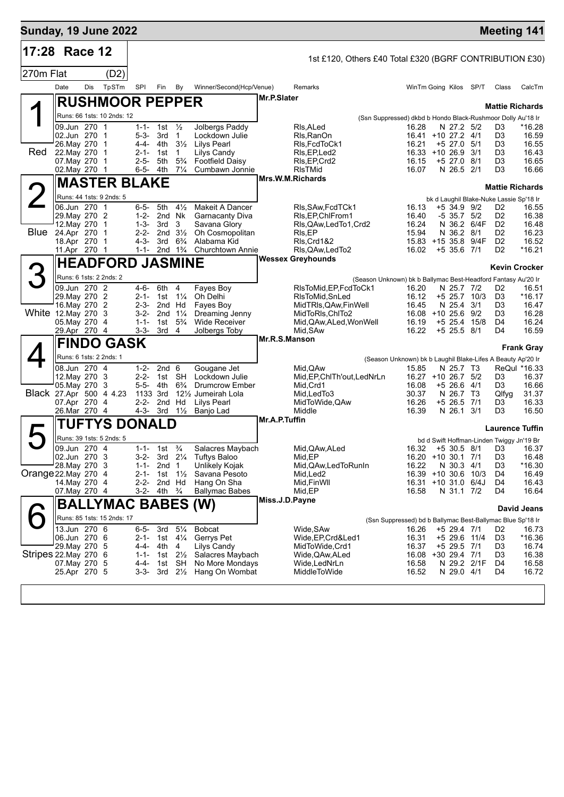| <b>Sunday, 19 June 2022</b> |                               |     |                             |                        |                                  |                             |                                                |               |                                                               |                                                                      |                                  |              |                                           | <b>Meeting 141</b>     |
|-----------------------------|-------------------------------|-----|-----------------------------|------------------------|----------------------------------|-----------------------------|------------------------------------------------|---------------|---------------------------------------------------------------|----------------------------------------------------------------------|----------------------------------|--------------|-------------------------------------------|------------------------|
| 17:28 Race 12               |                               |     |                             |                        |                                  |                             |                                                |               | 1st £120, Others £40 Total £320 (BGRF CONTRIBUTION £30)       |                                                                      |                                  |              |                                           |                        |
| 270m Flat                   |                               |     | (D2)                        |                        |                                  |                             |                                                |               |                                                               |                                                                      |                                  |              |                                           |                        |
|                             | Date                          | Dis | TpSTm                       | SPI                    | Fin                              | By                          | Winner/Second(Hcp/Venue)                       |               | Remarks                                                       | WinTm Going Kilos SP/T                                               |                                  |              | Class                                     | CalcTm                 |
|                             |                               |     | <b>RUSHMOOR PEPPER</b>      |                        |                                  |                             |                                                | Mr.P.Slater   |                                                               |                                                                      |                                  |              |                                           |                        |
|                             |                               |     | Runs: 66 1sts: 10 2nds: 12  |                        |                                  |                             |                                                |               |                                                               |                                                                      |                                  |              |                                           | <b>Mattie Richards</b> |
|                             | 09.Jun 270 1                  |     |                             |                        | 1-1- 1st $\frac{1}{2}$           |                             | Jolbergs Paddy                                 |               | RIs.ALed                                                      | (Ssn Suppressed) dkbd b Hondo Black-Rushmoor Dolly Au'18 Ir<br>16.28 | N 27.2 5/2                       |              | D <sub>3</sub>                            | *16.28                 |
|                             | 02.Jun 270 1                  |     |                             | $5 - 3 -$              | 3rd                              | $\overline{1}$              | Lockdown Julie                                 |               | Rls, RanOn                                                    | 16.41 +10 27.2 4/1                                                   |                                  |              | D <sub>3</sub>                            | 16.59                  |
| Red                         | 26. May 270<br>22. May 270    |     | $\mathbf 1$<br>$\mathbf{1}$ | 4-4-                   | 4th<br>2-1- 1st                  | $3\frac{1}{2}$<br>-1        | <b>Lilys Pearl</b><br>Lilys Candy              |               | RIs, FcdToCk1<br>RIs, EP, Led2                                | 16.21<br>16.33 +10 26.9                                              | +5 27.0 5/1                      | 3/1          | D3<br>D <sub>3</sub>                      | 16.55<br>16.43         |
|                             | 07. May 270                   |     | $\mathbf 1$                 | $2 - 5 -$              | 5th                              | $5\frac{3}{4}$              | <b>Footfield Daisy</b>                         |               | RIs, EP, Crd2                                                 | 16.15                                                                | $+5$ 27.0 8/1                    |              | D <sub>3</sub>                            | 16.65                  |
|                             | 02. May 270 1                 |     |                             | 6-5-                   | 4th                              | $7\frac{1}{4}$              | Cumbawn Jonnie                                 |               | <b>RIsTMid</b><br>Mrs.W.M.Richards                            | 16.07                                                                | N 26.5 2/1                       |              | D3                                        | 16.66                  |
|                             |                               |     | <b>MASTER BLAKE</b>         |                        |                                  |                             |                                                |               |                                                               |                                                                      |                                  |              |                                           | <b>Mattie Richards</b> |
| 2                           | Runs: 44 1sts: 9 2nds: 5      |     |                             |                        |                                  |                             |                                                |               |                                                               |                                                                      |                                  |              | bk d Laughil Blake-Nuke Lassie Sp'18 Ir   |                        |
|                             | 06.Jun 270 1<br>29. May 270 2 |     |                             | $6 - 5 -$<br>$1 - 2 -$ | 5th<br>2nd Nk                    | $4\frac{1}{2}$              | Makeit A Dancer<br><b>Garnacanty Diva</b>      |               | RIs, SAw, FcdTCk1<br>RIs, EP, ChIFrom 1                       | 16.13<br>16.40                                                       | $+5$ 34.9 9/2<br>$-5$ 35.7 $5/2$ |              | D <sub>2</sub><br>D <sub>2</sub>          | 16.55<br>16.38         |
|                             | 12. May 270 1                 |     |                             | $1 - 3 -$              | 3rd                              | 3                           | Savana Glory                                   |               | RIs, QAw, Led To 1, Crd 2                                     | 16.24                                                                |                                  | N 36.2 6/4F  | D <sub>2</sub>                            | 16.48                  |
| Blue                        | 24.Apr 270 1<br>18.Apr 270 1  |     |                             | $2 - 2 -$<br>$4 - 3 -$ | 2nd $3\frac{1}{2}$<br>3rd        | $6\frac{3}{4}$              | Oh Cosmopolitan<br>Alabama Kid                 |               | RIs, EP<br>RIs, Crd1&2                                        | 15.94<br>15.83 +15 35.8 9/4F                                         | N 36.2 8/1                       |              | D <sub>2</sub><br>D <sub>2</sub>          | 16.23<br>16.52         |
|                             | 11.Apr 270 1                  |     |                             | 1-1-                   |                                  | 2nd $1\frac{3}{4}$          | <b>Churchtown Annie</b>                        |               | RIs, QAw, Led To 2                                            | 16.02                                                                | $+5$ 35.6 7/1                    |              | D <sub>2</sub>                            | $*16.21$               |
|                             |                               |     | <b>HEADFORD JASMINE</b>     |                        |                                  |                             |                                                |               | <b>Wessex Greyhounds</b>                                      |                                                                      |                                  |              |                                           |                        |
| З                           | Runs: 6 1sts: 2 2nds: 2       |     |                             |                        |                                  |                             |                                                |               | (Season Unknown) bk b Ballymac Best-Headford Fantasy Au'20 Ir |                                                                      |                                  |              |                                           | <b>Kevin Crocker</b>   |
|                             | 09.Jun 270 2                  |     |                             | 4-6-                   | 6th                              | 4                           | Fayes Boy                                      |               | RIsToMid, EP, FcdToCk1                                        | 16.20                                                                | N 25.7 7/2                       |              | D2                                        | 16.51                  |
|                             | 29. May 270 2                 |     |                             | $2 - 1 -$              | 1st $1\frac{1}{4}$               |                             | Oh Delhi                                       |               | RIsToMid, SnLed                                               | 16.12                                                                |                                  | +5 25.7 10/3 | D <sub>3</sub>                            | $*16.17$               |
| White 12. May 270           | 16. May 270 2                 |     | -3                          | $2 - 3 -$<br>$3 - 2 -$ | 2nd Hd<br>2nd                    | $1\frac{1}{4}$              | Fayes Boy<br>Dreaming Jenny                    |               | MidTRIs, QAw, Fin Well<br>MidToRIs, ChITo2                    | 16.45<br>16.08 +10 25.6 9/2                                          | N 25.4 3/1                       |              | D3<br>D3                                  | 16.47<br>16.28         |
|                             | 05.May 270 4                  |     |                             | $1 - 1 -$              | 1st                              | $5\frac{3}{4}$              | <b>Wide Receiver</b>                           |               | Mid, QAw, ALed, Won Well                                      | 16.19                                                                | +5 25.4                          | 15/8         | D4                                        | 16.24                  |
|                             | 29.Apr 270 4                  |     |                             | $3 - 3 -$              | 3rd                              | 4                           | Jolbergs Toby                                  |               | Mid, SAw<br>Mr.R.S.Manson                                     | 16.22                                                                | $+5$ 25.5 8/1                    |              | D4                                        | 16.59                  |
|                             |                               |     | <b>FINDO GASK</b>           |                        |                                  |                             |                                                |               |                                                               |                                                                      |                                  |              |                                           | <b>Frank Gray</b>      |
|                             | Runs: 6 1sts: 2 2nds: 1       |     |                             |                        |                                  |                             |                                                |               |                                                               | (Season Unknown) bk b Laughil Blake-Lifes A Beauty Ap'20 Ir          |                                  |              |                                           |                        |
|                             | 08.Jun 270 4<br>12. May 270 3 |     |                             | $1 - 2 -$<br>$2 - 2 -$ | 2nd <sub>6</sub>                 | 1st SH                      | Gougane Jet<br>Lockdown Julie                  |               | Mid, QAw<br>Mid, EP, ChlTh'out, LedNrLn                       | 15.85<br>16.27 +10 26.7 5/2                                          | N 25.7 T3                        |              | D3                                        | ReQul *16.33<br>16.37  |
|                             | 05.May 270                    |     | 3                           | $5 - 5 -$              | 4th                              | $6\frac{3}{4}$              | <b>Drumcrow Ember</b>                          |               | Mid, Crd1                                                     | 16.08                                                                | $+5, 26.6$                       | 4/1          | D3                                        | 16.66                  |
| Black 27.Apr 500 4 4.23     | 07.Apr 270 4                  |     |                             | $2 - 2 -$              | 1133 3rd<br>2nd Hd               |                             | 121/ <sub>2</sub> Jumeirah Lola<br>Lilys Pearl |               | Mid, Led To 3<br>MidToWide, QAw                               | 30.37<br>16.26                                                       | N 26.7 T3<br>+5 26.5 7/1         |              | Qlfyg<br>D3                               | 31.37<br>16.33         |
|                             | 26.Mar 270 4                  |     |                             | $4 - 3 -$              | 3rd                              | $1\frac{1}{2}$              | Banjo Lad                                      |               | Middle                                                        | 16.39                                                                | N 26.1 3/1                       |              | D3                                        | 16.50                  |
|                             |                               |     | TUFTYS DONALD               |                        |                                  |                             |                                                | Mr.A.P.Tuffin |                                                               |                                                                      |                                  |              |                                           | <b>Laurence Tuffin</b> |
|                             | Runs: 39 1sts: 5 2nds: 5      |     |                             |                        |                                  |                             |                                                |               |                                                               |                                                                      |                                  |              | bd d Swift Hoffman-Linden Twiggy Jn'19 Br |                        |
|                             | 09.Jun 270 4                  |     |                             |                        | 1-1- 1st $\frac{3}{4}$           |                             | Salacres Maybach                               |               | Mid, QAw, ALed                                                | 16.32                                                                |                                  |              |                                           | +5 30.5 8/1 D3 16.37   |
|                             | 02.Jun 270 3<br>28. May 270 3 |     |                             | 3-2-<br>$1 - 1 -$      | 2nd <sub>1</sub>                 |                             | 3rd 21⁄4 Tuftys Baloo<br>Unlikely Kojak        |               | Mid, EP<br>Mid, QAw, Led To Run In                            | 16.20 +10 30.1 7/1<br>16.22                                          | N 30.3 4/1                       |              | D <sub>3</sub><br>D3                      | 16.48<br>*16.30        |
| Orange 22. May 270          |                               |     | -4                          | 2-1-                   | 1st $1\frac{1}{2}$               |                             | Savana Pesoto                                  |               | Mid,Led2                                                      | 16.39 +10 30.6                                                       |                                  | 10/3         | D4                                        | 16.49                  |
|                             | 14. May 270 4                 |     |                             | $2 - 2 -$              | 2nd Hd<br>3-2- 4th $\frac{3}{4}$ |                             | Hang On Sha                                    |               | Mid, Fin WII<br>Mid, EP                                       | 16.31 +10 31.0 6/4J<br>16.58                                         | N 31.1 7/2                       |              | D4<br>D4                                  | 16.43<br>16.64         |
|                             | 07. May 270 4                 |     |                             |                        |                                  |                             | <b>Ballymac Babes</b>                          |               | Miss.J.D.Payne                                                |                                                                      |                                  |              |                                           |                        |
|                             |                               |     | <b>BALLYMAC BABES (W)</b>   |                        |                                  |                             |                                                |               |                                                               |                                                                      |                                  |              |                                           | David Jeans            |
|                             | 13.Jun 270 6                  |     | Runs: 85 1sts: 15 2nds: 17  |                        |                                  |                             |                                                |               |                                                               | (Ssn Suppressed) bd b Ballymac Best-Ballymac Blue Sp'18 Ir           |                                  |              |                                           |                        |
|                             | 06.Jun 270 6                  |     |                             | $6 - 5 -$              | 3rd<br>2-1- 1st $4\frac{1}{4}$   | $5\frac{1}{4}$              | <b>Bobcat</b><br>Gerrys Pet                    |               | Wide, SAw<br>Wide, EP, Crd& Led1                              | 16.26<br>16.31                                                       | +5 29.4 7/1<br>+5 29.6 11/4      |              | D2<br>D <sub>3</sub>                      | 16.73<br>*16.36        |
|                             | 29. May 270 5                 |     |                             | 4-4-                   | 4th                              | 4                           | Lilys Candy                                    |               | MidToWide,Crd1                                                | 16.37                                                                | +5 29.5 7/1                      |              | D3                                        | 16.74                  |
| Stripes 22. May 270 6       | 07.May 270 5                  |     |                             | $1 - 1 -$<br>4-4-      | 1st<br>1st                       | $2\frac{1}{2}$<br><b>SH</b> | Salacres Maybach<br>No More Mondays            |               | Wide, QAw, ALed<br>Wide,LedNrLn                               | 16.08 +30 29.4 7/1<br>16.58                                          |                                  | N 29.2 2/1F  | D3<br>D4                                  | 16.38<br>16.58         |
|                             | 25.Apr 270 5                  |     |                             | $3 - 3 -$              | 3rd                              | $2\frac{1}{2}$              | Hang On Wombat                                 |               | MiddleToWide                                                  | 16.52                                                                | N 29.0 4/1                       |              | D4                                        | 16.72                  |
|                             |                               |     |                             |                        |                                  |                             |                                                |               |                                                               |                                                                      |                                  |              |                                           |                        |
|                             |                               |     |                             |                        |                                  |                             |                                                |               |                                                               |                                                                      |                                  |              |                                           |                        |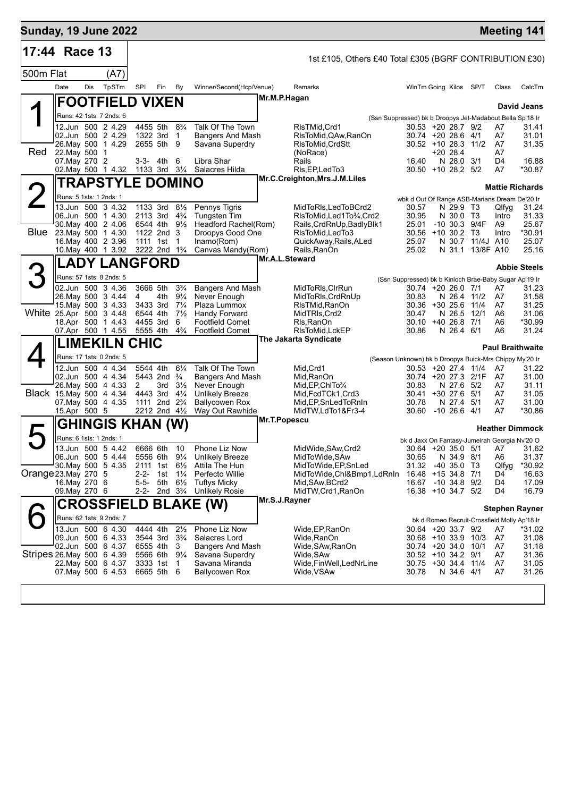| <b>Sunday, 19 June 2022</b> |                                          |     |                          |                        |                                        |                                  |                                                  |                |                                                                            |                                                        |                            |                  |                | <b>Meeting 141</b>                           |
|-----------------------------|------------------------------------------|-----|--------------------------|------------------------|----------------------------------------|----------------------------------|--------------------------------------------------|----------------|----------------------------------------------------------------------------|--------------------------------------------------------|----------------------------|------------------|----------------|----------------------------------------------|
| 17:44 Race 13               |                                          |     |                          |                        |                                        |                                  |                                                  |                | 1st £105, Others £40 Total £305 (BGRF CONTRIBUTION £30)                    |                                                        |                            |                  |                |                                              |
| 500m Flat                   |                                          |     | (A7)                     |                        |                                        |                                  |                                                  |                |                                                                            |                                                        |                            |                  |                |                                              |
|                             | Date                                     | Dis | TpSTm                    | SPI                    | Fin                                    | By                               | Winner/Second(Hcp/Venue)                         |                | Remarks                                                                    | WinTm Going Kilos SP/T                                 |                            |                  | Class          | CalcTm                                       |
|                             |                                          |     | <b>FOOTFIELD VIXEN</b>   |                        |                                        |                                  |                                                  | Mr.M.P.Hagan   |                                                                            |                                                        |                            |                  |                |                                              |
|                             |                                          |     | Runs: 42 1sts: 7 2nds: 6 |                        |                                        |                                  |                                                  |                |                                                                            |                                                        |                            |                  |                | David Jeans                                  |
|                             |                                          |     | 12.Jun 500 2 4.29        |                        | 4455 5th                               | $8\frac{3}{4}$                   | Talk Of The Town                                 |                | (Ssn Suppressed) bk b Droopys Jet-Madabout Bella Sp'18 Ir<br>RIsTMid, Crd1 | 30.53 +20 28.7 9/2                                     |                            |                  | A7             | 31.41                                        |
|                             | 02.Jun 500 2 4.29                        |     |                          |                        | 1322 3rd                               | $\overline{1}$                   | <b>Bangers And Mash</b>                          |                | RIsToMid, QAw, RanOn                                                       | 30.74 +20 28.6 4/1                                     |                            |                  | A7             | 31.01                                        |
| Red                         | 26. May 500 1 4.29<br>22. May 500 1      |     |                          |                        | 2655 5th 9                             |                                  | Savana Superdry                                  |                | RIsToMid.CrdStt<br>(NoRace)                                                | 30.52 +10 28.3 11/2                                    | $+2028.4$                  |                  | A7<br>A7       | 31.35                                        |
|                             | 07. May 270 2                            |     |                          |                        | $3-3-4th$                              | 6                                | Libra Shar                                       |                | Rails                                                                      | 16.40                                                  | N 28.0 3/1                 |                  | D <sub>4</sub> | 16.88                                        |
|                             |                                          |     | 02. May 500 1 4.32       |                        | 1133 3rd 31/4                          |                                  | Salacres Hilda                                   |                | RIs, EP, Led To 3<br>Mr.C.Creighton, Mrs.J.M.Liles                         | $30.50 + 1028.25/2$                                    |                            |                  | A7             | *30.87                                       |
|                             |                                          |     | <b>TRAPSTYLE DOMINO</b>  |                        |                                        |                                  |                                                  |                |                                                                            |                                                        |                            |                  |                | <b>Mattie Richards</b>                       |
|                             | Runs: 5 1sts: 1 2nds: 1                  |     |                          |                        |                                        |                                  |                                                  |                |                                                                            | wbk d Out Of Range ASB-Marians Dream De'20 Ir          |                            |                  |                |                                              |
|                             | 06.Jun 500 1 4.30                        |     | 13.Jun 500 3 4.32        |                        | 1133 3rd 81/2<br>2113 3rd 43/4         |                                  | Pennys Tigris<br><b>Tungsten Tim</b>             |                | MidToRIs, LedToBCrd2<br>RIsToMid, Led1To3/4, Crd2                          | 30.57<br>30.95                                         | N 29.9 T3<br>N 30.0 T3     |                  | Qlfyg<br>Intro | 31.24<br>31.33                               |
|                             | 30. May 400 2 4.06                       |     |                          |                        | 6544 4th                               | $9\frac{1}{2}$                   | Headford Rachel(Rom)                             |                | Rails, CrdRnUp, Badly Blk1                                                 | 25.01                                                  | $-10$ 30.3 9/4F            |                  | A9             | 25.67                                        |
| Blue                        | 23. May 500 1 4.30<br>16. May 400 2 3.96 |     |                          |                        | 1122 2nd 3<br>1111 1st                 | $\mathbf 1$                      | Droopys Good One<br>Inamo(Rom)                   |                | RIsToMid, LedTo3<br>QuickAway, Rails, ALed                                 | 30.56 +10 30.2 T3<br>25.07                             | N 30.7                     | 11/4J A10        | Intro          | *30.91<br>25.07                              |
|                             |                                          |     | 10. May 400 1 3.92       |                        | 3222 2nd 1 <sup>3</sup> / <sub>4</sub> |                                  | Canvas Mandy(Rom)                                |                | Rails.RanOn                                                                | 25.02                                                  |                            | N 31.1 13/8F A10 |                | 25.16                                        |
|                             |                                          |     | <b>LADY LANGFORD</b>     |                        |                                        |                                  |                                                  | Mr.A.L.Steward |                                                                            |                                                        |                            |                  |                | <b>Abbie Steels</b>                          |
| 3                           |                                          |     | Runs: 57 1sts: 8 2nds: 5 |                        |                                        |                                  |                                                  |                |                                                                            | (Ssn Suppressed) bk b Kinloch Brae-Baby Sugar Ap'19 Ir |                            |                  |                |                                              |
|                             | 02.Jun 500 3 4.36                        |     |                          |                        | 3666 5th                               | $3\frac{3}{4}$                   | Bangers And Mash                                 |                | MidToRIs, CIrRun                                                           | 30.74 +20 26.0 7/1                                     |                            |                  | A7             | 31.23                                        |
|                             | 26. May 500 3 4.44<br>15 May 500 3 4.33  |     |                          | 4                      | 4th<br>3433 3rd                        | $9\frac{1}{4}$<br>$7\frac{1}{4}$ | Never Enough<br>Plaza Lummox                     |                | MidToRIs, CrdRnUp<br>RIsTMid, RanOn                                        | 30.83<br>30.36 +30 25.6 11/4                           | N 26.4 11/2                |                  | A7<br>A7       | 31.58<br>31.25                               |
| White 25.Apr 500 3 4.48     |                                          |     |                          | 6544 4th               |                                        | $7\frac{1}{2}$                   | Handy Forward                                    |                | MidTRIs, Crd2                                                              | 30.47                                                  | N 26.5                     | 12/1             | A6             | 31.06                                        |
|                             | 18.Apr 500 1 4.43                        |     | 07.Apr 500 1 4.55        | 4455 3rd               | 5555 4th                               | 6<br>$4\frac{3}{4}$              | <b>Footfield Comet</b><br><b>Footfield Comet</b> |                | Rls, RanOn<br>RIsToMid, LckEP                                              | 30.10<br>30.86                                         | +40 26.8 7/1<br>N 26.4 6/1 |                  | A6<br>A6       | *30.99<br>31.24                              |
|                             |                                          |     | <b>LIMEKILN CHIC</b>     |                        |                                        |                                  |                                                  |                | The Jakarta Syndicate                                                      |                                                        |                            |                  |                |                                              |
|                             |                                          |     | Runs: 17 1sts: 0 2nds: 5 |                        |                                        |                                  |                                                  |                |                                                                            |                                                        |                            |                  |                | <b>Paul Braithwaite</b>                      |
|                             |                                          |     | 12.Jun 500 4 4.34        |                        | 5544 4th                               | $6\frac{1}{4}$                   | Talk Of The Town                                 |                | (Season Unknown) bk b Droopys Buick-Mrs Chippy My'20 Ir<br>Mid, Crd1       | 30.53 +20 27.4 11/4                                    |                            |                  | A7             | 31.22                                        |
|                             | 02.Jun 500 4 4.34                        |     |                          |                        | 5443 2nd <sup>3</sup> / <sub>4</sub>   |                                  | <b>Bangers And Mash</b>                          |                | Mid, RanOn                                                                 | 30.74 +20 27.3                                         |                            | 2/1F             | A7             | 31.00                                        |
| Black 15 May 500 4 4.34     |                                          |     | 26. May 500 4 4.33       | $\mathbf{2}^{\circ}$   | 3rd<br>4443 3rd                        | $3\frac{1}{2}$<br>$4\frac{1}{4}$ | Never Enough<br><b>Unlikely Breeze</b>           |                | Mid, EP, ChITo 3/4<br>Mid, FcdTCk1, Crd3                                   | 30.83<br>30.41                                         | N 27.6 5/2<br>$+30, 27.6$  | - 5/1            | A7<br>A7       | 31.11<br>31.05                               |
|                             |                                          |     | 07 May 500 4 4.35        |                        | 1111 2nd 2 <sup>3</sup> / <sub>4</sub> |                                  | <b>Ballycowen Rox</b>                            |                | Mid, EP, Sn Led To Rn In                                                   | 30.78                                                  | N 27.4                     | 5/1              | A7             | 31.00                                        |
|                             | 15.Apr 500 5                             |     |                          |                        | 2212 2nd 41/2                          |                                  | Way Out Rawhide                                  | Mr.T.Popescu   | MidTW,LdTo1&Fr3-4                                                          | 30.60                                                  | $-10$ 26.6 $4/1$           |                  | A7             | *30.86                                       |
|                             |                                          |     | GHINGIS KHAN (W)         |                        |                                        |                                  |                                                  |                |                                                                            |                                                        |                            |                  |                | <b>Heather Dimmock</b>                       |
|                             | Runs: 6 1sts: 1 2nds: 1                  |     |                          |                        |                                        |                                  |                                                  |                |                                                                            | bk d Jaxx On Fantasy-Jumeirah Georgia Nv'20 O          |                            |                  |                |                                              |
|                             | 06.Jun 500 5 4.44                        |     | 13.Jun 500 5 4.42        |                        | 6666 6th<br>5556 6th 91/4              | 10                               | Phone Liz Now<br><b>Unlikely Breeze</b>          |                | MidWide, SAw, Crd2<br>MidToWide, SAw                                       | 30.65                                                  | N 34.9 8/1                 |                  | A <sub>6</sub> | 30.64 +20 35.0 5/1 A7 31.62<br>31.37         |
|                             | 30 May 500 5 4.35                        |     |                          |                        | 2111 1st                               | $6\frac{1}{2}$                   | Attila The Hun                                   |                | MidToWide, EP, SnLed                                                       | 31.32                                                  | $-40,35.0$ T <sub>3</sub>  |                  | Qlfyg          | *30.92                                       |
| Orange 23. May 270 5        | 16. May 270 6                            |     |                          | $2 - 2 -$<br>$5 - 5 -$ | 1st<br>5th                             | $1\frac{1}{4}$<br>$6\frac{1}{2}$ | Perfecto Willie<br>Tuftys Micky                  |                | MidToWide, Chl&Bmp1, LdRnIn<br>Mid, SAw, BCrd2                             | 16.48<br>16.67 -10 34.8 9/2                            | $+15$ 34.8                 | 7/1              | D4<br>D4       | 16.63<br>17.09                               |
|                             | 09. May 270 6                            |     |                          | $2 - 2 -$              |                                        | 2nd $3\frac{3}{4}$               | <b>Unlikely Rosie</b>                            |                | MidTW, Crd1, RanOn                                                         | 16.38 +10 34.7 5/2                                     |                            |                  | D4             | 16.79                                        |
|                             |                                          |     | <b>CROSSFIELD</b>        |                        |                                        |                                  | <b>BLAKE (W)</b>                                 | Mr.S.J.Rayner  |                                                                            |                                                        |                            |                  |                | Stephen Rayner                               |
|                             |                                          |     | Runs: 62 1sts: 9 2nds: 7 |                        |                                        |                                  |                                                  |                |                                                                            |                                                        |                            |                  |                | bk d Romeo Recruit-Crossfield Molly Ap'18 Ir |
|                             | 13.Jun 500 6 4.30                        |     |                          |                        | 4444 4th                               | $2\frac{1}{2}$                   | Phone Liz Now                                    |                | Wide, EP, RanOn                                                            | 30.64 +20 33.7 9/2                                     |                            |                  | A7             | *31.02                                       |
|                             | 09.Jun 500 6 4.33<br>02.Jun 500 6 4.37   |     |                          |                        | 3544 3rd<br>6555 4th                   | $3\frac{3}{4}$<br>3              | Salacres Lord<br>Bangers And Mash                |                | Wide, RanOn<br>Wide, SAw, RanOn                                            | 30.68 +10 33.9 10/3<br>30.74 +20 34.0 10/1             |                            |                  | A7<br>A7       | 31.08<br>31.18                               |
| Stripes 26. May 500 6 4.39  |                                          |     |                          |                        | 5566 6th                               | $9\frac{1}{4}$                   | Savana Superdry                                  |                | Wide, SAw                                                                  | 30.52 +10 34.2 9/1                                     |                            |                  | A7             | 31.36                                        |
|                             | 22. May 500 6 4.37                       |     |                          |                        | 3333 1st                               | $\mathbf{1}$                     | Savana Miranda                                   |                | Wide, Fin Well, LedNrLine                                                  | 30.75 +30 34.4 11/4                                    |                            |                  | A7             | 31.05                                        |
|                             | 07. May 500 6 4.53                       |     |                          |                        | 6665 5th 6                             |                                  | <b>Ballycowen Rox</b>                            |                | Wide,VSAw                                                                  | 30.78                                                  | N 34.6 4/1                 |                  | A7             | 31.26                                        |
|                             |                                          |     |                          |                        |                                        |                                  |                                                  |                |                                                                            |                                                        |                            |                  |                |                                              |
|                             |                                          |     |                          |                        |                                        |                                  |                                                  |                |                                                                            |                                                        |                            |                  |                |                                              |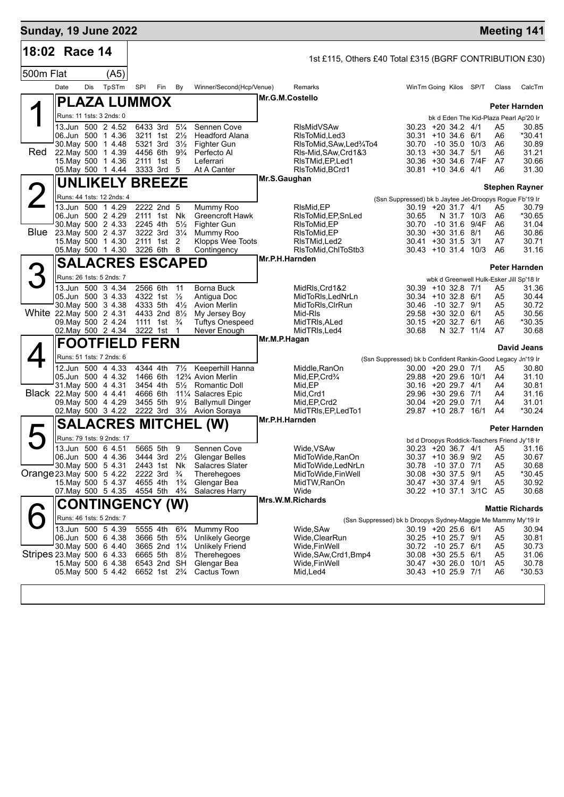|           | <b>Sunday, 19 June 2022</b>                         |                         |     |                                                                   |                                 |                                                       |                 |                                                               |                                                                                   |                              |                        |          | <b>Meeting 141</b>                                        |
|-----------|-----------------------------------------------------|-------------------------|-----|-------------------------------------------------------------------|---------------------------------|-------------------------------------------------------|-----------------|---------------------------------------------------------------|-----------------------------------------------------------------------------------|------------------------------|------------------------|----------|-----------------------------------------------------------|
|           | 18:02 Race 14                                       |                         |     |                                                                   |                                 |                                                       |                 | 1st £115, Others £40 Total £315 (BGRF CONTRIBUTION £30)       |                                                                                   |                              |                        |          |                                                           |
| 500m Flat |                                                     | (A5)                    |     |                                                                   |                                 |                                                       |                 |                                                               |                                                                                   |                              |                        |          |                                                           |
|           | Date                                                | TpSTm<br>Dis            | SPI | Fin                                                               | By                              | Winner/Second(Hcp/Venue)                              |                 | Remarks                                                       | WinTm Going Kilos SP/T                                                            |                              |                        | Class    | CalcTm                                                    |
|           | <b>PLAZA LUMMOX</b>                                 |                         |     |                                                                   |                                 |                                                       | Mr.G.M.Costello |                                                               |                                                                                   |                              |                        |          | Peter Harnden                                             |
|           | Runs: 11 1sts: 3 2nds: 0                            |                         |     |                                                                   |                                 |                                                       |                 |                                                               |                                                                                   |                              |                        |          | bk d Eden The Kid-Plaza Pearl Ap'20 Ir                    |
|           | 13.Jun 500 2 4.52                                   |                         |     | 6433 3rd                                                          | $5\frac{1}{4}$                  | Sennen Cove                                           |                 | <b>RIsMidVSAw</b>                                             | $30.23 + 20.34.2$ 4/1                                                             |                              |                        | A5       | 30.85                                                     |
|           | 06.Jun 500 1 4.36<br>30. May 500 1 4.48             |                         |     | 3211 1st 21/ <sub>2</sub><br>5321 3rd                             | $3\frac{1}{2}$                  | <b>Headford Alana</b><br>Fighter Gun                  |                 | RIsToMid, Led3<br>RIsToMid, SAw, Led%To4                      | $30.31 + 10.34.6$ 6/1<br>30.70                                                    | $-10,35.0,10/3$              |                        | A6<br>A6 | *30.41<br>30.89                                           |
| Red       | 22. May 500 1 4.39                                  |                         |     | 4456 6th                                                          | 9¾                              | Perfecto Al<br>Leferrari                              |                 | RIs-Mid, SAw, Crd1&3                                          | $30.13 + 30.34.7$                                                                 |                              | 5/1                    | A6       | 31.21<br>30.66                                            |
|           | 15 May 500 1 4.36<br>05 May 500 1 4.44              |                         |     | 2111 1st<br>3333 3rd 5                                            | 5                               | At A Canter                                           |                 | RIsTMid, EP, Led1<br>RIsToMid, BCrd1                          | $30.36 + 30.34.6$<br>$30.81 + 10.34.6$ 4/1                                        |                              | 7/4F                   | A7<br>A6 | 31.30                                                     |
|           | <b>UNLIKELY BREEZE</b>                              |                         |     |                                                                   |                                 |                                                       | Mr.S.Gaughan    |                                                               |                                                                                   |                              |                        |          | <b>Stephen Rayner</b>                                     |
| $\angle$  | Runs: 44 1sts: 12 2nds: 4                           |                         |     |                                                                   |                                 |                                                       |                 |                                                               | (Ssn Suppressed) bk b Jaytee Jet-Droopys Rogue Fb'19 Ir                           |                              |                        |          |                                                           |
|           | 13.Jun 500 1 4.29                                   |                         |     | 2222 2nd 5                                                        |                                 | Mummy Roo                                             |                 | RIsMid, EP                                                    | 30.19 +20 31.7 4/1                                                                |                              |                        | A5       | 30.79                                                     |
|           | 06.Jun 500 2 4.29<br>30. May 500 2 4.33             |                         |     | 2111 1st Nk<br>2245 4th                                           | $5\frac{1}{2}$                  | Greencroft Hawk<br>Fighter Gun                        |                 | RIsToMid, EP, SnLed<br>RIsToMid,EP                            | 30.65<br>30.70                                                                    | N 31.7 10/3<br>-10 31.6 9/4F |                        | A6<br>A6 | *30.65<br>31.04                                           |
| Blue      | 23. May 500 2 4.37                                  |                         |     | 3222 3rd                                                          | $3\frac{1}{4}$                  | Mummy Roo                                             |                 | RIsToMid, EP                                                  | $30.30 + 30.31.6$ 8/1                                                             |                              |                        | A6       | 30.86                                                     |
|           | 15. May 500 1 4.30<br>05. May 500 1 4.30 3226 6th 8 |                         |     | 2111 1st                                                          | 2                               | Klopps Wee Toots<br>Contingency                       |                 | RIsTMid,Led2<br>RIsToMid, ChIToStb3                           | 30.41 +30 31.5<br>$30.43 + 10.31.4$ 10/3                                          |                              | 3/1                    | A7<br>A6 | 30.71<br>31.16                                            |
|           |                                                     | <b>SALACRES ESCAPED</b> |     |                                                                   |                                 |                                                       | Mr.P.H.Harnden  |                                                               |                                                                                   |                              |                        |          |                                                           |
|           | Runs: 26 1sts: 5 2nds: 7                            |                         |     |                                                                   |                                 |                                                       |                 |                                                               |                                                                                   |                              |                        |          | Peter Harnden<br>wbk d Greenwell Hulk-Esker Jill Sp'18 Ir |
|           | 13.Jun 500 3 4.34                                   |                         |     | 2566 6th                                                          | 11                              | Borna Buck                                            |                 | MidRIs, Crd1&2                                                | 30.39 +10 32.8 7/1                                                                |                              |                        | A5       | 31.36                                                     |
|           | 05.Jun 500 3 4.33                                   |                         |     | 4322 1st 1/ <sub>2</sub>                                          |                                 | Antigua Doc                                           |                 | MidToRIs, LedNrLn                                             | 30.34 +10 32.8 6/1                                                                |                              |                        | A5       | 30.44                                                     |
|           | 30 May 500 3 4.38<br>White 22. May 500 2 4.31       |                         |     | 4333 5th $4\frac{1}{2}$<br>4433 2nd 8 <sup>1</sup> / <sub>2</sub> |                                 | <b>Avion Merlin</b><br>My Jersey Boy                  |                 | MidToRIs, CIrRun<br>Mid-RIs                                   | 30.46 -10 32.7 9/1<br>29.58 +30 32.0 6/1                                          |                              |                        | A5<br>A5 | 30.72<br>30.56                                            |
|           | 09. May 500 2 4.24                                  |                         |     | 1111 1st $\frac{3}{4}$                                            |                                 | <b>Tuftys Onespeed</b>                                |                 | MidTRIs, ALed                                                 | $30.15 + 20.32.7$ 6/1                                                             |                              |                        | A6       | *30.35                                                    |
|           | 02. May 500 2 4.34<br><b>FOOTFIELD FERN</b>         |                         |     | 3222 1st 1                                                        |                                 | Never Enough                                          | Mr.M.P.Hagan    | MidTRIs, Led4                                                 | 30.68                                                                             | N 32.7 11/4                  |                        | A7       | 30.68                                                     |
|           | Runs: 51 1sts: 7 2nds: 6                            |                         |     |                                                                   |                                 |                                                       |                 |                                                               |                                                                                   |                              |                        |          | <b>David Jeans</b>                                        |
|           | 12.Jun 500 4 4.33                                   |                         |     | 4344 4th                                                          | $7\frac{1}{2}$                  | Keeperhill Hanna                                      |                 | Middle, RanOn                                                 | (Ssn Suppressed) bk b Confident Rankin-Good Legacy Jn'19 Ir<br>30.00 +20 29.0 7/1 |                              |                        | A5       | 30.80                                                     |
|           | 05.Jun 500 4 4.32                                   |                         |     | 1466 6th                                                          |                                 | 12% Avion Merlin                                      |                 | Mid, EP, Crd <sup>3</sup> /4                                  | 29.88 +20 29.6 10/1                                                               |                              |                        | A4       | 31.10                                                     |
|           | 31. May 500 4 4.31<br>Black 22. May 500 4 4.41      |                         |     | 3454 4th<br>4666 6th                                              |                                 | 51/ <sub>2</sub> Romantic Doll<br>111/4 Salacres Epic |                 | Mid, EP<br>Mid, Crd1                                          | 30.16 +20 29.7 4/1<br>29.96 +30 29.6 7/1                                          |                              |                        | A4<br>A4 | 30.81<br>31.16                                            |
|           | 09. May 500 4 4.29                                  |                         |     | 3455 5th                                                          |                                 | 91/ <sub>2</sub> Ballymull Dinger                     |                 | Mid, EP, Crd2                                                 | 30.04 +20 29.0 7/1                                                                |                              |                        | A4       | 31.01                                                     |
|           | 02. May 500 3 4.22                                  |                         |     | 2222 3rd                                                          |                                 | 3 <sup>1</sup> / <sub>2</sub> Avion Soraya            | Mr.P.H.Harnden  | MidTRIs, EP, LedTo1                                           | 29.87 +10 28.7 16/1                                                               |                              |                        | A4       | *30.24                                                    |
|           |                                                     |                         |     |                                                                   |                                 | <b>SALACRES MITCHEL (W)</b>                           |                 |                                                               |                                                                                   |                              |                        |          | Peter Harnden                                             |
|           | Runs: 79 1sts: 9 2nds: 17                           |                         |     |                                                                   |                                 |                                                       |                 |                                                               |                                                                                   |                              |                        |          | bd d Droopys Roddick-Teachers Friend Jy'18 Ir             |
|           | 13.Jun 500 6 4.51<br>06.Jun 500 4 4.36              |                         |     | 5665 5th<br>3444 3rd 2½                                           | 9                               | Sennen Cove<br>Glengar Belles                         |                 | Wide, VSAw<br>MidToWide, RanOn                                | 30.37 +10 36.9 9/2                                                                |                              |                        | A5       | $30.23 + 20.36.7$ 4/1 A5 31.16<br>30.67                   |
|           | 30. May 500 5 4.31                                  |                         |     | 2443 1st                                                          | Nk                              | Salacres Slater                                       |                 | MidToWide,LedNrLn                                             | 30.78                                                                             | -10 37.0 7/1                 |                        | A5       | 30.68                                                     |
|           | Orange 23 May 500 5 4.22<br>15. May 500 5 4.37      |                         |     | 2222 3rd<br>4655 4th                                              | $\frac{3}{4}$<br>$1\frac{3}{4}$ | Therehegoes<br>Glengar Bea                            |                 | MidToWide, FinWell<br>MidTW,RanOn                             | 30.08 +30 37.5 9/1<br>30.47 +30 37.4 9/1                                          |                              |                        | A5<br>A5 | *30.45<br>30.92                                           |
|           | 07. May 500 5 4.35                                  |                         |     | 4554 5th                                                          | $4\frac{3}{4}$                  | Salacres Harry                                        |                 | Wide                                                          |                                                                                   |                              | 30.22 +10 37.1 3/1C A5 |          | 30.68                                                     |
|           |                                                     | <b>CONTINGENCY (W)</b>  |     |                                                                   |                                 |                                                       |                 | Mrs.W.M.Richards                                              |                                                                                   |                              |                        |          | <b>Mattie Richards</b>                                    |
|           | Runs: 46 1sts: 5 2nds: 7                            |                         |     |                                                                   |                                 |                                                       |                 | (Ssn Suppressed) bk b Droopys Sydney-Maggie Me Mammy My'19 Ir |                                                                                   |                              |                        |          |                                                           |
|           | 13.Jun 500 5 4.39                                   |                         |     | 5555 4th                                                          | $6\frac{3}{4}$                  | Mummy Roo                                             |                 | Wide,SAw                                                      | $30.19 + 2025.66$                                                                 |                              |                        | A5       | 30.94                                                     |
|           | 06.Jun 500 6 4.38<br>30. May 500 6 4.40             |                         |     | 3666 5th<br>3665 2nd 11/4                                         | $5\frac{3}{4}$                  | Unlikely George<br><b>Unlikely Friend</b>             |                 | Wide,ClearRun<br>Wide,FinWell                                 | 30.25 +10 25.7 9/1<br>30.72 -10 25.7 6/1                                          |                              |                        | A5<br>A5 | 30.81<br>30.73                                            |
|           | Stripes 23 May 500 6 4.33                           |                         |     | 6665 5th                                                          | $8\frac{1}{2}$                  | Therehegoes                                           |                 | Wide, SAw, Crd1, Bmp4                                         | 30.08 +30 25.5 6/1                                                                |                              |                        | A5       | 31.06                                                     |
|           | 15. May 500 6 4.38<br>05. May 500 5 4.42            |                         |     | 6543 2nd SH<br>6652 1st 2 <sup>3</sup> / <sub>4</sub>             |                                 | Glengar Bea<br>Cactus Town                            |                 | Wide, Fin Well<br>Mid,Led4                                    | 30.47 +30 26.0 10/1<br>30.43 +10 25.9 7/1                                         |                              |                        | A5<br>A6 | 30.78<br>*30.53                                           |
|           |                                                     |                         |     |                                                                   |                                 |                                                       |                 |                                                               |                                                                                   |                              |                        |          |                                                           |
|           |                                                     |                         |     |                                                                   |                                 |                                                       |                 |                                                               |                                                                                   |                              |                        |          |                                                           |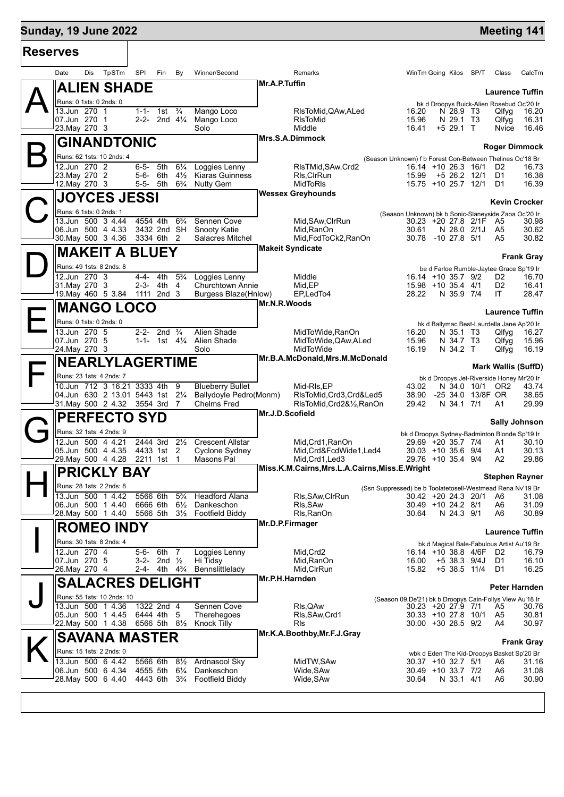## **Sunday, 19 June 2022 Meeting 141**

| <b>Reserves</b> |                                                                                                                     |                        |                                          |                                                 |                                                                                                                                             |
|-----------------|---------------------------------------------------------------------------------------------------------------------|------------------------|------------------------------------------|-------------------------------------------------|---------------------------------------------------------------------------------------------------------------------------------------------|
|                 | Dis<br>TpSTm<br>Date                                                                                                | SPI                    | Fin<br>By                                | Winner/Second                                   | WinTm Going Kilos SP/T<br>Remarks<br>Class<br>CalcTm                                                                                        |
|                 | <b>ALIEN SHADE</b>                                                                                                  |                        |                                          |                                                 | Mr.A.P.Tuffin<br><b>Laurence Tuffin</b>                                                                                                     |
|                 | Runs: 0 1sts: 0 2nds: 0                                                                                             |                        |                                          |                                                 | bk d Droopys Buick-Alien Rosebud Oc'20 Ir                                                                                                   |
|                 | 13.Jun 270 1<br>07.Jun 270 1                                                                                        | $1 - 1 - 1$ st         | $\frac{3}{4}$<br>2-2- 2nd $4\frac{1}{4}$ | Mango Loco<br>Mango Loco                        | RIsToMid, QAw, ALed<br>16.20<br>N 28.9 T3<br>Qlfyg<br>16.20<br>15.96<br><b>RIsToMid</b><br>N 29.1 T <sub>3</sub><br>Qlfyg<br>16.31          |
|                 | 23. May 270 3                                                                                                       |                        |                                          | Solo                                            | Middle<br>$+5$ 29.1 T<br>16.41<br>16.46<br>Nvice                                                                                            |
|                 | <b>GINANDTONIC</b>                                                                                                  |                        |                                          |                                                 | Mrs.S.A.Dimmock<br><b>Roger Dimmock</b>                                                                                                     |
|                 | Runs: 62 1sts: 10 2nds: 4                                                                                           |                        |                                          |                                                 | (Season Unknown) f b Forest Con-Between Thelines Oc'18 Br                                                                                   |
|                 | 12.Jun 270 2                                                                                                        | 6-5-                   | 5th<br>$6\frac{1}{4}$                    | Loggies Lenny                                   | RIsTMid, SAw, Crd2<br>16.14 +10 26.3 16/1<br>D <sub>2</sub><br>16.73                                                                        |
|                 | 23. May 270 2<br>12. May 270 3                                                                                      | 5-6- 6th<br>5-5- 5th   | $4\frac{1}{2}$<br>$6\frac{3}{4}$         | Kiaras Guinness<br><b>Nutty Gem</b>             | RIs, CIrRun<br>15.99<br>$+5$ 26.2 12/1<br>D1<br>16.38<br><b>MidToRIs</b><br>15.75 +10 25.7 12/1<br>D1<br>16.39                              |
|                 | <b>JOYCES JESSI</b>                                                                                                 |                        |                                          |                                                 | <b>Wessex Greyhounds</b>                                                                                                                    |
|                 |                                                                                                                     |                        |                                          |                                                 | <b>Kevin Crocker</b>                                                                                                                        |
|                 | Runs: 6 1sts: 0 2nds: 1<br>13.Jun 500 3 4.44                                                                        | 4554 4th               | $6\frac{3}{4}$                           | Sennen Cove                                     | (Season Unknown) bk b Sonic-Slaneyside Zaoa Oc'20 Ir<br>Mid, SAw, ClrRun<br>30.23 +20 27.8 2/1F A5<br>30.98                                 |
|                 | 06.Jun 500 4 4.33                                                                                                   |                        | 3432 2nd SH                              | <b>Snooty Katie</b>                             | Mid, RanOn<br>30.61<br>N 28.0 2/1J<br>30.62<br>A5                                                                                           |
|                 | 30. May 500 3 4.36                                                                                                  | 3334 6th               | 2                                        | Salacres Mitchel                                | 30.82<br>Mid, FcdToCk2, RanOn<br>30.78 -10 27.8 5/1<br>A5                                                                                   |
|                 | <b>MAKEIT A BLUEY</b>                                                                                               |                        |                                          |                                                 | <b>Makeit Syndicate</b><br><b>Frank Gray</b>                                                                                                |
|                 | Runs: 49 1sts: 8 2nds: 8                                                                                            |                        |                                          |                                                 | be d Farloe Rumble-Jaytee Grace Sp'19 Ir                                                                                                    |
|                 | $\overline{12.}$ Jun 270 3                                                                                          | $4-4-4$                | $5\frac{3}{4}$                           | Loggies Lenny                                   | Middle<br>$16.14 + 10.35.7$ 9/2<br>16.70<br>D <sub>2</sub>                                                                                  |
|                 | 31. May 270 3<br>19. May 460 5 3.84 1111 2nd 3                                                                      | 2-3- 4th               | 4                                        | Churchtown Annie<br><b>Burgess Blaze(Hnlow)</b> | Mid,EP<br>15.98 +10 35.4 4/1<br>D <sub>2</sub><br>16.41<br>28.22<br>IT<br>28.47<br>EP, Led To4<br>N 35.9 7/4                                |
|                 | <b>MANGO LOCO</b>                                                                                                   |                        |                                          |                                                 | Mr.N.R.Woods                                                                                                                                |
|                 |                                                                                                                     |                        |                                          |                                                 | <b>Laurence Tuffin</b>                                                                                                                      |
|                 | Runs: 0 1sts: 0 2nds: 0<br>13.Jun 270 5                                                                             | 2-2- 2nd               | $\frac{3}{4}$                            | Alien Shade                                     | bk d Ballymac Best-Laurdella Jane Ap'20 Ir<br>MidToWide, RanOn<br>16.20<br>N 35.1 T3<br>Qlfyg<br>16.27                                      |
|                 | 07.Jun 270 5                                                                                                        |                        |                                          | 1-1- 1st 41/4 Alien Shade                       | 15.96<br>MidToWide, QAw, ALed<br>N 34.7 T3<br>Qlfyg<br>15.96                                                                                |
|                 | 24. May 270 3                                                                                                       |                        |                                          | Solo                                            | 16.19<br>MidToWide<br>N 34.2 T<br>16.19<br>Qlfyg                                                                                            |
|                 | <b>NEARLYLAGERTIME</b>                                                                                              |                        |                                          |                                                 | Mr.B.A.McDonald, Mrs.M.McDonald<br><b>Mark Wallis (SuffD)</b>                                                                               |
|                 | Runs: 23 1sts: 4 2nds: 7                                                                                            |                        |                                          |                                                 | bk d Droopys Jet-Riverside Honey Mr'20 Ir                                                                                                   |
|                 | 10.Jun 712 3 16.21 3333 4th                                                                                         |                        | 9                                        | <b>Blueberry Bullet</b>                         | Mid-RIs, EP<br>43.02<br>N 34.0 10/1<br>OR <sub>2</sub><br>43.74                                                                             |
|                 | 04.Jun 630 2 13.01 5443 1st 21/4<br>31. May 500 2 4.32 3554 3rd 7                                                   |                        |                                          | Ballydoyle Pedro(Monm)<br><b>Chelms Fred</b>    | RIsToMid, Crd3, Crd&Led5<br>38.90<br>-25 34.0 13/8F OR<br>38.65<br>29.99<br>RIsToMid, Crd2&1/2, RanOn<br>29.42<br>N 34.1 7/1<br>A1          |
|                 | <b>PERFECTO SYD</b>                                                                                                 |                        |                                          |                                                 | Mr.J.D.Scofield                                                                                                                             |
|                 | Runs: 32 1sts: 4 2nds: 9                                                                                            |                        |                                          |                                                 | <b>Sally Johnson</b>                                                                                                                        |
|                 | 12.Jun 500 4 4.21                                                                                                   | 2444 3rd               | $2\frac{1}{2}$                           | <b>Crescent Allstar</b>                         | bk d Droopys Sydney-Badminton Blonde Sp'19 Ir<br>Mid, Crd1, RanOn<br>29.69 +20 35.7 7/4<br>30.10<br>A1                                      |
|                 | 05.Jun 500 4 4.35                                                                                                   | 4433 1st               | 2                                        | Cyclone Sydney                                  | Mid, Crd&FcdWide1, Led4<br>$30.03 + 10.356$ 9/4<br>A1<br>30.13                                                                              |
|                 | 29. May 500 4 4.28                                                                                                  | 2211 1st               | $\overline{1}$                           | Masons Pal                                      | Mid, Crd1, Led3<br>29.76 +10 35.4 9/4<br>A <sub>2</sub><br>29.86                                                                            |
|                 | <b>PRICKLY BAY</b>                                                                                                  |                        |                                          |                                                 | Miss.K.M.Cairns, Mrs.L.A.Cairns, Miss.E. Wright<br><b>Stephen Rayner</b>                                                                    |
|                 | Runs: 28 1sts: 2 2nds: 8                                                                                            |                        |                                          |                                                 | (Ssn Suppressed) be b Toolatetosell-Westmead Rena Nv'19 Br                                                                                  |
|                 | 13.Jun 500 1 4.42<br>06.Jun 500 1 4.40                                                                              | 5566 6th<br>6666 6th   | $5\frac{3}{4}$<br>$6\frac{1}{2}$         | <b>Headford Alana</b><br>Dankeschon             | RIs, SAw, CIrRun<br>30.42 +20 24.3 20/1<br>A6<br>31.08<br>RIs, SAw<br>30.49 +10 24.2 8/1<br>A6<br>31.09                                     |
|                 | 28. May 500 1 4.40                                                                                                  | 5566 5th               |                                          | 3 <sup>1</sup> / <sub>2</sub> Footfield Biddy   | Rls, RanOn<br>30.64<br>N 24.3 9/1<br>A6<br>30.89                                                                                            |
|                 | <b>ROMEO INDY</b>                                                                                                   |                        |                                          |                                                 | Mr.D.P.Firmager                                                                                                                             |
|                 | Runs: 30 1sts: 8 2nds: 4                                                                                            |                        |                                          |                                                 | <b>Laurence Tuffin</b>                                                                                                                      |
|                 | 12.Jun 270 4                                                                                                        | $5 - 6 -$              | 6th<br>7                                 | Loggies Lenny                                   | bk d Magical Bale-Fabulous Artist Au'19 Br<br>Mid, Crd2<br>16.14 +10 38.8 4/6F D2<br>16.79                                                  |
|                 | 07.Jun 270 5                                                                                                        |                        | 3-2- 2nd $\frac{1}{2}$                   | Hi Tidsy                                        | Mid, RanOn<br>16.00<br>$+5$ 38.3 9/4J<br>D1<br>16.10                                                                                        |
|                 | 26. May 270 4                                                                                                       |                        | 2-4- 4th $4\frac{3}{4}$                  | Bennslittleladv                                 | Mid, CIrRun<br>15.82<br>+5 38.5 11/4<br>D1<br>16.25                                                                                         |
|                 | <b>SALACRES DELIGHT</b>                                                                                             |                        |                                          |                                                 | Mr.P.H.Harnden<br>Peter Harnden                                                                                                             |
|                 | Runs: 55 1sts: 10 2nds: 10                                                                                          |                        |                                          |                                                 | (Season 09.De'21) bk b Droopys Cain-Follys View Au'18 Ir                                                                                    |
|                 | 13.Jun 500 1 4.36<br>05.Jun 500 1 4.45                                                                              | 1322 2nd 4<br>6444 4th | 5                                        | Sennen Cove<br>Therehegoes                      | RIs, QAw<br>$30.23 + 20.27.9$ 7/1<br>A5<br>30.76<br>Rls, SAw, Crd1<br>30.33 +10 27.8 10/1<br>A <sub>5</sub><br>30.81                        |
|                 | 22. May 500 1 4.38                                                                                                  |                        | 6566 5th 81/2                            | <b>Knock Tilly</b>                              | Rls<br>$30.00 + 30.28.5$ 9/2<br>A4<br>30.97                                                                                                 |
|                 | <b>SAVANA MASTER</b>                                                                                                |                        |                                          |                                                 | Mr.K.A.Boothby, Mr.F.J.Gray                                                                                                                 |
|                 |                                                                                                                     |                        |                                          |                                                 | <b>Frank Gray</b>                                                                                                                           |
|                 |                                                                                                                     |                        |                                          |                                                 |                                                                                                                                             |
|                 | Runs: 15 1sts: 2 2nds: 0                                                                                            |                        |                                          |                                                 | wbk d Eden The Kid-Droopys Basket Sp'20 Br<br>31.16                                                                                         |
|                 | 13.Jun 500 6 4.42<br>06.Jun 500 6 4.34<br>28. May 500 6 4.40 4443 6th 3 <sup>3</sup> / <sub>4</sub> Footfield Biddy | 5566 6th               | 4555 5th 61/4                            | 81/ <sub>2</sub> Ardnasool Sky<br>Dankeschon    | MidTW, SAw<br>30.37 +10 32.7 5/1<br>A6<br>Wide, SAw<br>31.08<br>30.49 +10 33.7 7/2<br>A6<br>Wide, SAw<br>30.64<br>N 33.1 4/1<br>A6<br>30.90 |